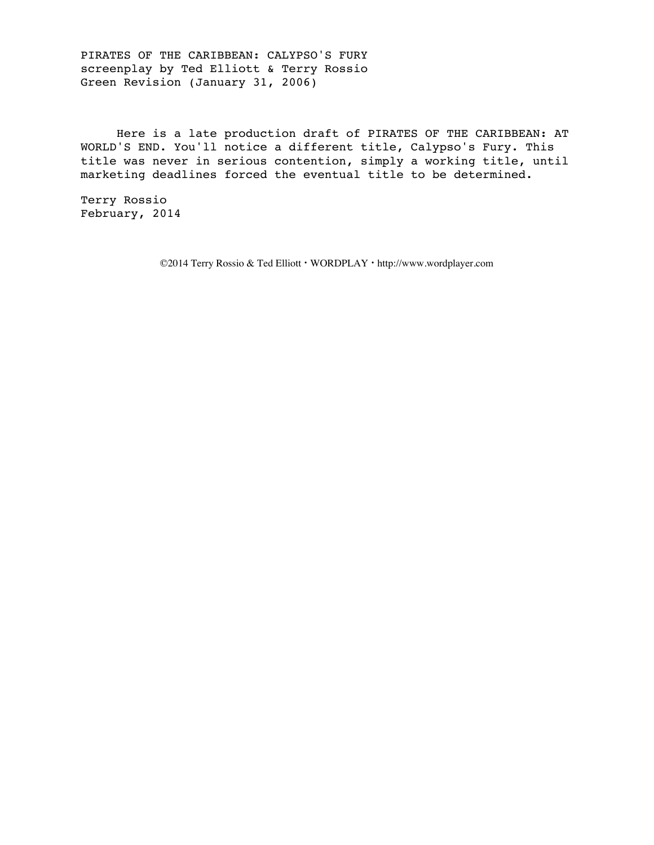PIRATES OF THE CARIBBEAN: CALYPSO'S FURY screenplay by Ted Elliott & Terry Rossio Green Revision (January 31, 2006)

 Here is a late production draft of PIRATES OF THE CARIBBEAN: AT WORLD'S END. You'll notice a different title, Calypso's Fury. This title was never in serious contention, simply a working title, until marketing deadlines forced the eventual title to be determined.

Terry Rossio February, 2014

©2014 Terry Rossio & Ted Elliott **·** WORDPLAY **·** http://www.wordplayer.com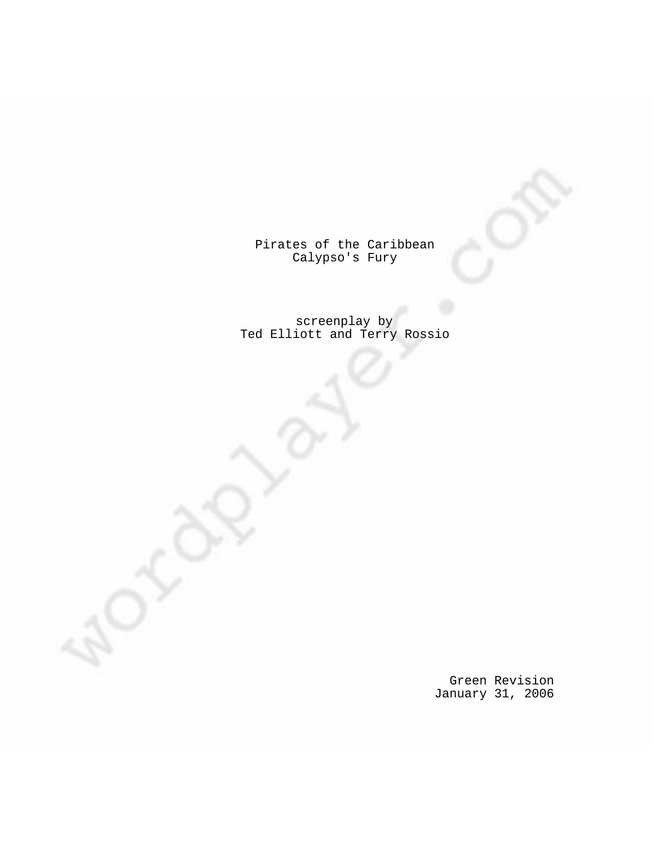Pirates of the Caribbean Calypso's Fury

screenplay by Ted Elliott and Terry Rossio

> Green Revision January 31, 2006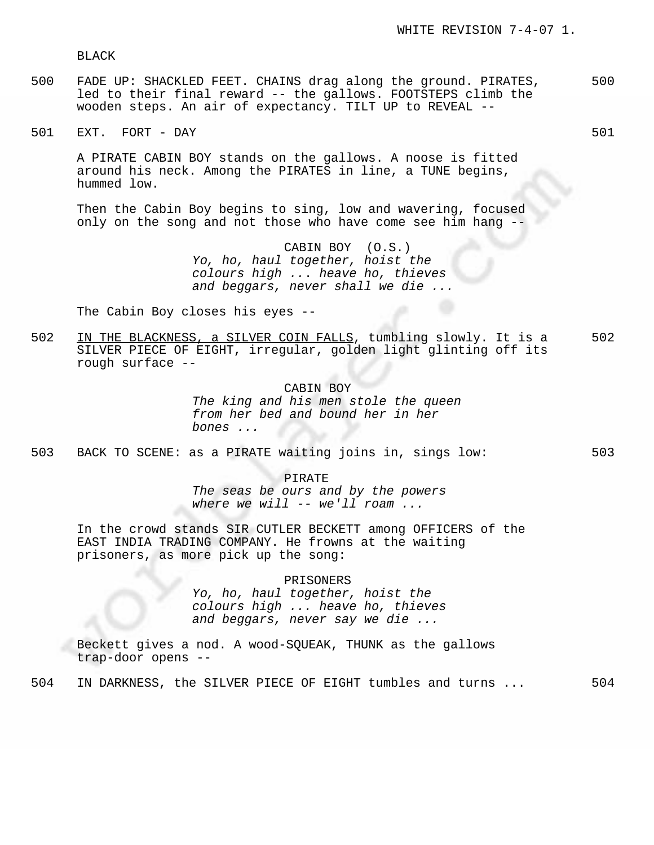BLACK

- 500 FADE UP: SHACKLED FEET. CHAINS drag along the ground. PIRATES, 500 led to their final reward -- the gallows. FOOTSTEPS climb the wooden steps. An air of expectancy. TILT UP to REVEAL --
- 501 EXT. FORT DAY 501 SOME SERVER AND THE SOLUTION OF SUITABLE SUITABLE SUITABLE SUITABLE SUITABLE SUITABLE SUITABLE SUITABLE SUITABLE SUITABLE SUITABLE SUITABLE SUITABLE SUITABLE SUITABLE SUITABLE SUITABLE SUITABLE SUIT

A PIRATE CABIN BOY stands on the gallows. A noose is fitted around his neck. Among the PIRATES in line, a TUNE begins, hummed low.

Then the Cabin Boy begins to sing, low and wavering, focused only on the song and not those who have come see him hang --

> CABIN BOY (O.S.) Yo, ho, haul together, hoist the colours high ... heave ho, thieves and beggars, never shall we die ...

The Cabin Boy closes his eyes --

502 IN THE BLACKNESS, a SILVER COIN FALLS, tumbling slowly. It is a 502 SILVER PIECE OF EIGHT, irregular, golden light glinting off its rough surface --

> CABIN BOY The king and his men stole the queen from her bed and bound her in her bones ...

503 BACK TO SCENE: as a PIRATE waiting joins in, sings low: 503

PIRATE The seas be ours and by the powers where we will  $--$  we'll roam  $\ldots$ 

In the crowd stands SIR CUTLER BECKETT among OFFICERS of the EAST INDIA TRADING COMPANY. He frowns at the waiting prisoners, as more pick up the song:

PRISONERS

Yo, ho, haul together, hoist the colours high ... heave ho, thieves and beggars, never say we die ...

Beckett gives a nod. A wood-SQUEAK, THUNK as the gallows trap-door opens --

504 IN DARKNESS, the SILVER PIECE OF EIGHT tumbles and turns ... 504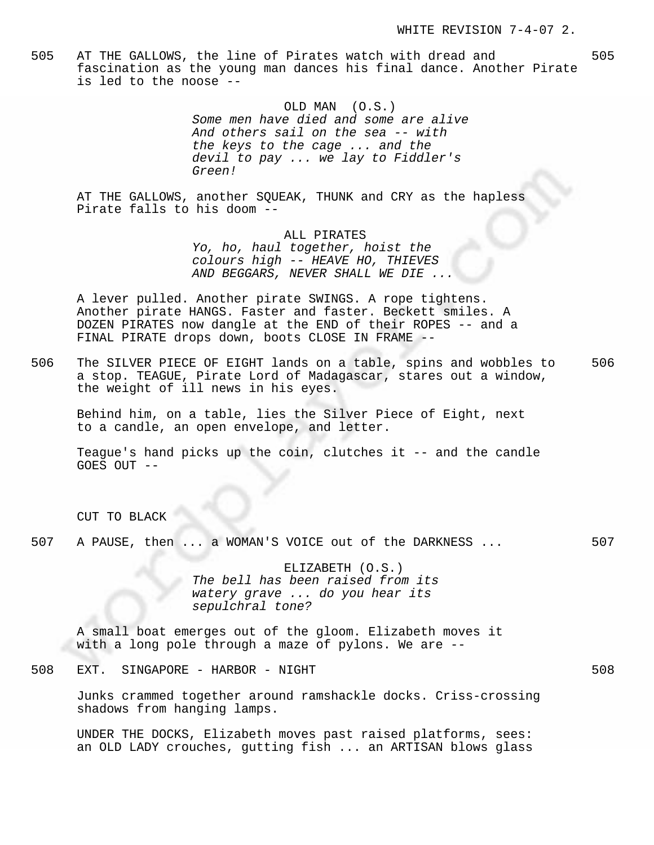505 AT THE GALLOWS, the line of Pirates watch with dread and 505 fascination as the young man dances his final dance. Another Pirate is led to the noose --

> OLD MAN (O.S.) Some men have died and some are alive And others sail on the sea -- with the keys to the cage ... and the devil to pay ... we lay to Fiddler's Green!

AT THE GALLOWS, another SQUEAK, THUNK and CRY as the hapless Pirate falls to his doom --

ALL PIRATES

Yo, ho, haul together, hoist the colours high -- HEAVE HO, THIEVES AND BEGGARS, NEVER SHALL WE DIE ...

A lever pulled. Another pirate SWINGS. A rope tightens. Another pirate HANGS. Faster and faster. Beckett smiles. A DOZEN PIRATES now dangle at the END of their ROPES -- and a FINAL PIRATE drops down, boots CLOSE IN FRAME --

506 The SILVER PIECE OF EIGHT lands on a table, spins and wobbles to 506 a stop. TEAGUE, Pirate Lord of Madagascar, stares out a window, the weight of ill news in his eyes.

Behind him, on a table, lies the Silver Piece of Eight, next to a candle, an open envelope, and letter.

Teague's hand picks up the coin, clutches it -- and the candle GOES OUT --

CUT TO BLACK

507 A PAUSE, then ... a WOMAN'S VOICE out of the DARKNESS ... 507

ELIZABETH (O.S.) The bell has been raised from its watery grave ... do you hear its sepulchral tone?

A small boat emerges out of the gloom. Elizabeth moves it with a long pole through a maze of pylons. We are --

508 EXT. SINGAPORE - HARBOR - NIGHT 508

Junks crammed together around ramshackle docks. Criss-crossing shadows from hanging lamps.

UNDER THE DOCKS, Elizabeth moves past raised platforms, sees: an OLD LADY crouches, gutting fish ... an ARTISAN blows glass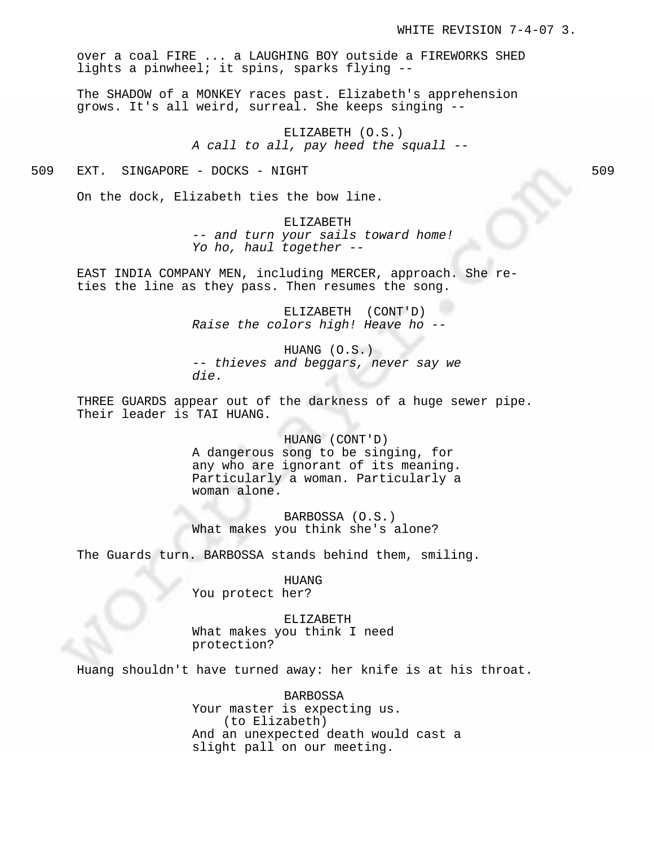over a coal FIRE ... a LAUGHING BOY outside a FIREWORKS SHED lights a pinwheel; it spins, sparks flying --

The SHADOW of a MONKEY races past. Elizabeth's apprehension grows. It's all weird, surreal. She keeps singing --

> ELIZABETH (O.S.) A call to all, pay heed the squall --

509 EXT. SINGAPORE - DOCKS - NIGHT 509

On the dock, Elizabeth ties the bow line.

ELIZABETH -- and turn your sails toward home! Yo ho, haul together --

EAST INDIA COMPANY MEN, including MERCER, approach. She reties the line as they pass. Then resumes the song.

> ELIZABETH (CONT'D) Raise the colors high! Heave ho --

HUANG (O.S.) -- thieves and beggars, never say we die.

THREE GUARDS appear out of the darkness of a huge sewer pipe. Their leader is TAI HUANG.

> HUANG (CONT'D) A dangerous song to be singing, for any who are ignorant of its meaning. Particularly a woman. Particularly a woman alone.

BARBOSSA (O.S.) What makes you think she's alone?

The Guards turn. BARBOSSA stands behind them, smiling.

HUANG You protect her?

ELIZABETH What makes you think I need protection?

Huang shouldn't have turned away: her knife is at his throat.

BARBOSSA Your master is expecting us. (to Elizabeth) And an unexpected death would cast a slight pall on our meeting.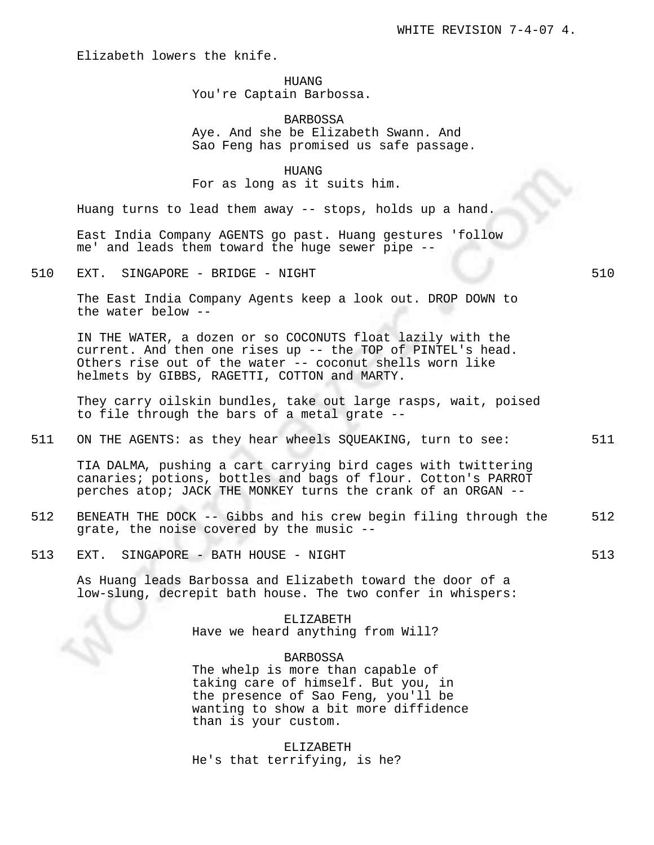Elizabeth lowers the knife.

## HUANG

# You're Captain Barbossa.

BARBOSSA Aye. And she be Elizabeth Swann. And Sao Feng has promised us safe passage.

HUANG For as long as it suits him.

Huang turns to lead them away -- stops, holds up a hand.

East India Company AGENTS go past. Huang gestures 'follow me' and leads them toward the huge sewer pipe --

510 EXT. SINGAPORE - BRIDGE - NIGHT 510 SOME 510

The East India Company Agents keep a look out. DROP DOWN to the water below --

IN THE WATER, a dozen or so COCONUTS float lazily with the current. And then one rises up -- the TOP of PINTEL's head. Others rise out of the water -- coconut shells worn like helmets by GIBBS, RAGETTI, COTTON and MARTY.

They carry oilskin bundles, take out large rasps, wait, poised to file through the bars of a metal grate --

511 ON THE AGENTS: as they hear wheels SQUEAKING, turn to see: 511

TIA DALMA, pushing a cart carrying bird cages with twittering canaries; potions, bottles and bags of flour. Cotton's PARROT perches atop; JACK THE MONKEY turns the crank of an ORGAN --

- 512 BENEATH THE DOCK -- Gibbs and his crew begin filing through the 512 grate, the noise covered by the music --
- 513 EXT. SINGAPORE BATH HOUSE NIGHT 513 SALLACHER 513

As Huang leads Barbossa and Elizabeth toward the door of a low-slung, decrepit bath house. The two confer in whispers:

> ELIZABETH Have we heard anything from Will?

BARBOSSA The whelp is more than capable of taking care of himself. But you, in the presence of Sao Feng, you'll be wanting to show a bit more diffidence than is your custom.

ELIZABETH He's that terrifying, is he?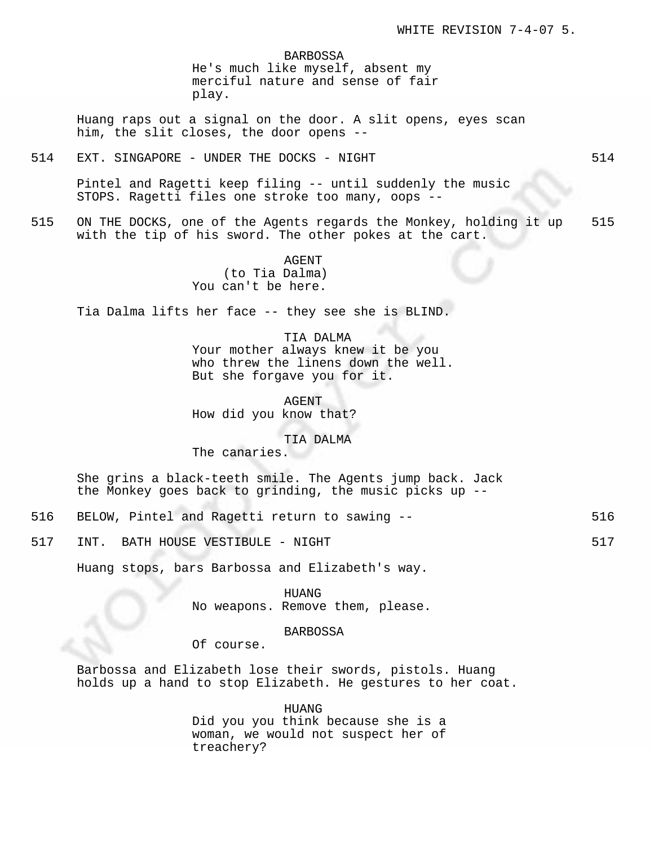BARBOSSA

He's much like myself, absent my merciful nature and sense of fair play.

Huang raps out a signal on the door. A slit opens, eyes scan him, the slit closes, the door opens --

514 EXT. SINGAPORE - UNDER THE DOCKS - NIGHT STAR STAR STAR STAR STAR STAR

Pintel and Ragetti keep filing -- until suddenly the music STOPS. Ragetti files one stroke too many, oops --

515 ON THE DOCKS, one of the Agents regards the Monkey, holding it up 515 with the tip of his sword. The other pokes at the cart.

> AGENT (to Tia Dalma) You can't be here.

Tia Dalma lifts her face -- they see she is BLIND.

## TIA DALMA

Your mother always knew it be you who threw the linens down the well. But she forgave you for it.

AGENT How did you know that?

TIA DALMA

The canaries.

She grins a black-teeth smile. The Agents jump back. Jack the Monkey goes back to grinding, the music picks up --

- 516 BELOW, Pintel and Ragetti return to sawing -- 516
- 517 INT. BATH HOUSE VESTIBULE NIGHT 517 SALLER STATES IN STATES AND THE STATES IN STATES IN STATES IN STATES

Huang stops, bars Barbossa and Elizabeth's way.

HUANG No weapons. Remove them, please.

BARBOSSA

Of course.

Barbossa and Elizabeth lose their swords, pistols. Huang holds up a hand to stop Elizabeth. He gestures to her coat.

> HUANG Did you you think because she is a woman, we would not suspect her of treachery?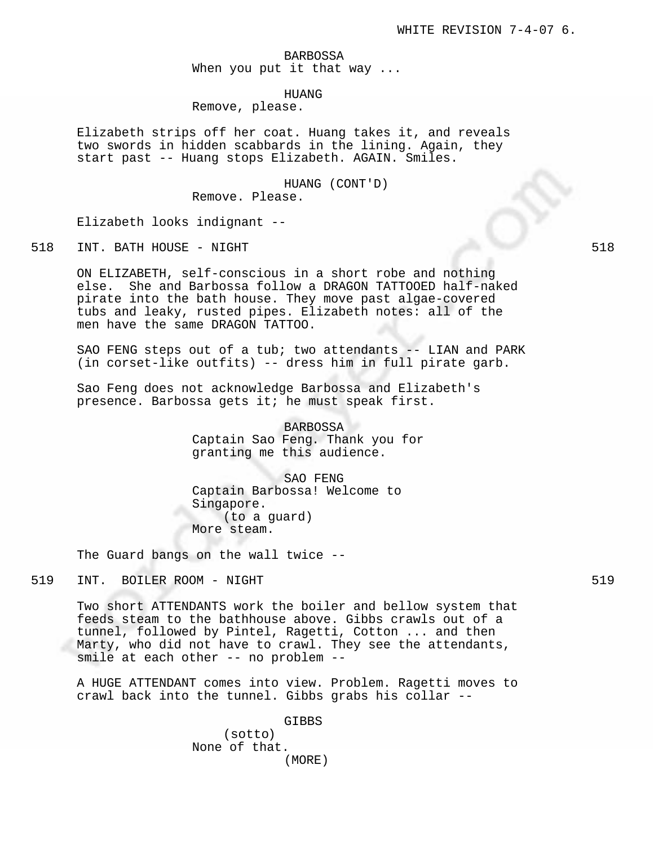BARBOSSA When you put it that way ...

HUANG

Remove, please.

Elizabeth strips off her coat. Huang takes it, and reveals two swords in hidden scabbards in the lining. Again, they start past -- Huang stops Elizabeth. AGAIN. Smiles.

> HUANG (CONT'D) Remove. Please.

Elizabeth looks indignant --

518 INT. BATH HOUSE - NIGHT 518

ON ELIZABETH, self-conscious in a short robe and nothing else. She and Barbossa follow a DRAGON TATTOOED half-naked pirate into the bath house. They move past algae-covered tubs and leaky, rusted pipes. Elizabeth notes: all of the men have the same DRAGON TATTOO.

SAO FENG steps out of a tub; two attendants -- LIAN and PARK (in corset-like outfits) -- dress him in full pirate garb.

Sao Feng does not acknowledge Barbossa and Elizabeth's presence. Barbossa gets it; he must speak first.

> BARBOSSA Captain Sao Feng. Thank you for granting me this audience.

SAO FENG Captain Barbossa! Welcome to Singapore. (to a guard) More steam.

The Guard bangs on the wall twice --

519 INT. BOILER ROOM - NIGHT 519 SOME 519 STEEP SALES IS SAFEKEEPING AT A STEEP STEEP STEEP STEEP STEEP STEEP STEEP STEEP STEEP STEEP STEEP STEEP STEEP STEEP STEEP STEEP STEEP STEEP STEEP STEEP STEEP STEEP STEEP STEEP STEE

Two short ATTENDANTS work the boiler and bellow system that feeds steam to the bathhouse above. Gibbs crawls out of a tunnel, followed by Pintel, Ragetti, Cotton ... and then Marty, who did not have to crawl. They see the attendants, smile at each other -- no problem --

A HUGE ATTENDANT comes into view. Problem. Ragetti moves to crawl back into the tunnel. Gibbs grabs his collar --

GIBBS

(sotto) None of that. (MORE)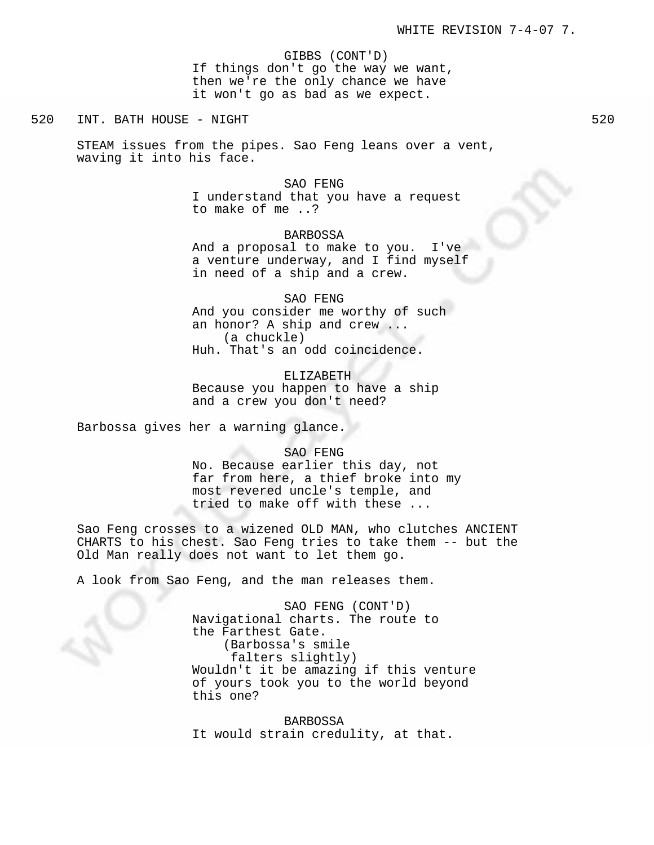GIBBS (CONT'D)

If things don't go the way we want, then we're the only chance we have it won't go as bad as we expect.

520 INT. BATH HOUSE - NIGHT

STEAM issues from the pipes. Sao Feng leans over a vent, waving it into his face.

> SAO FENG I understand that you have a request to make of me ..?

BARBOSSA And a proposal to make to you. I've a venture underway, and I find myself in need of a ship and a crew.

SAO FENG And you consider me worthy of such an honor? A ship and crew ... (a chuckle) Huh. That's an odd coincidence.

ELIZABETH Because you happen to have a ship and a crew you don't need?

Barbossa gives her a warning glance.

SAO FENG

No. Because earlier this day, not far from here, a thief broke into my most revered uncle's temple, and tried to make off with these ...

Sao Feng crosses to a wizened OLD MAN, who clutches ANCIENT CHARTS to his chest. Sao Feng tries to take them -- but the Old Man really does not want to let them go.

A look from Sao Feng, and the man releases them.

SAO FENG (CONT'D) Navigational charts. The route to the Farthest Gate. (Barbossa's smile falters slightly) Wouldn't it be amazing if this venture of yours took you to the world beyond this one?

BARBOSSA It would strain credulity, at that.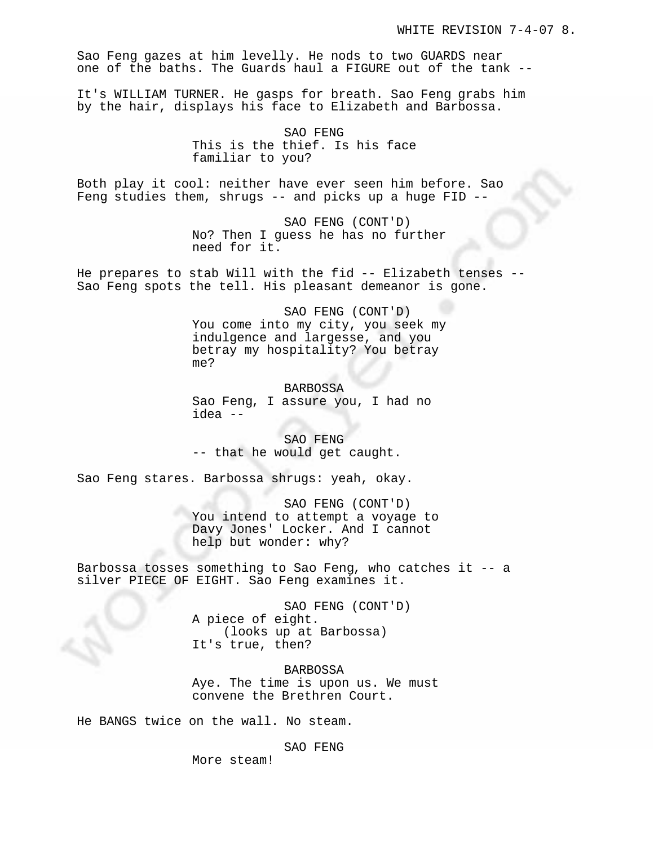Sao Feng gazes at him levelly. He nods to two GUARDS near one of the baths. The Guards haul a FIGURE out of the tank --

It's WILLIAM TURNER. He gasps for breath. Sao Feng grabs him by the hair, displays his face to Elizabeth and Barbossa.

> SAO FENG This is the thief. Is his face familiar to you?

Both play it cool: neither have ever seen him before. Sao Feng studies them, shrugs -- and picks up a huge FID --

> SAO FENG (CONT'D) No? Then I guess he has no further need for it.

He prepares to stab Will with the fid -- Elizabeth tenses -- Sao Feng spots the tell. His pleasant demeanor is gone.

> SAO FENG (CONT'D) You come into my city, you seek my indulgence and largesse, and you betray my hospitality? You betray me?

BARBOSSA Sao Feng, I assure you, I had no idea --

SAO FENG -- that he would get caught.

Sao Feng stares. Barbossa shrugs: yeah, okay.

SAO FENG (CONT'D) You intend to attempt a voyage to Davy Jones' Locker. And I cannot help but wonder: why?

Barbossa tosses something to Sao Feng, who catches it -- a silver PIECE OF EIGHT. Sao Feng examines it.

> SAO FENG (CONT'D) A piece of eight. (looks up at Barbossa) It's true, then?

BARBOSSA Aye. The time is upon us. We must convene the Brethren Court.

He BANGS twice on the wall. No steam.

SAO FENG

More steam!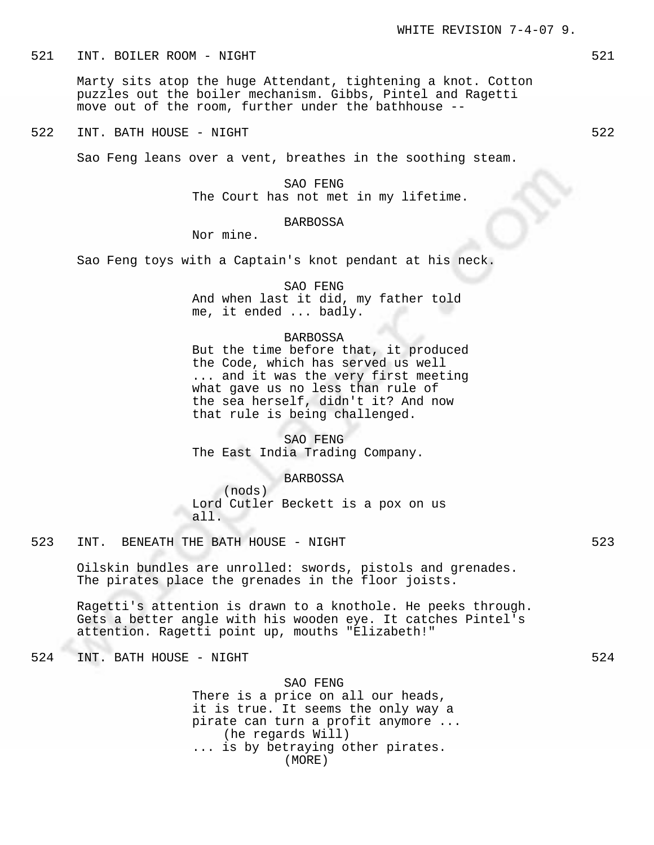521 INT. BOILER ROOM - NIGHT 521 SALES AND THE SERVICE SERVICE SERVICE SERVICE SERVICE SERVICE SERVICE SERVICE

Marty sits atop the huge Attendant, tightening a knot. Cotton puzzles out the boiler mechanism. Gibbs, Pintel and Ragetti move out of the room, further under the bathhouse --

522 INT. BATH HOUSE - NIGHT

Sao Feng leans over a vent, breathes in the soothing steam.

SAO FENG The Court has not met in my lifetime.

## BARBOSSA

Nor mine.

Sao Feng toys with a Captain's knot pendant at his neck.

SAO FENG And when last it did, my father told me, it ended ... badly.

#### BARBOSSA

But the time before that, it produced the Code, which has served us well ... and it was the very first meeting what gave us no less than rule of the sea herself, didn't it? And now that rule is being challenged.

SAO FENG The East India Trading Company.

#### BARBOSSA

(nods) Lord Cutler Beckett is a pox on us all.

523 INT. BENEATH THE BATH HOUSE - NIGHT 523 SANDALL SANDALL SANDALL SANDALL SANDALL SANDALL SANDALL SANDALL SA

Oilskin bundles are unrolled: swords, pistols and grenades. The pirates place the grenades in the floor joists.

Ragetti's attention is drawn to a knothole. He peeks through. Gets a better angle with his wooden eye. It catches Pintel's attention. Ragetti point up, mouths "Elizabeth!"

524 INT. BATH HOUSE - NIGHT

#### SAO FENG

There is a price on all our heads, it is true. It seems the only way a pirate can turn a profit anymore ... (he regards Will) ... is by betraying other pirates. (MORE)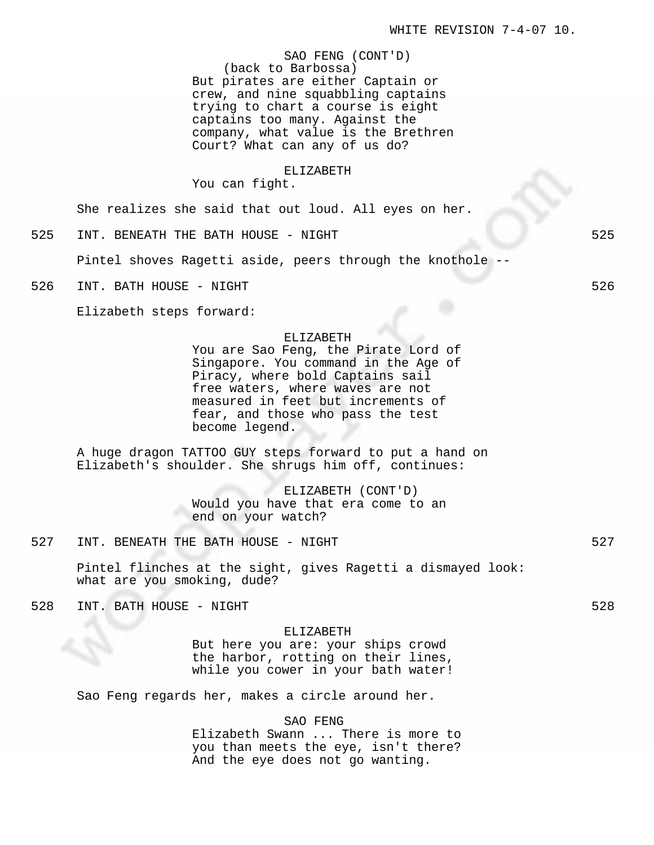SAO FENG (CONT'D) (back to Barbossa) But pirates are either Captain or crew, and nine squabbling captains trying to chart a course is eight captains too many. Against the company, what value is the Brethren Court? What can any of us do?

### ELIZABETH

You can fight.

She realizes she said that out loud. All eyes on her.

525 INT. BENEATH THE BATH HOUSE - NIGHT 525

Pintel shoves Ragetti aside, peers through the knothole --

526 INT. BATH HOUSE - NIGHT 526 SAND FOR THE SERVICE SERVICE SERVICE SERVICE SERVICE SERVICE SERVICE SERVICE S

Elizabeth steps forward:

### ELIZABETH

You are Sao Feng, the Pirate Lord of Singapore. You command in the Age of Piracy, where bold Captains sail free waters, where waves are not measured in feet but increments of fear, and those who pass the test become legend.

A huge dragon TATTOO GUY steps forward to put a hand on Elizabeth's shoulder. She shrugs him off, continues:

> ELIZABETH (CONT'D) Would you have that era come to an end on your watch?

527 INT. BENEATH THE BATH HOUSE - NIGHT 527

Pintel flinches at the sight, gives Ragetti a dismayed look: what are you smoking, dude?

528 INT. BATH HOUSE - NIGHT

#### ELIZABETH

But here you are: your ships crowd the harbor, rotting on their lines, while you cower in your bath water!

Sao Feng regards her, makes a circle around her.

### SAO FENG

Elizabeth Swann ... There is more to you than meets the eye, isn't there? And the eye does not go wanting.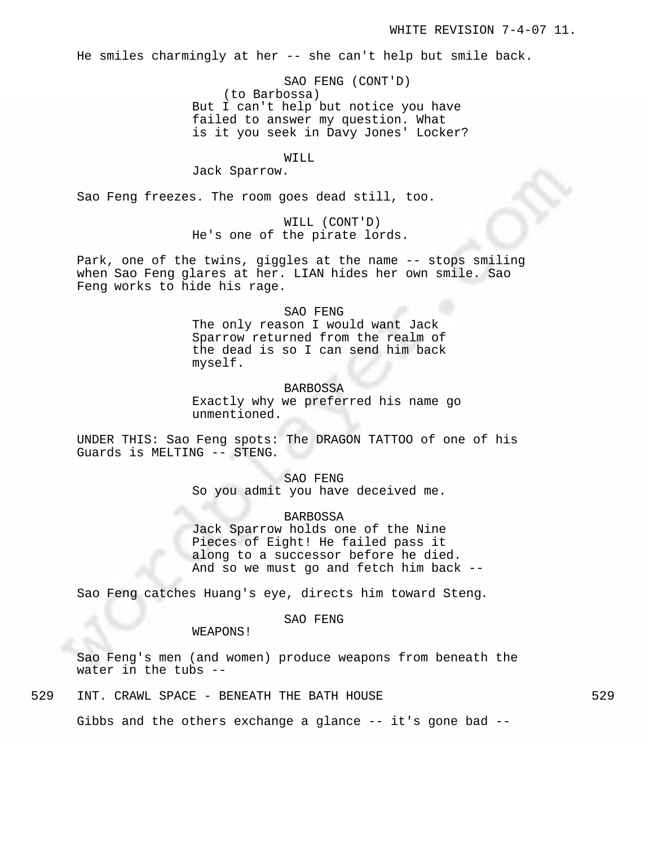He smiles charmingly at her -- she can't help but smile back.

SAO FENG (CONT'D) (to Barbossa) But I can't help but notice you have failed to answer my question. What is it you seek in Davy Jones' Locker?

# WILL

Jack Sparrow.

Sao Feng freezes. The room goes dead still, too.

WILL (CONT'D) He's one of the pirate lords.

Park, one of the twins, giggles at the name -- stops smiling when Sao Feng glares at her. LIAN hides her own smile. Sao Feng works to hide his rage.

### SAO FENG

The only reason I would want Jack Sparrow returned from the realm of the dead is so I can send him back myself.

BARBOSSA Exactly why we preferred his name go unmentioned.

UNDER THIS: Sao Feng spots: The DRAGON TATTOO of one of his Guards is MELTING -- STENG.

> SAO FENG So you admit you have deceived me.

BARBOSSA Jack Sparrow holds one of the Nine Pieces of Eight! He failed pass it along to a successor before he died. And so we must go and fetch him back --

Sao Feng catches Huang's eye, directs him toward Steng.

## SAO FENG

WEAPONS!

Sao Feng's men (and women) produce weapons from beneath the water in the tubs --

529 INT. CRAWL SPACE - BENEATH THE BATH HOUSE 629

Gibbs and the others exchange a glance -- it's gone bad --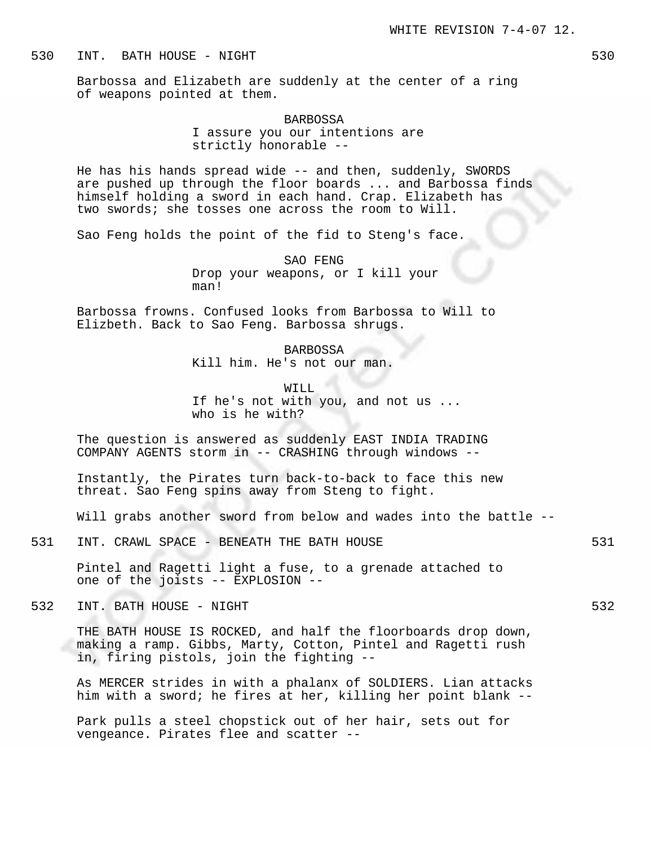Barbossa and Elizabeth are suddenly at the center of a ring of weapons pointed at them.

# BARBOSSA I assure you our intentions are strictly honorable --

He has his hands spread wide -- and then, suddenly, SWORDS are pushed up through the floor boards ... and Barbossa finds himself holding a sword in each hand. Crap. Elizabeth has two swords; she tosses one across the room to Will.

Sao Feng holds the point of the fid to Steng's face.

SAO FENG Drop your weapons, or I kill your man!

Barbossa frowns. Confused looks from Barbossa to Will to Elizbeth. Back to Sao Feng. Barbossa shrugs.

> BARBOSSA Kill him. He's not our man.

WILL If he's not with you, and not us ... who is he with?

The question is answered as suddenly EAST INDIA TRADING COMPANY AGENTS storm in -- CRASHING through windows --

Instantly, the Pirates turn back-to-back to face this new threat. Sao Feng spins away from Steng to fight.

Will grabs another sword from below and wades into the battle --

531 INT. CRAWL SPACE - BENEATH THE BATH HOUSE 631

Pintel and Ragetti light a fuse, to a grenade attached to one of the joists -- EXPLOSION --

532 INT. BATH HOUSE - NIGHT 532

THE BATH HOUSE IS ROCKED, and half the floorboards drop down, making a ramp. Gibbs, Marty, Cotton, Pintel and Ragetti rush in, firing pistols, join the fighting --

As MERCER strides in with a phalanx of SOLDIERS. Lian attacks him with a sword; he fires at her, killing her point blank --

Park pulls a steel chopstick out of her hair, sets out for vengeance. Pirates flee and scatter --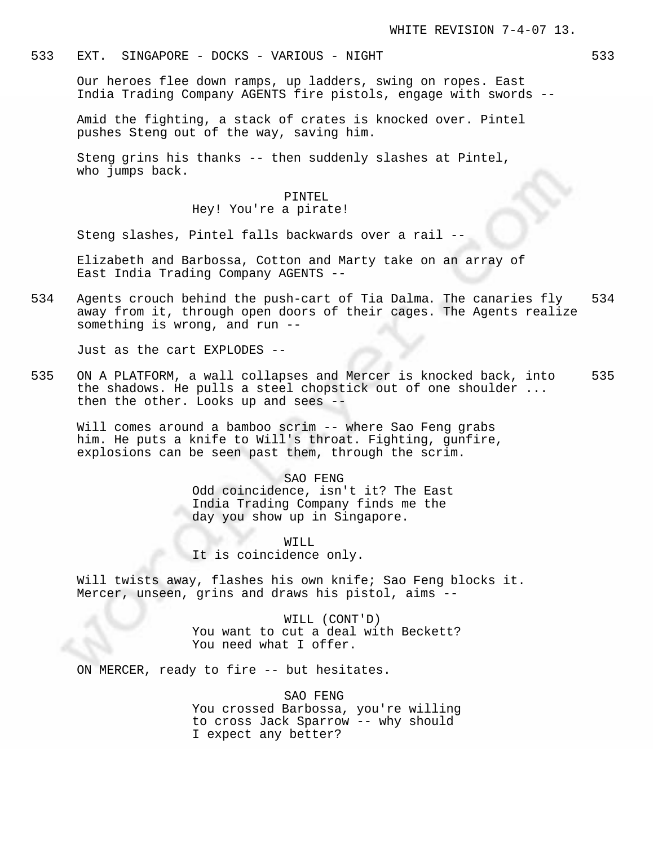## 533 EXT. SINGAPORE - DOCKS - VARIOUS - NIGHT 533

Our heroes flee down ramps, up ladders, swing on ropes. East India Trading Company AGENTS fire pistols, engage with swords --

Amid the fighting, a stack of crates is knocked over. Pintel pushes Steng out of the way, saving him.

Steng grins his thanks -- then suddenly slashes at Pintel, who jumps back.

#### PINTEL

Hey! You're a pirate!

Steng slashes, Pintel falls backwards over a rail --

Elizabeth and Barbossa, Cotton and Marty take on an array of East India Trading Company AGENTS --

534 Agents crouch behind the push-cart of Tia Dalma. The canaries fly 534 away from it, through open doors of their cages. The Agents realize something is wrong, and run --

Just as the cart EXPLODES --

535 ON A PLATFORM, a wall collapses and Mercer is knocked back, into 535 the shadows. He pulls a steel chopstick out of one shoulder ... then the other. Looks up and sees --

Will comes around a bamboo scrim -- where Sao Feng grabs him. He puts a knife to Will's throat. Fighting, gunfire, explosions can be seen past them, through the scrim.

> SAO FENG Odd coincidence, isn't it? The East India Trading Company finds me the day you show up in Singapore.

WILL It is coincidence only.

Will twists away, flashes his own knife; Sao Feng blocks it. Mercer, unseen, grins and draws his pistol, aims --

> WILL (CONT'D) You want to cut a deal with Beckett? You need what I offer.

ON MERCER, ready to fire -- but hesitates.

SAO FENG You crossed Barbossa, you're willing to cross Jack Sparrow -- why should I expect any better?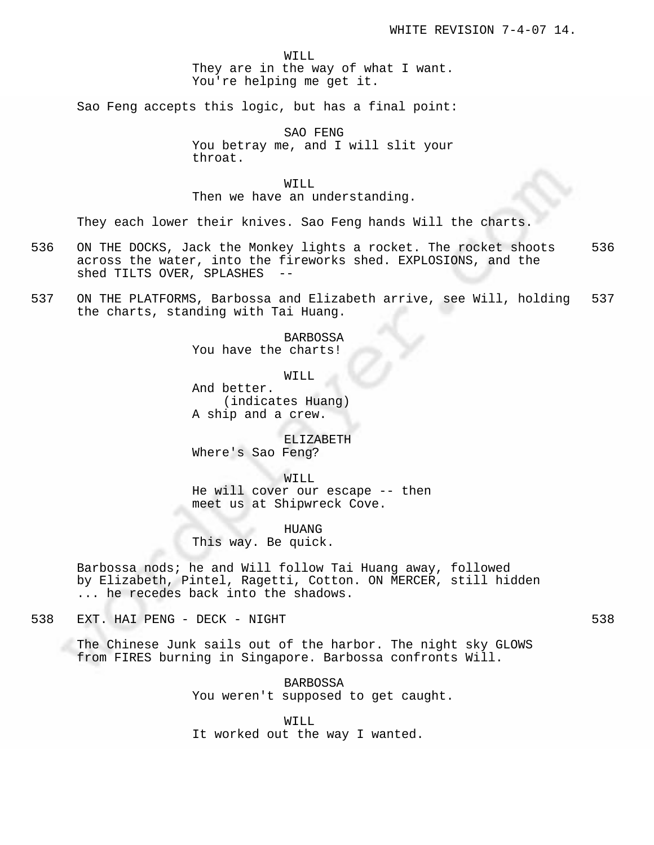WILL They are in the way of what I want. You're helping me get it.

Sao Feng accepts this logic, but has a final point:

SAO FENG You betray me, and I will slit your throat.

# WILL

Then we have an understanding.

They each lower their knives. Sao Feng hands Will the charts.

- 536 ON THE DOCKS, Jack the Monkey lights a rocket. The rocket shoots 536 across the water, into the fireworks shed. EXPLOSIONS, and the shed TILTS OVER, SPLASHES --
- 537 ON THE PLATFORMS, Barbossa and Elizabeth arrive, see Will, holding 537 the charts, standing with Tai Huang.

BARBOSSA You have the charts!

WILL

And better. (indicates Huang) A ship and a crew.

ELIZABETH Where's Sao Feng?

WILL He will cover our escape -- then meet us at Shipwreck Cove.

æ. HUANG This way. Be quick.

Barbossa nods; he and Will follow Tai Huang away, followed by Elizabeth, Pintel, Ragetti, Cotton. ON MERCER, still hidden ... he recedes back into the shadows.

538 EXT. HAI PENG - DECK - NIGHT 538

The Chinese Junk sails out of the harbor. The night sky GLOWS from FIRES burning in Singapore. Barbossa confronts Will.

> BARBOSSA You weren't supposed to get caught.

WILL It worked out the way I wanted.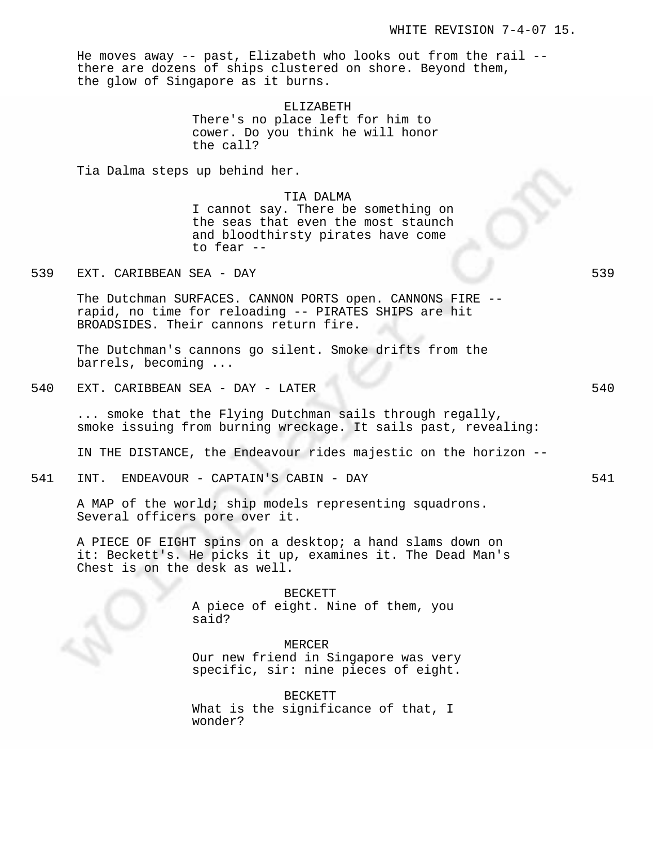He moves away -- past, Elizabeth who looks out from the rail - there are dozens of ships clustered on shore. Beyond them, the glow of Singapore as it burns.

ELIZABETH

There's no place left for him to cower. Do you think he will honor the call?

Tia Dalma steps up behind her.

TIA DALMA

I cannot say. There be something on the seas that even the most staunch and bloodthirsty pirates have come to fear --

539 EXT. CARIBBEAN SEA - DAY 539

The Dutchman SURFACES. CANNON PORTS open. CANNONS FIRE - rapid, no time for reloading -- PIRATES SHIPS are hit BROADSIDES. Their cannons return fire.

The Dutchman's cannons go silent. Smoke drifts from the barrels, becoming ...

540 EXT. CARIBBEAN SEA - DAY - LATER 540

... smoke that the Flying Dutchman sails through regally, smoke issuing from burning wreckage. It sails past, revealing:

IN THE DISTANCE, the Endeavour rides majestic on the horizon --

541 INT. ENDEAVOUR - CAPTAIN'S CABIN - DAY 541

A MAP of the world; ship models representing squadrons. Several officers pore over it.

A PIECE OF EIGHT spins on a desktop; a hand slams down on it: Beckett's. He picks it up, examines it. The Dead Man's Chest is on the desk as well.

> BECKETT A piece of eight. Nine of them, you said?

MERCER Our new friend in Singapore was very specific, sir: nine pieces of eight.

BECKETT What is the significance of that, I wonder?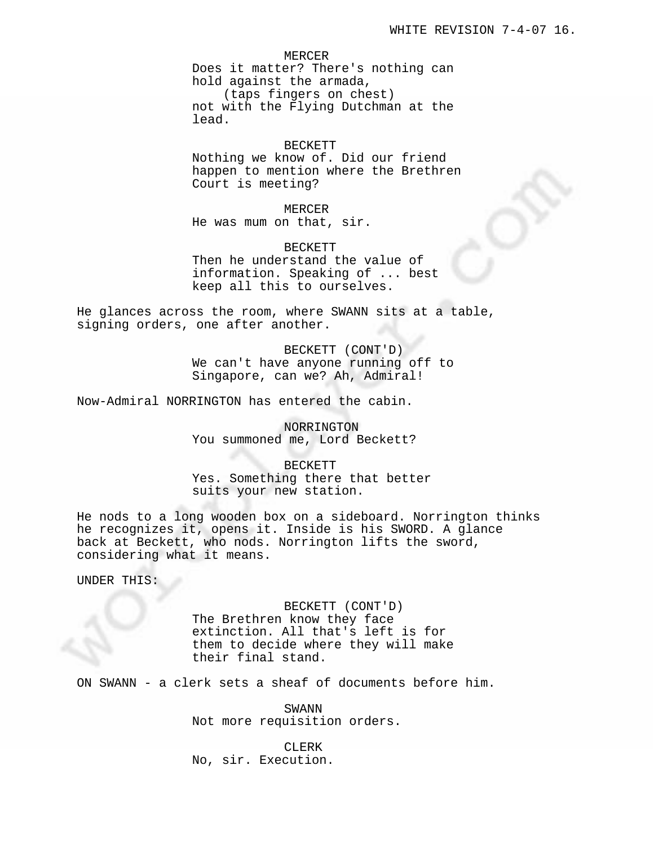MERCER

Does it matter? There's nothing can hold against the armada, (taps fingers on chest)

not with the Flying Dutchman at the lead.

#### BECKETT

Nothing we know of. Did our friend happen to mention where the Brethren Court is meeting?

MERCER He was mum on that, sir.

BECKETT Then he understand the value of information. Speaking of ... best keep all this to ourselves.

He glances across the room, where SWANN sits at a table, signing orders, one after another.

> BECKETT (CONT'D) We can't have anyone running off to Singapore, can we? Ah, Admiral!

Now-Admiral NORRINGTON has entered the cabin.

NORRINGTON You summoned me, Lord Beckett?

BECKETT Yes. Something there that better suits your new station.

He nods to a long wooden box on a sideboard. Norrington thinks he recognizes it, opens it. Inside is his SWORD. A glance back at Beckett, who nods. Norrington lifts the sword, considering what it means.

UNDER THIS:

BECKETT (CONT'D) The Brethren know they face extinction. All that's left is for them to decide where they will make their final stand.

ON SWANN - a clerk sets a sheaf of documents before him.

SWANN Not more requisition orders.

CLERK No, sir. Execution.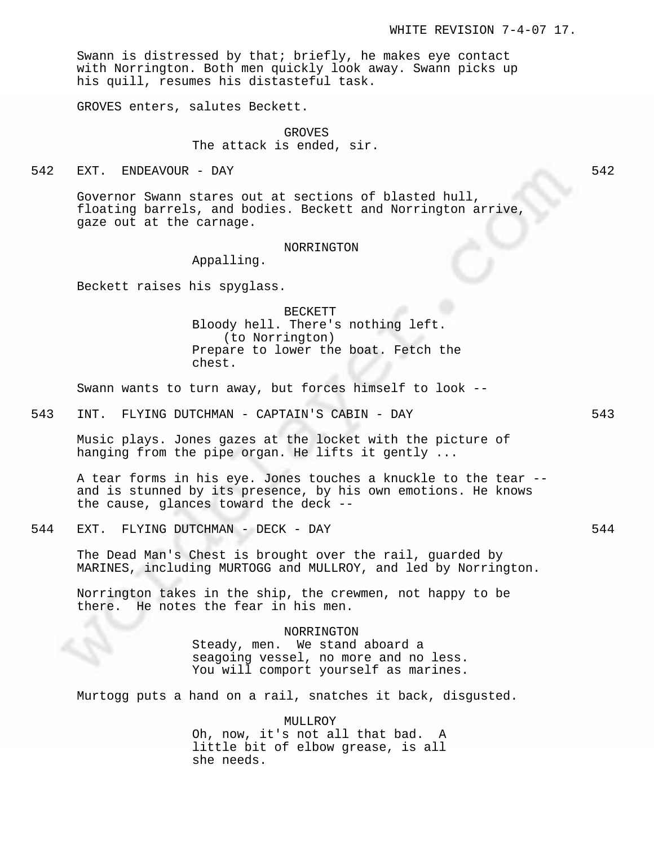Swann is distressed by that; briefly, he makes eye contact with Norrington. Both men quickly look away. Swann picks up his quill, resumes his distasteful task.

GROVES enters, salutes Beckett.

GROVES The attack is ended, sir.

542 EXT. ENDEAVOUR - DAY 542

Governor Swann stares out at sections of blasted hull, floating barrels, and bodies. Beckett and Norrington arrive, gaze out at the carnage.

### NORRINGTON

Appalling.

Beckett raises his spyglass.

BECKETT Bloody hell. There's nothing left. (to Norrington) Prepare to lower the boat. Fetch the chest.

Swann wants to turn away, but forces himself to look --

543 INT. FLYING DUTCHMAN - CAPTAIN'S CABIN - DAY 543

Music plays. Jones gazes at the locket with the picture of hanging from the pipe organ. He lifts it gently ...

A tear forms in his eye. Jones touches a knuckle to the tear - and is stunned by its presence, by his own emotions. He knows the cause, glances toward the deck --

544 EXT. FLYING DUTCHMAN - DECK - DAY 544

The Dead Man's Chest is brought over the rail, guarded by MARINES, including MURTOGG and MULLROY, and led by Norrington.

Norrington takes in the ship, the crewmen, not happy to be there. He notes the fear in his men.

NORRINGTON

Steady, men. We stand aboard a seagoing vessel, no more and no less. You will comport yourself as marines.

Murtogg puts a hand on a rail, snatches it back, disgusted.

MULLROY Oh, now, it's not all that bad. A little bit of elbow grease, is all she needs.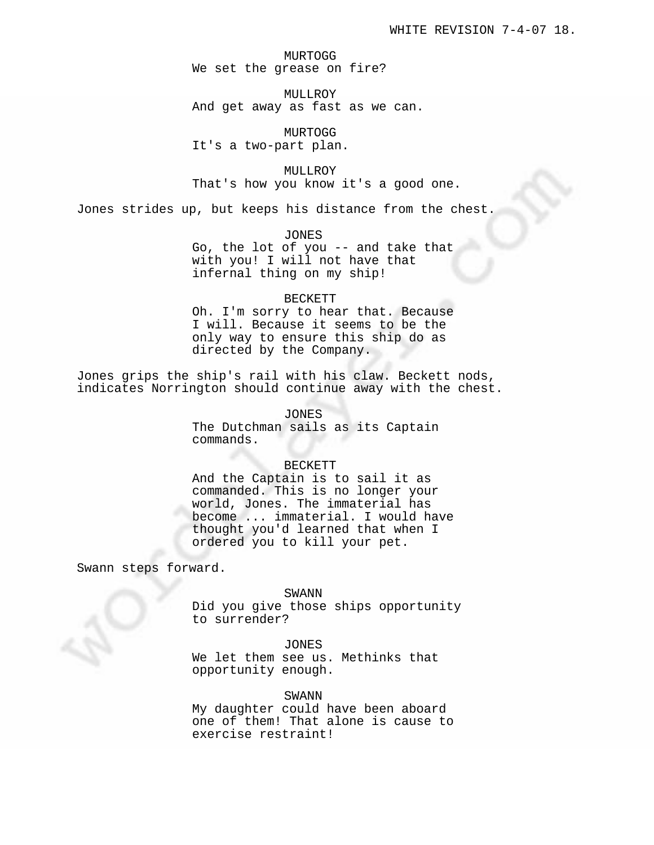MURTOGG We set the grease on fire?

MULLROY And get away as fast as we can.

MURTOGG It's a two-part plan.

MULLROY That's how you know it's a good one.

Jones strides up, but keeps his distance from the chest.

JONES

Go, the lot of you -- and take that with you! I will not have that infernal thing on my ship!

## BECKETT

Oh. I'm sorry to hear that. Because I will. Because it seems to be the only way to ensure this ship do as directed by the Company.

Jones grips the ship's rail with his claw. Beckett nods, indicates Norrington should continue away with the chest.

> JONES The Dutchman sails as its Captain commands.

## BECKETT

And the Captain is to sail it as commanded. This is no longer your world, Jones. The immaterial has become ... immaterial. I would have thought you'd learned that when I ordered you to kill your pet.

Swann steps forward.

SWANN

Did you give those ships opportunity to surrender?

# JONES

We let them see us. Methinks that opportunity enough.

## SWANN

My daughter could have been aboard one of them! That alone is cause to exercise restraint!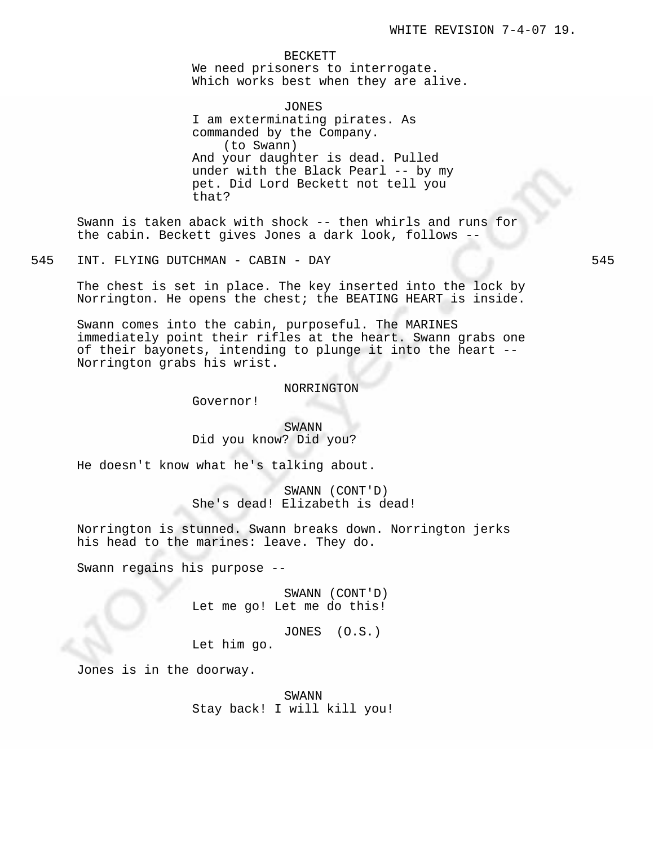BECKETT We need prisoners to interrogate. Which works best when they are alive.

JONES I am exterminating pirates. As commanded by the Company. (to Swann) And your daughter is dead. Pulled under with the Black Pearl -- by my pet. Did Lord Beckett not tell you that?

Swann is taken aback with shock -- then whirls and runs for the cabin. Beckett gives Jones a dark look, follows --

545 INT. FLYING DUTCHMAN - CABIN - DAY 545

The chest is set in place. The key inserted into the lock by Norrington. He opens the chest; the BEATING HEART is inside.

Swann comes into the cabin, purposeful. The MARINES immediately point their rifles at the heart. Swann grabs one of their bayonets, intending to plunge it into the heart -- Norrington grabs his wrist.

#### NORRINGTON

Governor!

# SWANN Did you know? Did you?

He doesn't know what he's talking about.

SWANN (CONT'D) She's dead! Elizabeth is dead!

Norrington is stunned. Swann breaks down. Norrington jerks his head to the marines: leave. They do.

Swann regains his purpose --

SWANN (CONT'D) Let me go! Let me do this!

JONES (O.S.)

Let him go.

Jones is in the doorway.

SWANN Stay back! I will kill you!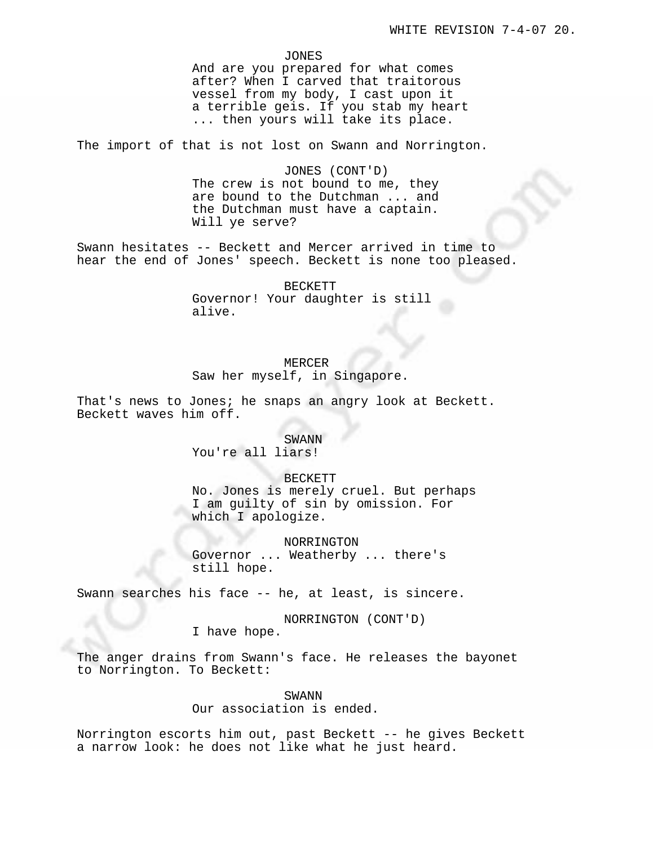### JONES

And are you prepared for what comes after? When I carved that traitorous vessel from my body, I cast upon it a terrible geis. If you stab my heart ... then yours will take its place.

The import of that is not lost on Swann and Norrington.

JONES (CONT'D) The crew is not bound to me, they are bound to the Dutchman ... and the Dutchman must have a captain. Will ye serve?

Swann hesitates -- Beckett and Mercer arrived in time to hear the end of Jones' speech. Beckett is none too pleased.

> BECKETT Governor! Your daughter is still alive.

## MERCER

Saw her myself, in Singapore.

That's news to Jones; he snaps an angry look at Beckett. Beckett waves him off.

> SWANN You're all liars!

BECKETT No. Jones is merely cruel. But perhaps I am guilty of sin by omission. For which I apologize.

NORRINGTON Governor ... Weatherby ... there's still hope.

Swann searches his face -- he, at least, is sincere.

NORRINGTON (CONT'D)

I have hope.

The anger drains from Swann's face. He releases the bayonet to Norrington. To Beckett:

> SWANN Our association is ended.

Norrington escorts him out, past Beckett -- he gives Beckett a narrow look: he does not like what he just heard.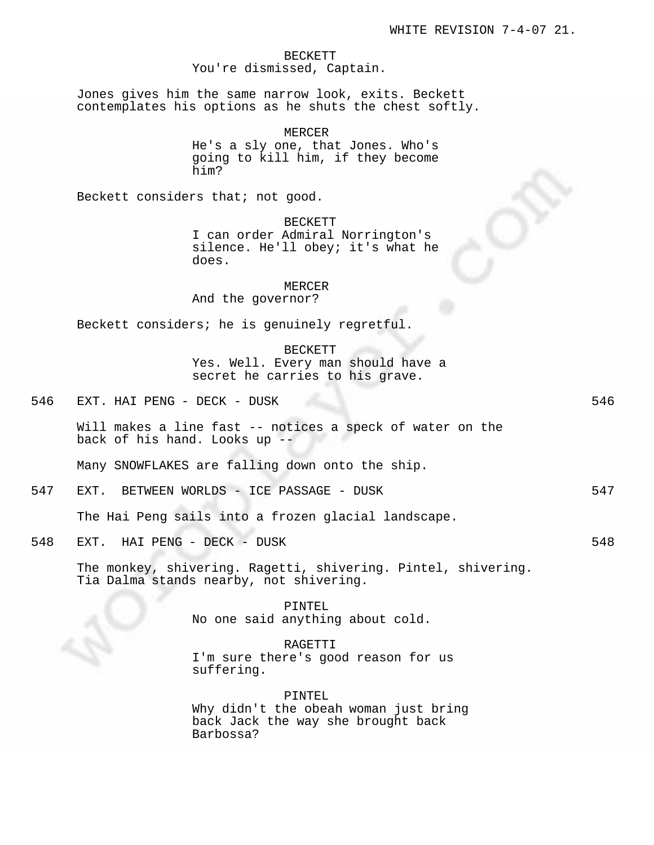# BECKETT You're dismissed, Captain.

Jones gives him the same narrow look, exits. Beckett contemplates his options as he shuts the chest softly.

> MERCER He's a sly one, that Jones. Who's going to kill him, if they become him?

Beckett considers that; not good.

BECKETT

I can order Admiral Norrington's silence. He'll obey; it's what he does.

#### MERCER

And the governor?

Beckett considers; he is genuinely regretful.

### BECKETT

Yes. Well. Every man should have a secret he carries to his grave.

| 546 | EXT |  | HAI PENG - | DECK - | DUSK |  |  |  |
|-----|-----|--|------------|--------|------|--|--|--|
|-----|-----|--|------------|--------|------|--|--|--|

Will makes a line fast -- notices a speck of water on the back of his hand. Looks up --

Many SNOWFLAKES are falling down onto the ship.

547 EXT. BETWEEN WORLDS - ICE PASSAGE - DUSK 547

The Hai Peng sails into a frozen glacial landscape.

548 EXT. HAI PENG - DECK - DUSK 548

The monkey, shivering. Ragetti, shivering. Pintel, shivering. Tia Dalma stands nearby, not shivering.

> PINTEL No one said anything about cold.

# RAGETTI

I'm sure there's good reason for us suffering.

PINTEL Why didn't the obeah woman just bring back Jack the way she brought back Barbossa?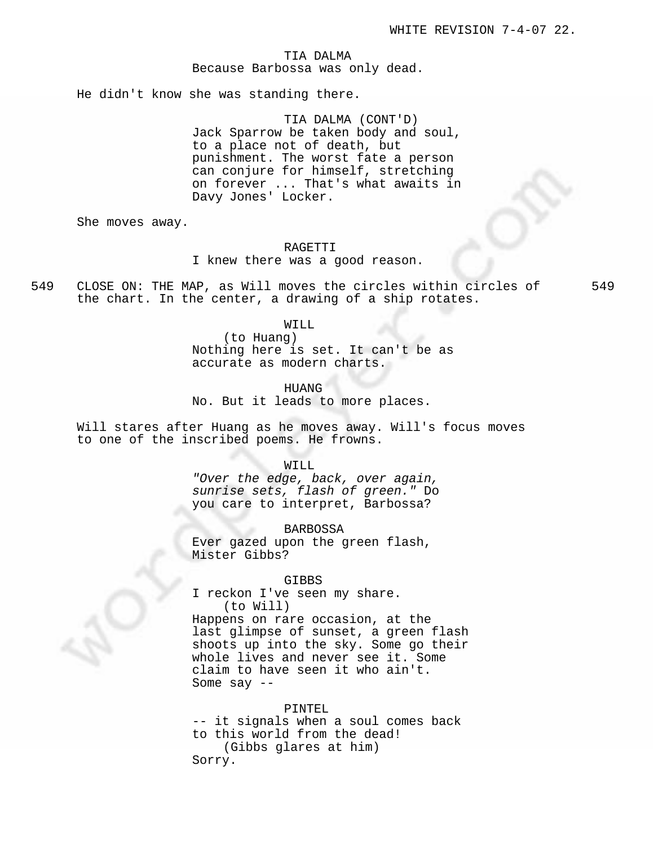## TIA DALMA Because Barbossa was only dead.

He didn't know she was standing there.

TIA DALMA (CONT'D) Jack Sparrow be taken body and soul, to a place not of death, but punishment. The worst fate a person can conjure for himself, stretching on forever ... That's what awaits in Davy Jones' Locker.

She moves away.

### RAGETTI

# I knew there was a good reason.

549 CLOSE ON: THE MAP, as Will moves the circles within circles of 549 the chart. In the center, a drawing of a ship rotates.

### WILL

(to Huang) Nothing here is set. It can't be as accurate as modern charts.

HUANG No. But it leads to more places.

Will stares after Huang as he moves away. Will's focus moves to one of the inscribed poems. He frowns.

#### WILL

"Over the edge, back, over again, sunrise sets, flash of green." Do you care to interpret, Barbossa?

BARBOSSA Ever gazed upon the green flash, Mister Gibbs?

#### GIBBS

I reckon I've seen my share. (to Will)

Happens on rare occasion, at the last glimpse of sunset, a green flash shoots up into the sky. Some go their whole lives and never see it. Some claim to have seen it who ain't. Some say --

### PINTEL

-- it signals when a soul comes back to this world from the dead! (Gibbs glares at him) Sorry.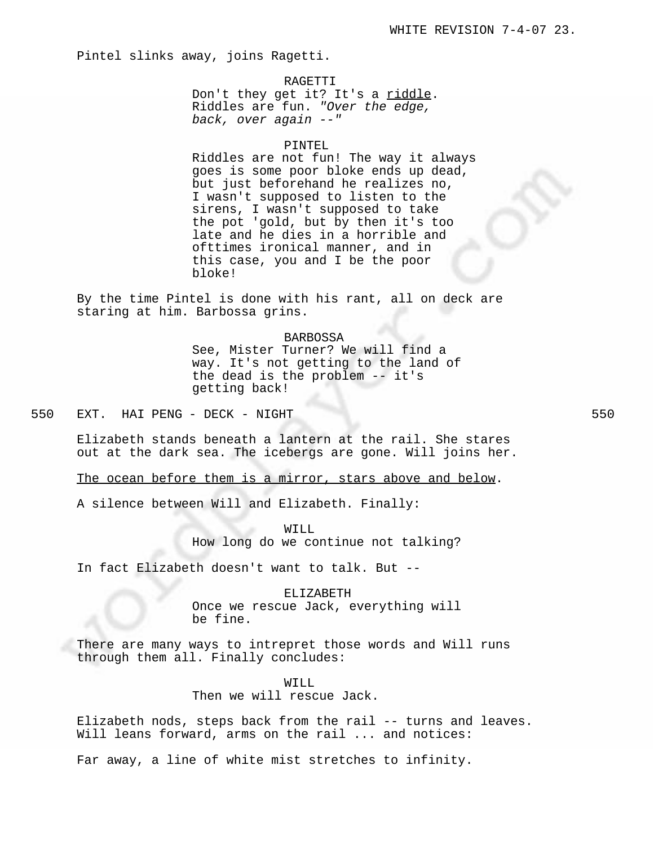Pintel slinks away, joins Ragetti.

## RAGETTI

Don't they get it? It's a riddle. Riddles are fun. "Over the edge, back, over again --"

#### PINTEL

Riddles are not fun! The way it always goes is some poor bloke ends up dead, but just beforehand he realizes no, I wasn't supposed to listen to the sirens, I wasn't supposed to take the pot 'gold, but by then it's too late and he dies in a horrible and ofttimes ironical manner, and in this case, you and I be the poor bloke!

By the time Pintel is done with his rant, all on deck are staring at him. Barbossa grins.

### BARBOSSA

See, Mister Turner? We will find a way. It's not getting to the land of the dead is the problem -- it's getting back!

550 EXT. HAI PENG - DECK - NIGHT 550

Elizabeth stands beneath a lantern at the rail. She stares out at the dark sea. The icebergs are gone. Will joins her.

The ocean before them is a mirror, stars above and below.

A silence between Will and Elizabeth. Finally:

WILL How long do we continue not talking?

In fact Elizabeth doesn't want to talk. But --

# ELIZABETH

Once we rescue Jack, everything will be fine.

There are many ways to intrepret those words and Will runs through them all. Finally concludes:

WILL

# Then we will rescue Jack.

Elizabeth nods, steps back from the rail -- turns and leaves. Will leans forward, arms on the rail ... and notices:

Far away, a line of white mist stretches to infinity.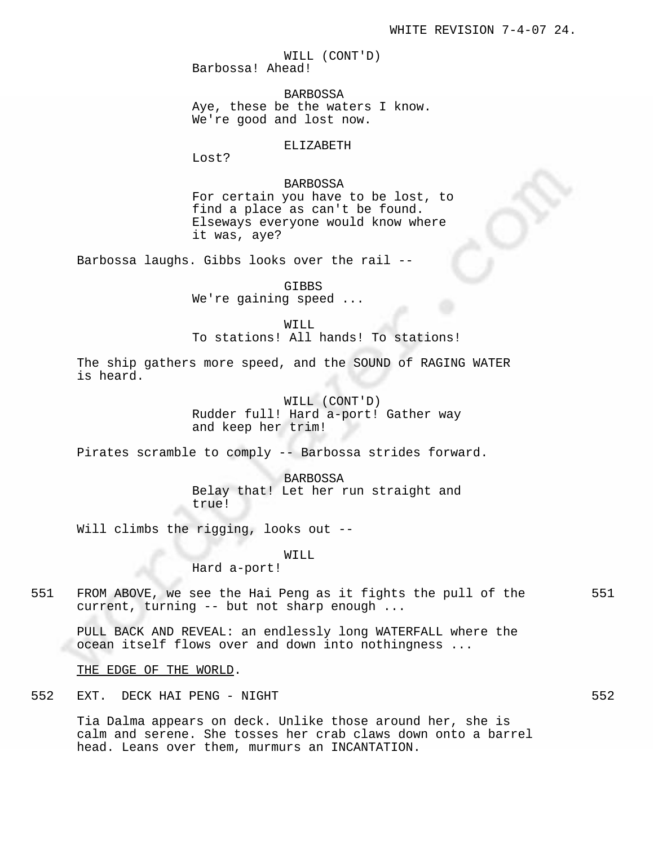WILL (CONT'D) Barbossa! Ahead!

BARBOSSA Aye, these be the waters I know. We're good and lost now.

ELIZABETH

Lost?

# BARBOSSA

For certain you have to be lost, to find a place as can't be found. Elseways everyone would know where it was, aye?

Barbossa laughs. Gibbs looks over the rail --

GIBBS

We're gaining speed ...

WILL

To stations! All hands! To stations!

The ship gathers more speed, and the SOUND of RAGING WATER is heard.

> WILL (CONT'D) Rudder full! Hard a-port! Gather way and keep her trim!

Pirates scramble to comply -- Barbossa strides forward.

BARBOSSA Belay that! Let her run straight and true!

Will climbs the rigging, looks out --

WILL

Hard a-port!

551 FROM ABOVE, we see the Hai Peng as it fights the pull of the 551 current, turning -- but not sharp enough ...

PULL BACK AND REVEAL: an endlessly long WATERFALL where the ocean itself flows over and down into nothingness ...

THE EDGE OF THE WORLD.

552 EXT. DECK HAI PENG - NIGHT 552

Tia Dalma appears on deck. Unlike those around her, she is calm and serene. She tosses her crab claws down onto a barrel head. Leans over them, murmurs an INCANTATION.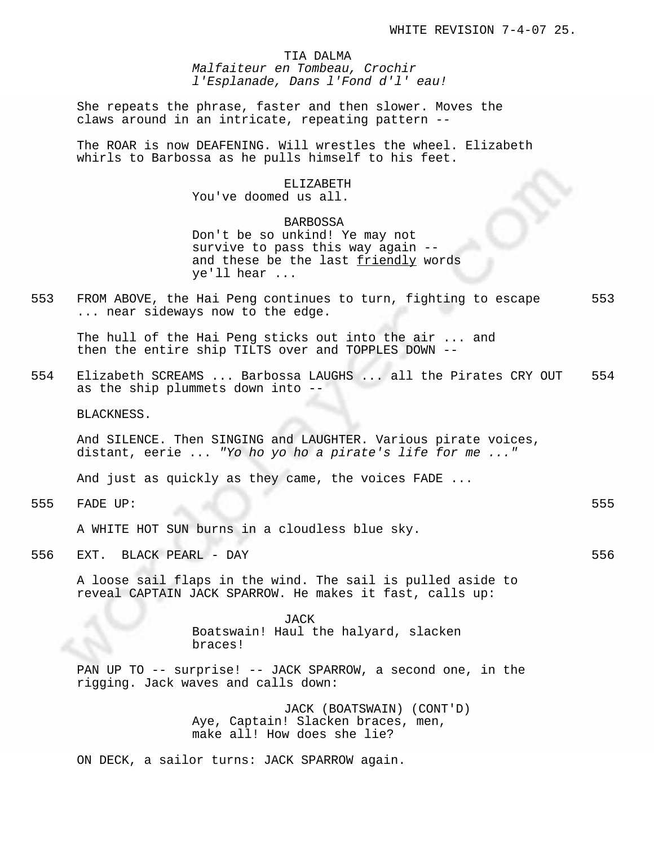TIA DALMA Malfaiteur en Tombeau, Crochir l'Esplanade, Dans l'Fond d'l' eau!

She repeats the phrase, faster and then slower. Moves the claws around in an intricate, repeating pattern --

The ROAR is now DEAFENING. Will wrestles the wheel. Elizabeth whirls to Barbossa as he pulls himself to his feet.

### ELIZABETH

You've doomed us all.

## BARBOSSA

Don't be so unkind! Ye may not survive to pass this way again - and these be the last friendly words ye'll hear ...

553 FROM ABOVE, the Hai Peng continues to turn, fighting to escape 553 ... near sideways now to the edge.

The hull of the Hai Peng sticks out into the air ... and then the entire ship TILTS over and TOPPLES DOWN --

554 Elizabeth SCREAMS ... Barbossa LAUGHS ... all the Pirates CRY OUT 554 as the ship plummets down into --

BLACKNESS.

And SILENCE. Then SINGING and LAUGHTER. Various pirate voices, distant, eerie ... "Yo ho yo ho a pirate's life for me ..."

And just as quickly as they came, the voices FADE ...

555 FADE UP: 555

A WHITE HOT SUN burns in a cloudless blue sky.

556 EXT. BLACK PEARL - DAY 556

A loose sail flaps in the wind. The sail is pulled aside to reveal CAPTAIN JACK SPARROW. He makes it fast, calls up:

> JACK Boatswain! Haul the halyard, slacken braces!

PAN UP TO -- surprise! -- JACK SPARROW, a second one, in the rigging. Jack waves and calls down:

> JACK (BOATSWAIN) (CONT'D) Aye, Captain! Slacken braces, men, make all! How does she lie?

ON DECK, a sailor turns: JACK SPARROW again.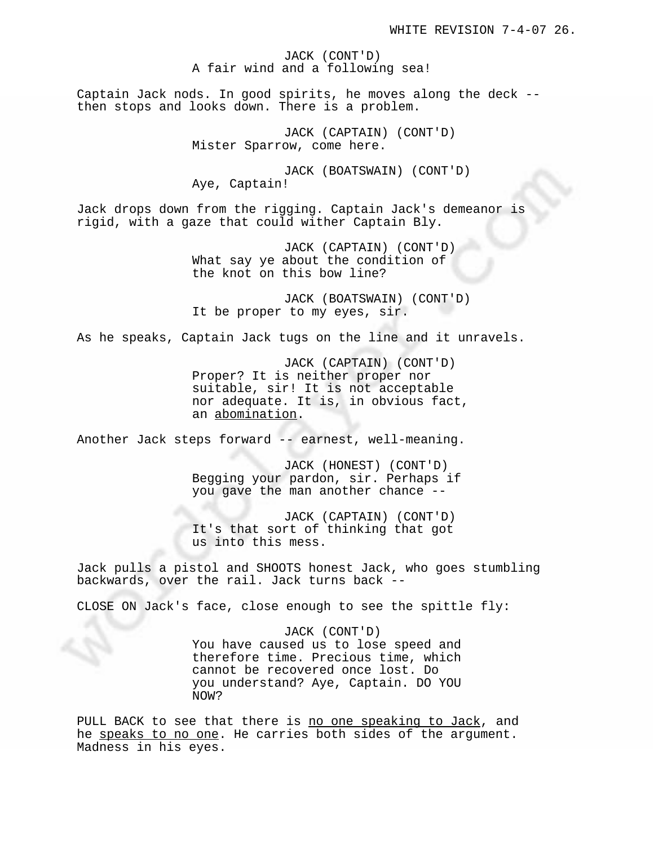JACK (CONT'D) A fair wind and a following sea!

Captain Jack nods. In good spirits, he moves along the deck - then stops and looks down. There is a problem.

> JACK (CAPTAIN) (CONT'D) Mister Sparrow, come here.

JACK (BOATSWAIN) (CONT'D) Aye, Captain!

Jack drops down from the rigging. Captain Jack's demeanor is rigid, with a gaze that could wither Captain Bly.

> JACK (CAPTAIN) (CONT'D) What say ye about the condition of the knot on this bow line?

JACK (BOATSWAIN) (CONT'D) It be proper to my eyes, sir.

As he speaks, Captain Jack tugs on the line and it unravels.

JACK (CAPTAIN) (CONT'D) Proper? It is neither proper nor suitable, sir! It is not acceptable nor adequate. It is, in obvious fact, an abomination.

Another Jack steps forward -- earnest, well-meaning.

JACK (HONEST) (CONT'D) Begging your pardon, sir. Perhaps if you gave the man another chance --

JACK (CAPTAIN) (CONT'D) It's that sort of thinking that got us into this mess.

Jack pulls a pistol and SHOOTS honest Jack, who goes stumbling backwards, over the rail. Jack turns back --

CLOSE ON Jack's face, close enough to see the spittle fly:

JACK (CONT'D) You have caused us to lose speed and therefore time. Precious time, which cannot be recovered once lost. Do you understand? Aye, Captain. DO YOU NOW?

PULL BACK to see that there is no one speaking to Jack, and he speaks to no one. He carries both sides of the argument. Madness in his eyes.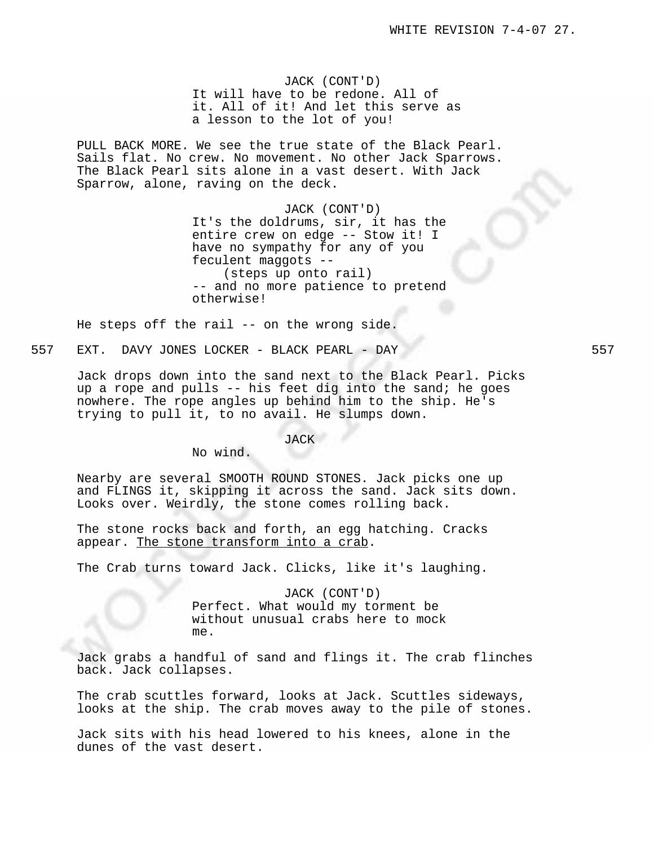JACK (CONT'D) It will have to be redone. All of it. All of it! And let this serve as a lesson to the lot of you!

PULL BACK MORE. We see the true state of the Black Pearl. Sails flat. No crew. No movement. No other Jack Sparrows. The Black Pearl sits alone in a vast desert. With Jack Sparrow, alone, raving on the deck.

# JACK (CONT'D)

It's the doldrums, sir, it has the entire crew on edge -- Stow it! I have no sympathy for any of you feculent maggots -- (steps up onto rail) -- and no more patience to pretend otherwise!

He steps off the rail -- on the wrong side.

557 EXT. DAVY JONES LOCKER - BLACK PEARL - DAY 557

Jack drops down into the sand next to the Black Pearl. Picks up a rope and pulls -- his feet dig into the sand; he goes nowhere. The rope angles up behind him to the ship. He's trying to pull it, to no avail. He slumps down.

# JACK

No wind.

Nearby are several SMOOTH ROUND STONES. Jack picks one up and FLINGS it, skipping it across the sand. Jack sits down. Looks over. Weirdly, the stone comes rolling back.

The stone rocks back and forth, an egg hatching. Cracks appear. The stone transform into a crab.

The Crab turns toward Jack. Clicks, like it's laughing.

JACK (CONT'D) Perfect. What would my torment be without unusual crabs here to mock me.

Jack grabs a handful of sand and flings it. The crab flinches back. Jack collapses.

The crab scuttles forward, looks at Jack. Scuttles sideways, looks at the ship. The crab moves away to the pile of stones.

Jack sits with his head lowered to his knees, alone in the dunes of the vast desert.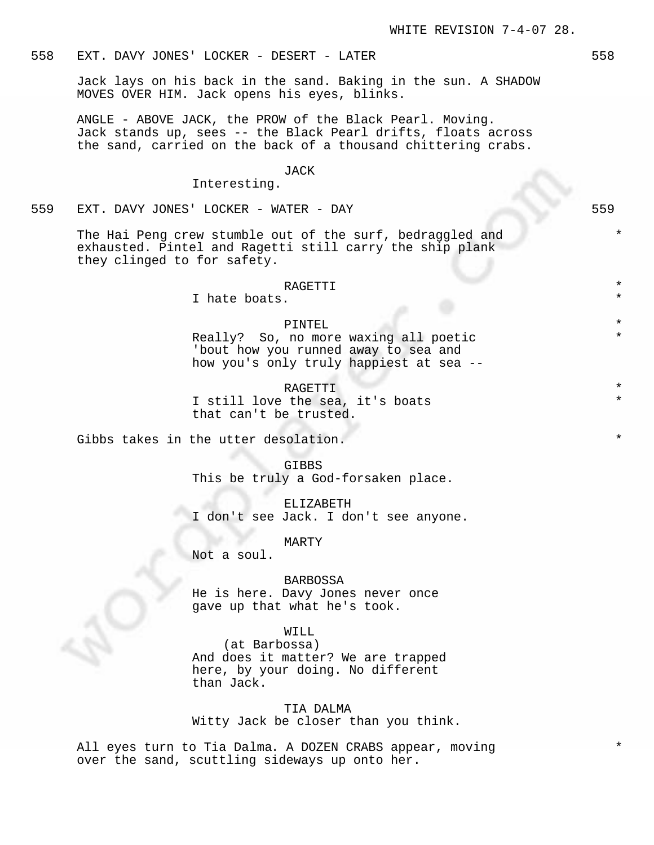# 558 EXT. DAVY JONES' LOCKER - DESERT - LATER 558

Jack lays on his back in the sand. Baking in the sun. A SHADOW MOVES OVER HIM. Jack opens his eyes, blinks.

ANGLE - ABOVE JACK, the PROW of the Black Pearl. Moving. Jack stands up, sees -- the Black Pearl drifts, floats across the sand, carried on the back of a thousand chittering crabs.

#### JACK

## Interesting.

559 EXT. DAVY JONES' LOCKER - WATER - DAY 559

The Hai Peng crew stumble out of the surf, bedraggled and exhausted. Pintel and Ragetti still carry the ship plank they clinged to for safety.

#### RAGETTI

I hate boats.

# PINTEL  $\qquad \qquad \star$

Really? So, no more waxing all poetic 'bout how you runned away to sea and how you's only truly happiest at sea --

RAGETTI I still love the sea, it's boats that can't be trusted.

Gibbs takes in the utter desolation.

GIBBS This be truly a God-forsaken place.

ELIZABETH I don't see Jack. I don't see anyone.

MARTY

Not a soul.

## BARBOSSA

He is here. Davy Jones never once gave up that what he's took.

# WILL

(at Barbossa) And does it matter? We are trapped here, by your doing. No different than Jack.

TIA DALMA Witty Jack be closer than you think.

All eyes turn to Tia Dalma. A DOZEN CRABS appear, moving over the sand, scuttling sideways up onto her.

\*

\*

\*

\*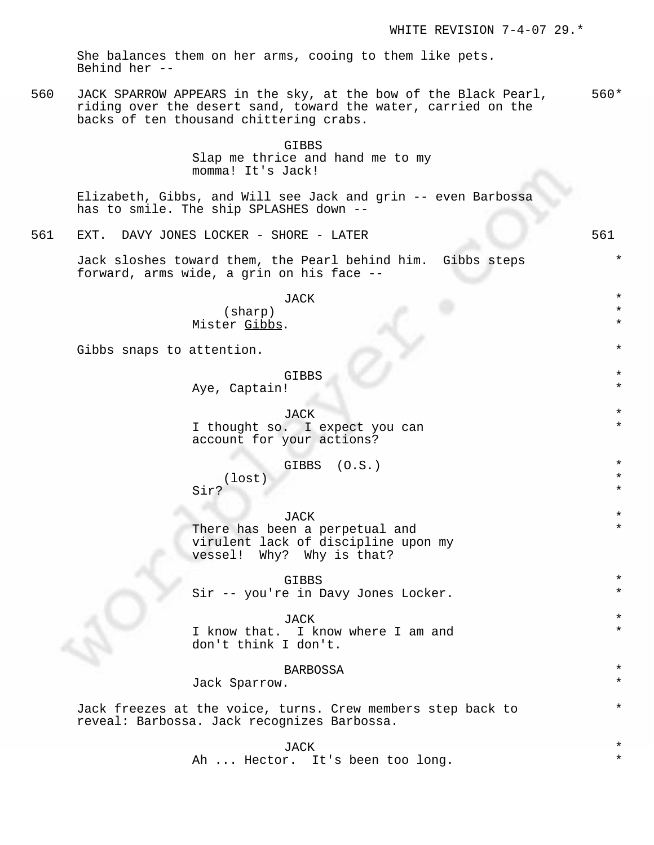She balances them on her arms, cooing to them like pets. Behind her --

560 JACK SPARROW APPEARS in the sky, at the bow of the Black Pearl, riding over the desert sand, toward the water, carried on the backs of ten thousand chittering crabs. 560\*

> GIBBS Slap me thrice and hand me to my momma! It's Jack!

Elizabeth, Gibbs, and Will see Jack and grin -- even Barbossa has to smile. The ship SPLASHES down --

561 EXT. DAVY JONES LOCKER - SHORE - LATER 561

Jack sloshes toward them, the Pearl behind him. Gibbs steps forward, arms wide, a grin on his face --

> JACK \* (sharp) \* Mister Gibbs.

Gibbs snaps to attention.

GIBBS  $\qquad$ 

Aye, Captain!

JACK \* I thought so. I expect you can account for your actions?

GIBBS (O.S.) \*

(lost) \* Sir?

 $JACK$   $*$ There has been a perpetual and virulent lack of discipline upon my vessel! Why? Why is that?

GIBBS  $\qquad$  \* Sir -- you're in Davy Jones Locker.

 $JACK$   $*$ I know that. I know where I am and don't think I don't.

**BARBOSSA** 

Jack Sparrow.

Jack freezes at the voice, turns. Crew members step back to reveal: Barbossa. Jack recognizes Barbossa.

 $JACK$   $*$ 

Ah ... Hector. It's been too long.

\*

\*

\*

\*

\*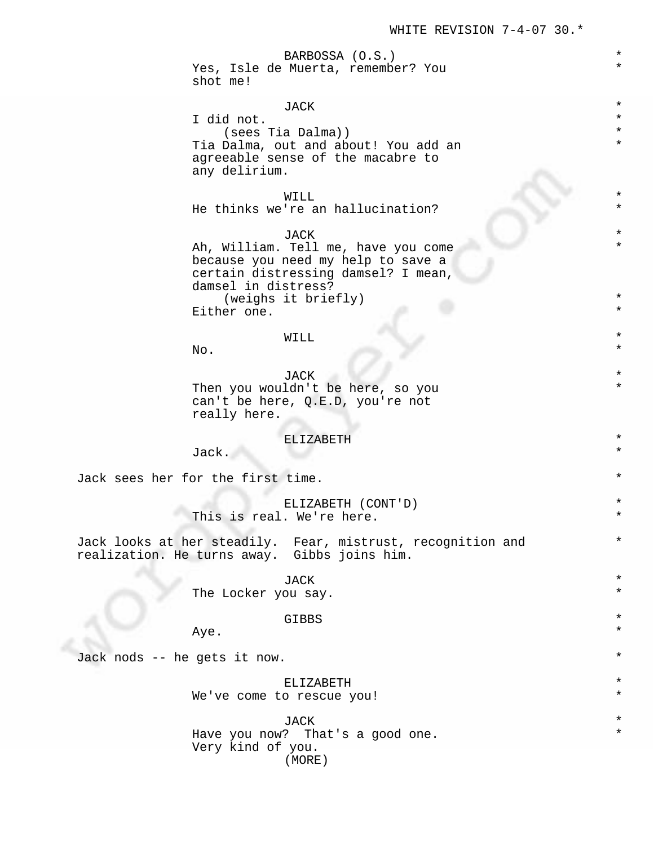\*

\*

\*

\*

\*

\*

#### BARBOSSA (O.S.) \*

Yes, Isle de Muerta, remember? You shot me!

# $JACK$   $*$

I did not.  $\qquad \qquad \bullet$ (sees Tia Dalma)) \* Tia Dalma, out and about! You add an agreeable sense of the macabre to any delirium.

# WILL  $\qquad \qquad \star$

He thinks we're an hallucination?

JACK \*

Ah, William. Tell me, have you come because you need my help to save a certain distressing damsel? I mean, damsel in distress?  $(weighs$  it  $briefly)$ Either one.

# WILL  $\qquad \qquad \star$

 $N$ o.  $\star$ 

 $JACK$   $\star$ Then you wouldn't be here, so you can't be here, Q.E.D, you're not really here.

### ELIZABETH \*

Jack.  $\star$ 

Jack sees her for the first time.

ELIZABETH (CONT'D) \* This is real. We're here.

Jack looks at her steadily. Fear, mistrust, recognition and realization. He turns away. Gibbs joins him.

 $JACK$   $*$ 

The Locker you say.

# GIBBS  $\qquad$  \*

 $Aye.$  \*

Jack nods -- he gets it now. \*

### ELIZABETH \*

We've come to rescue you!

 $JACK$   $*$ Have you now? That's a good one. Very kind of you. (MORE)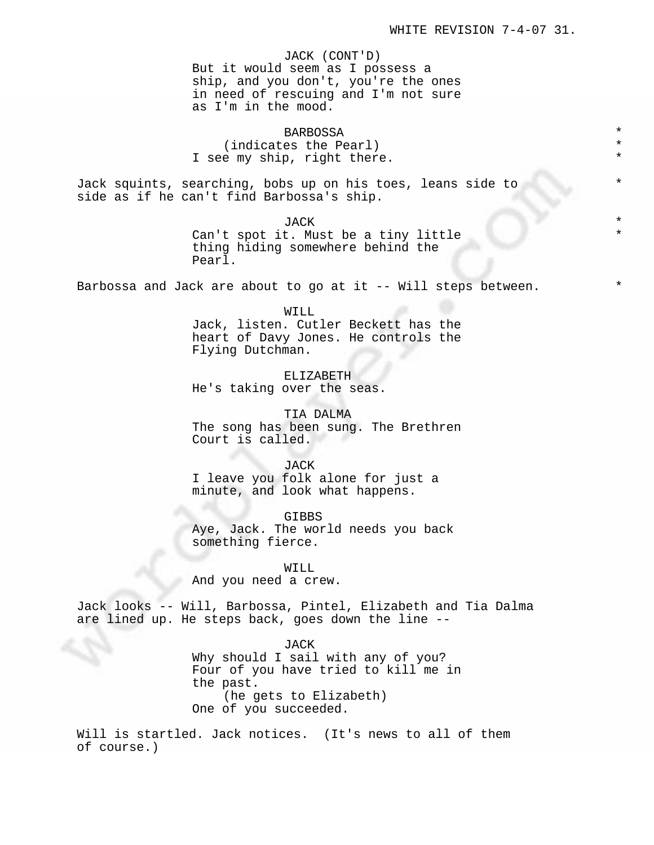\*

\*

JACK (CONT'D) But it would seem as I possess a ship, and you don't, you're the ones in need of rescuing and I'm not sure as I'm in the mood.

BARBOSSA \* (indicates the Pearl) I see my ship, right there.

Jack squints, searching, bobs up on his toes, leans side to side as if he can't find Barbossa's ship.

JACK \*

Can't spot it. Must be a tiny little thing hiding somewhere behind the Pearl.

Barbossa and Jack are about to go at it  $-$ - Will steps between.

WILL Jack, listen. Cutler Beckett has the heart of Davy Jones. He controls the Flying Dutchman.

ELIZABETH He's taking over the seas.

TIA DALMA The song has been sung. The Brethren Court is called.

JACK

I leave you folk alone for just a minute, and look what happens.

GIBBS Aye, Jack. The world needs you back something fierce.

WILL And you need a crew.

Jack looks -- Will, Barbossa, Pintel, Elizabeth and Tia Dalma are lined up. He steps back, goes down the line --

> JACK Why should I sail with any of you? Four of you have tried to kill me in the past. (he gets to Elizabeth) One of you succeeded.

Will is startled. Jack notices. (It's news to all of them of course.)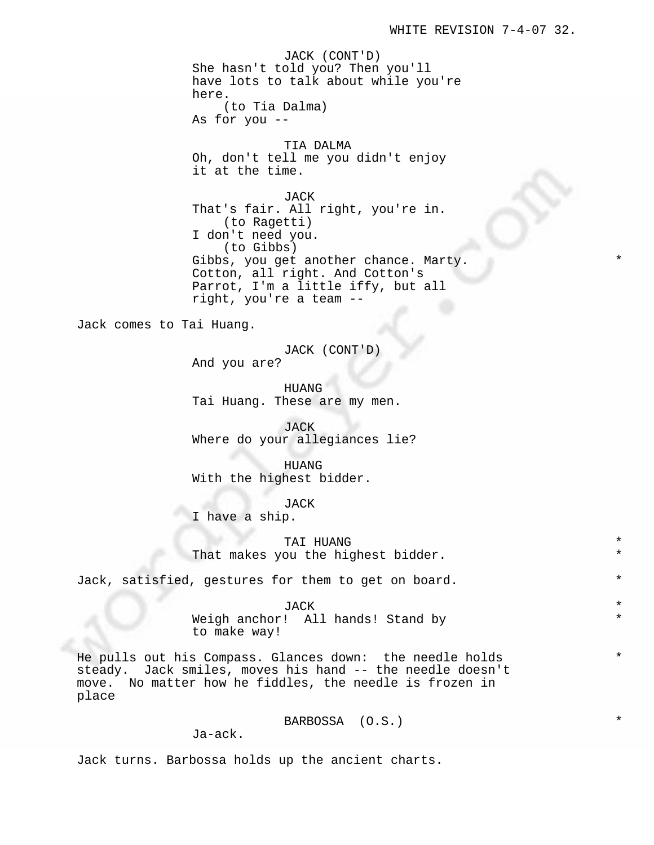\*

\*

\*

JACK (CONT'D) She hasn't told you? Then you'll have lots to talk about while you're here. (to Tia Dalma)

As for you --

TIA DALMA Oh, don't tell me you didn't enjoy it at the time.

JACK That's fair. All right, you're in. (to Ragetti) I don't need you. (to Gibbs) Gibbs, you get another chance. Marty. Cotton, all right. And Cotton's Parrot, I'm a little iffy, but all right, you're a team --

Jack comes to Tai Huang.

JACK (CONT'D)

And you are?

HUANG Tai Huang. These are my men.

JACK Where do your allegiances lie?

HUANG With the highest bidder.

JACK I have a ship.

TAI HUANG That makes you the highest bidder.

Jack, satisfied, gestures for them to get on board.

Weigh anchor! All hands! Stand by to make way!

He pulls out his Compass. Glances down: the needle holds steady. Jack smiles, moves his hand -- the needle doesn't move. No matter how he fiddles, the needle is frozen in place

BARBOSSA (O.S.) \*

Ja-ack.

Jack turns. Barbossa holds up the ancient charts.

 $JACK$   $*$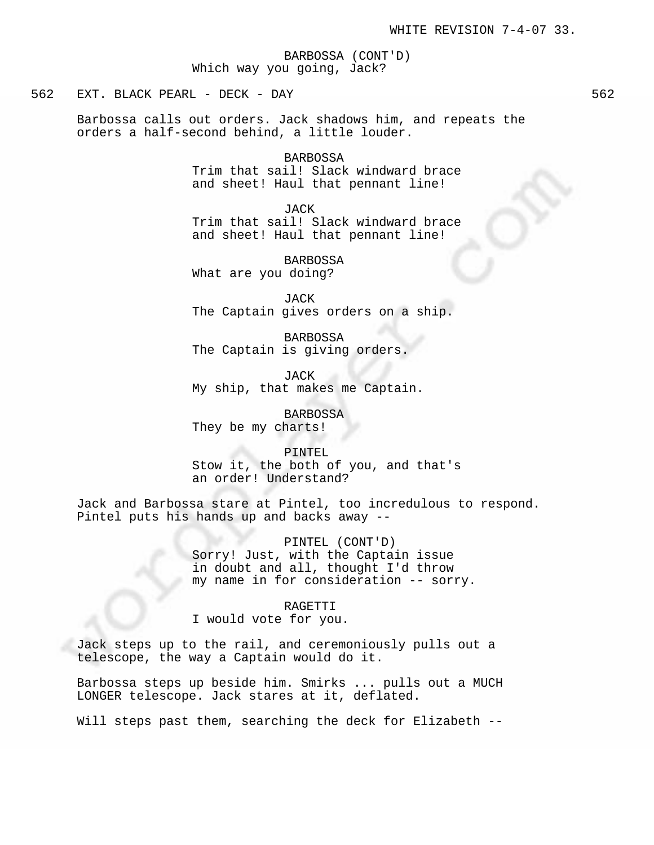BARBOSSA (CONT'D) Which way you going, Jack?

562 EXT. BLACK PEARL - DECK - DAY 562

Barbossa calls out orders. Jack shadows him, and repeats the orders a half-second behind, a little louder.

BARBOSSA

Trim that sail! Slack windward brace and sheet! Haul that pennant line!

JACK

Trim that sail! Slack windward brace and sheet! Haul that pennant line!

BARBOSSA What are you doing?

JACK The Captain gives orders on a ship.

BARBOSSA The Captain is giving orders.

JACK My ship, that makes me Captain.

BARBOSSA They be my charts!

PINTEL Stow it, the both of you, and that's an order! Understand?

Jack and Barbossa stare at Pintel, too incredulous to respond. Pintel puts his hands up and backs away --

> PINTEL (CONT'D) Sorry! Just, with the Captain issue in doubt and all, thought I'd throw my name in for consideration -- sorry.

> > RAGETTI

I would vote for you.

Jack steps up to the rail, and ceremoniously pulls out a telescope, the way a Captain would do it.

Barbossa steps up beside him. Smirks ... pulls out a MUCH LONGER telescope. Jack stares at it, deflated.

Will steps past them, searching the deck for Elizabeth --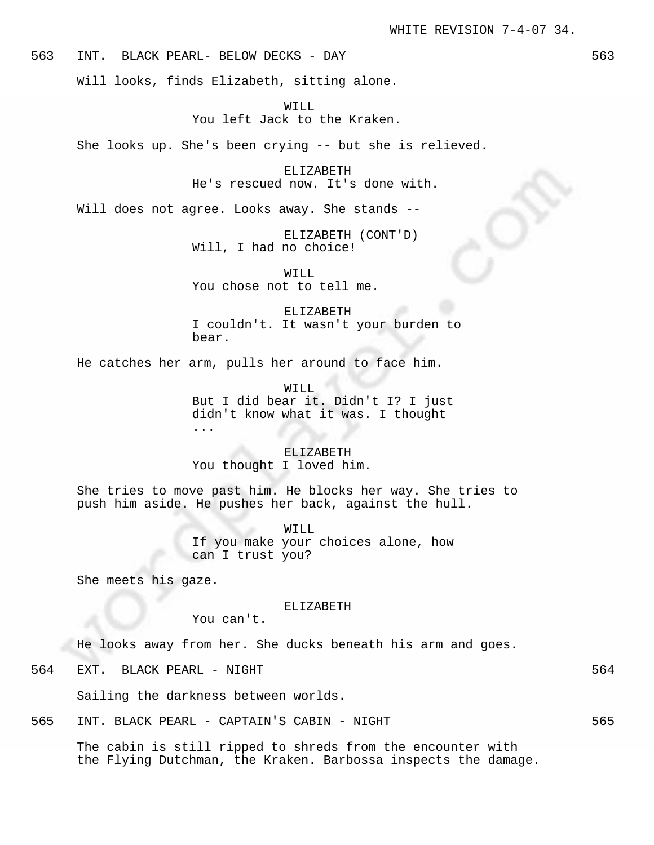563 INT. BLACK PEARL- BELOW DECKS - DAY 563

Will looks, finds Elizabeth, sitting alone.

WILL You left Jack to the Kraken.

She looks up. She's been crying -- but she is relieved.

ELIZABETH He's rescued now. It's done with.

Will does not agree. Looks away. She stands --

ELIZABETH (CONT'D) Will, I had no choice!

WILL You chose not to tell me.

ELIZABETH I couldn't. It wasn't your burden to bear.

He catches her arm, pulls her around to face him.

WILL

But I did bear it. Didn't I? I just didn't know what it was. I thought ...

ELIZABETH You thought I loved him.

She tries to move past him. He blocks her way. She tries to push him aside. He pushes her back, against the hull.

> WILL If you make your choices alone, how can I trust you?

She meets his gaze.

### ELIZABETH

You can't.

He looks away from her. She ducks beneath his arm and goes.

564 EXT. BLACK PEARL - NIGHT 564

Sailing the darkness between worlds.

565 INT. BLACK PEARL - CAPTAIN'S CABIN - NIGHT 565

The cabin is still ripped to shreds from the encounter with the Flying Dutchman, the Kraken. Barbossa inspects the damage.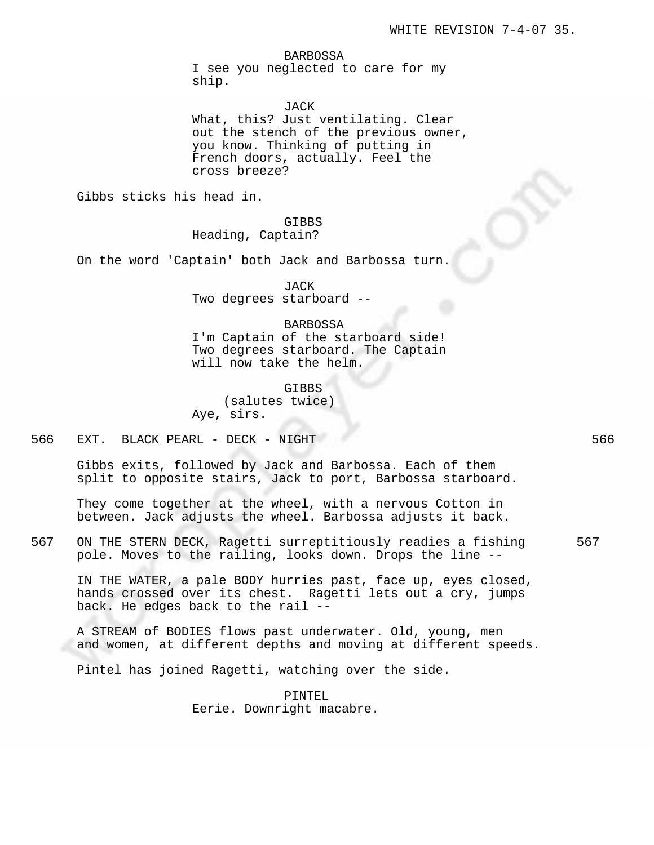#### BARBOSSA

I see you neglected to care for my ship.

JACK

What, this? Just ventilating. Clear out the stench of the previous owner, you know. Thinking of putting in French doors, actually. Feel the cross breeze?

Gibbs sticks his head in.

# GIBBS

Heading, Captain?

On the word 'Captain' both Jack and Barbossa turn.

JACK

Two degrees starboard --

# BARBOSSA

I'm Captain of the starboard side! Two degrees starboard. The Captain will now take the helm.

GIBBS (salutes twice) Aye, sirs.

566 EXT. BLACK PEARL - DECK - NIGHT 566

Gibbs exits, followed by Jack and Barbossa. Each of them split to opposite stairs, Jack to port, Barbossa starboard.

They come together at the wheel, with a nervous Cotton in between. Jack adjusts the wheel. Barbossa adjusts it back.

567 ON THE STERN DECK, Ragetti surreptitiously readies a fishing 567 pole. Moves to the railing, looks down. Drops the line --

IN THE WATER, a pale BODY hurries past, face up, eyes closed, hands crossed over its chest. Ragetti lets out a cry, jumps back. He edges back to the rail --

A STREAM of BODIES flows past underwater. Old, young, men and women, at different depths and moving at different speeds.

Pintel has joined Ragetti, watching over the side.

PINTEL Eerie. Downright macabre.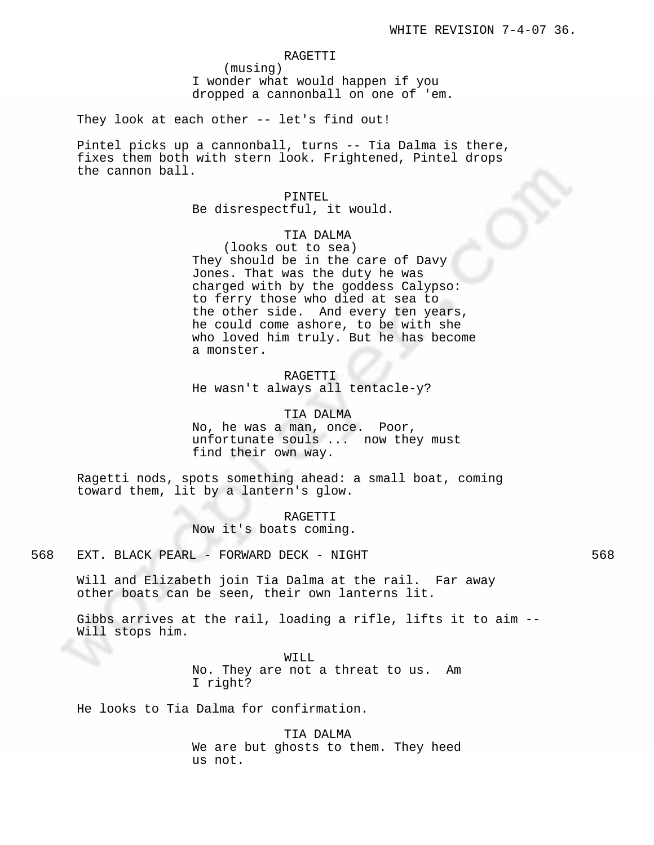### RAGETTI

(musing) I wonder what would happen if you dropped a cannonball on one of 'em.

They look at each other -- let's find out!

Pintel picks up a cannonball, turns -- Tia Dalma is there, fixes them both with stern look. Frightened, Pintel drops the cannon ball.

> PINTEL Be disrespectful, it would.

# TIA DALMA

(looks out to sea) They should be in the care of Davy Jones. That was the duty he was charged with by the goddess Calypso: to ferry those who died at sea to the other side. And every ten years, he could come ashore, to be with she who loved him truly. But he has become a monster.

RAGETTI He wasn't always all tentacle-y?

TIA DALMA No, he was a man, once. Poor, unfortunate souls ... now they must find their own way.

Ragetti nods, spots something ahead: a small boat, coming toward them, lit by a lantern's glow.

> RAGETTI Now it's boats coming.

568 EXT. BLACK PEARL - FORWARD DECK - NIGHT 568

Will and Elizabeth join Tia Dalma at the rail. Far away other boats can be seen, their own lanterns lit.

Gibbs arrives at the rail, loading a rifle, lifts it to aim -- Will stops him.

> WILL No. They are not a threat to us. Am I right?

He looks to Tia Dalma for confirmation.

TIA DALMA We are but ghosts to them. They heed us not.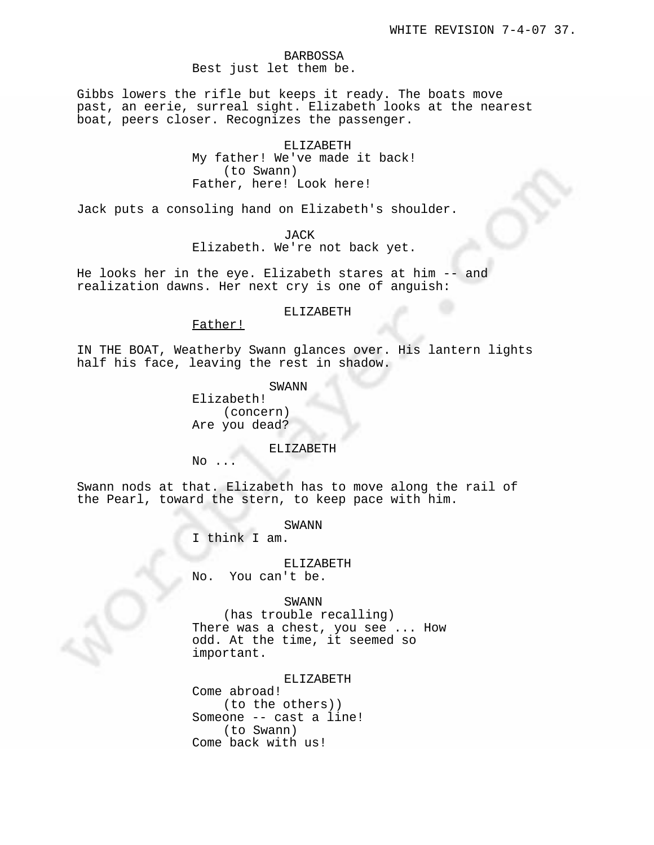# BARBOSSA Best just let them be.

Gibbs lowers the rifle but keeps it ready. The boats move past, an eerie, surreal sight. Elizabeth looks at the nearest boat, peers closer. Recognizes the passenger.

> ELIZABETH My father! We've made it back! (to Swann) Father, here! Look here!

Jack puts a consoling hand on Elizabeth's shoulder.

JACK

Elizabeth. We're not back yet.

He looks her in the eye. Elizabeth stares at him -- and realization dawns. Her next cry is one of anguish:

## ELIZABETH

Father!

IN THE BOAT, Weatherby Swann glances over. His lantern lights half his face, leaving the rest in shadow.

SWANN

Elizabeth! (concern) Are you dead?

### ELIZABETH

 $No$ 

Swann nods at that. Elizabeth has to move along the rail of the Pearl, toward the stern, to keep pace with him.

SWANN

I think I am.

# ELIZABETH

No. You can't be.

# SWANN

(has trouble recalling) There was a chest, you see ... How odd. At the time, it seemed so important.

#### ELIZABETH

Come abroad! (to the others)) Someone -- cast a line! (to Swann) Come back with us!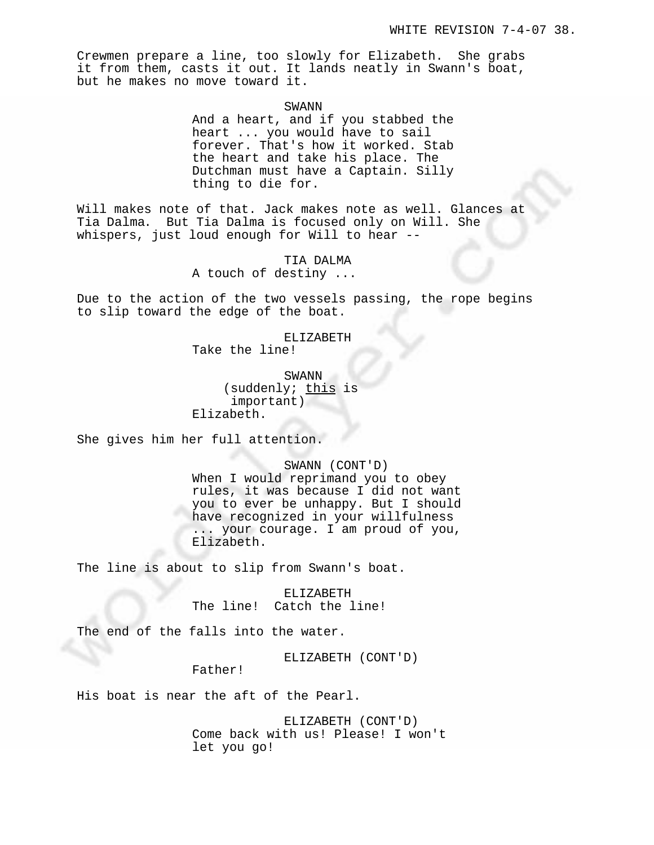Crewmen prepare a line, too slowly for Elizabeth. She grabs it from them, casts it out. It lands neatly in Swann's boat, but he makes no move toward it.

SWANN

And a heart, and if you stabbed the heart ... you would have to sail forever. That's how it worked. Stab the heart and take his place. The Dutchman must have a Captain. Silly thing to die for.

Will makes note of that. Jack makes note as well. Glances at Tia Dalma. But Tia Dalma is focused only on Will. She whispers, just loud enough for Will to hear --

> TIA DALMA A touch of destiny ...

Due to the action of the two vessels passing, the rope begins to slip toward the edge of the boat.

ELIZABETH

Take the line!

SWANN (suddenly; this is important) Elizabeth.

She gives him her full attention.

SWANN (CONT'D) When I would reprimand you to obey rules, it was because I did not want you to ever be unhappy. But I should have recognized in your willfulness ... your courage. I am proud of you, Elizabeth.

The line is about to slip from Swann's boat.

ELIZABETH The line! Catch the line!

The end of the falls into the water.

ELIZABETH (CONT'D)

Father!

His boat is near the aft of the Pearl.

ELIZABETH (CONT'D) Come back with us! Please! I won't let you go!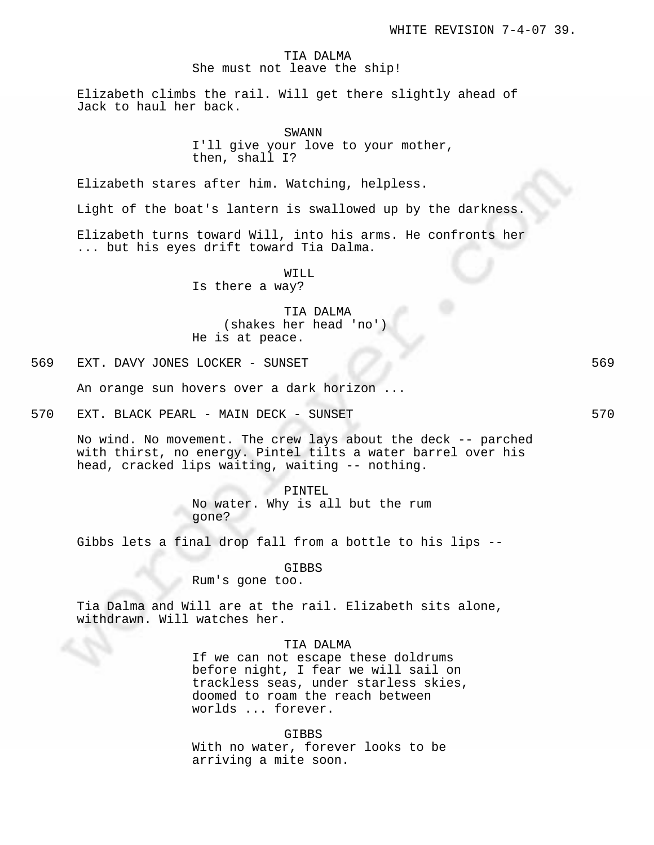# TIA DALMA She must not leave the ship!

Elizabeth climbs the rail. Will get there slightly ahead of Jack to haul her back.

# SWANN

I'll give your love to your mother, then, shall I?

Elizabeth stares after him. Watching, helpless.

Light of the boat's lantern is swallowed up by the darkness.

Elizabeth turns toward Will, into his arms. He confronts her ... but his eyes drift toward Tia Dalma.

WILL

Is there a way?

TIA DALMA (shakes her head 'no') He is at peace.

569 EXT. DAVY JONES LOCKER - SUNSET 569

An orange sun hovers over a dark horizon ...

570 EXT. BLACK PEARL - MAIN DECK - SUNSET STO STO STO STO

No wind. No movement. The crew lays about the deck -- parched with thirst, no energy. Pintel tilts a water barrel over his head, cracked lips waiting, waiting -- nothing.

> PINTEL No water. Why is all but the rum gone?

Gibbs lets a final drop fall from a bottle to his lips --

GIBBS

Rum's gone too.

Tia Dalma and Will are at the rail. Elizabeth sits alone, withdrawn. Will watches her.

# TIA DALMA

If we can not escape these doldrums before night, I fear we will sail on trackless seas, under starless skies, doomed to roam the reach between worlds ... forever.

GIBBS

With no water, forever looks to be arriving a mite soon.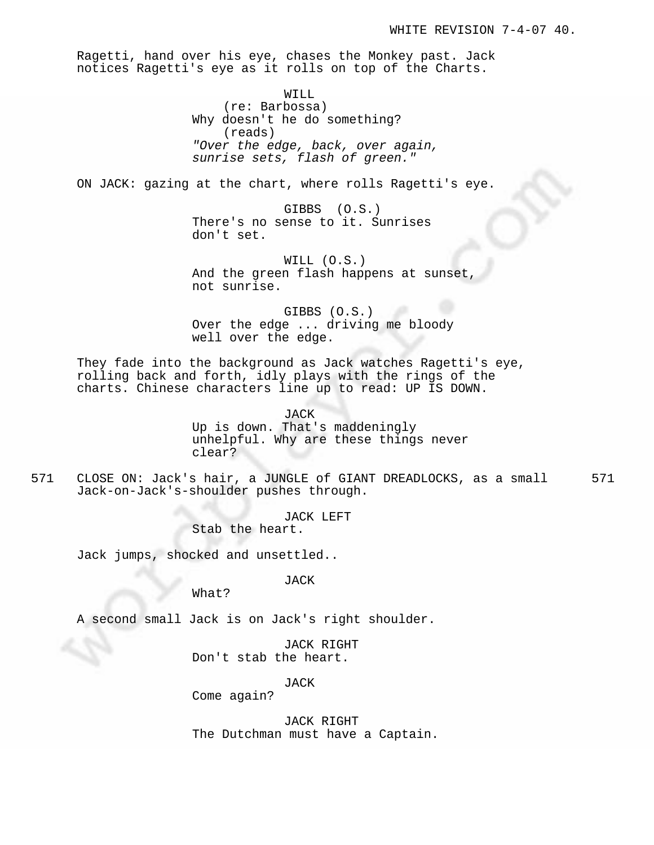Ragetti, hand over his eye, chases the Monkey past. Jack notices Ragetti's eye as it rolls on top of the Charts.

> WILL (re: Barbossa) Why doesn't he do something? (reads) "Over the edge, back, over again, sunrise sets, flash of green."

ON JACK: gazing at the chart, where rolls Ragetti's eye.

GIBBS (O.S.) There's no sense to it. Sunrises don't set.

WILL (O.S.) And the green flash happens at sunset not sunrise.

GIBBS (O.S.) Over the edge ... driving me bloody well over the edge.

They fade into the background as Jack watches Ragetti's eye, rolling back and forth, idly plays with the rings of the charts. Chinese characters line up to read: UP IS DOWN.

> JACK Up is down. That's maddeningly unhelpful. Why are these things never clear?

571 CLOSE ON: Jack's hair, a JUNGLE of GIANT DREADLOCKS, as a small 571 Jack-on-Jack's-shoulder pushes through.

> JACK LEFT Stab the heart.

Jack jumps, shocked and unsettled..

JACK

What?

A second small Jack is on Jack's right shoulder.

JACK RIGHT Don't stab the heart.

JACK

Come again?

JACK RIGHT The Dutchman must have a Captain.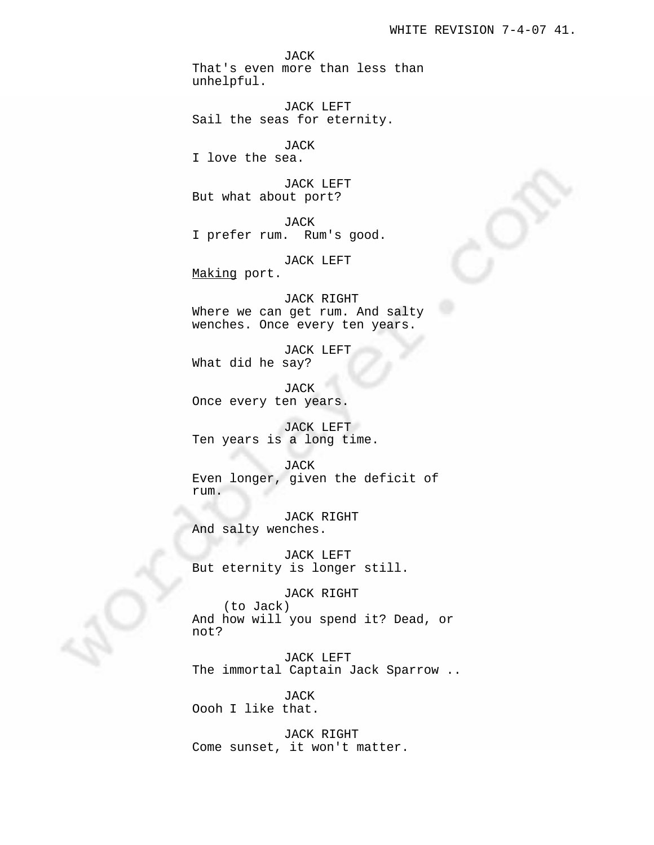JACK That's even more than less than unhelpful.

JACK LEFT Sail the seas for eternity.

JACK I love the sea.

JACK LEFT But what about port?

JACK I prefer rum. Rum's good.

JACK LEFT Making port.

JACK RIGHT Where we can get rum. And salty wenches. Once every ten years.

JACK LEFT What did he say?

JACK Once every ten years.

JACK LEFT Ten years is a long time.

# JACK

Even longer, given the deficit of rum.

JACK RIGHT And salty wenches.

JACK LEFT But eternity is longer still.

JACK RIGHT

(to Jack) And how will you spend it? Dead, or not?

JACK LEFT The immortal Captain Jack Sparrow ..

JACK Oooh I like that.

JACK RIGHT Come sunset, it won't matter.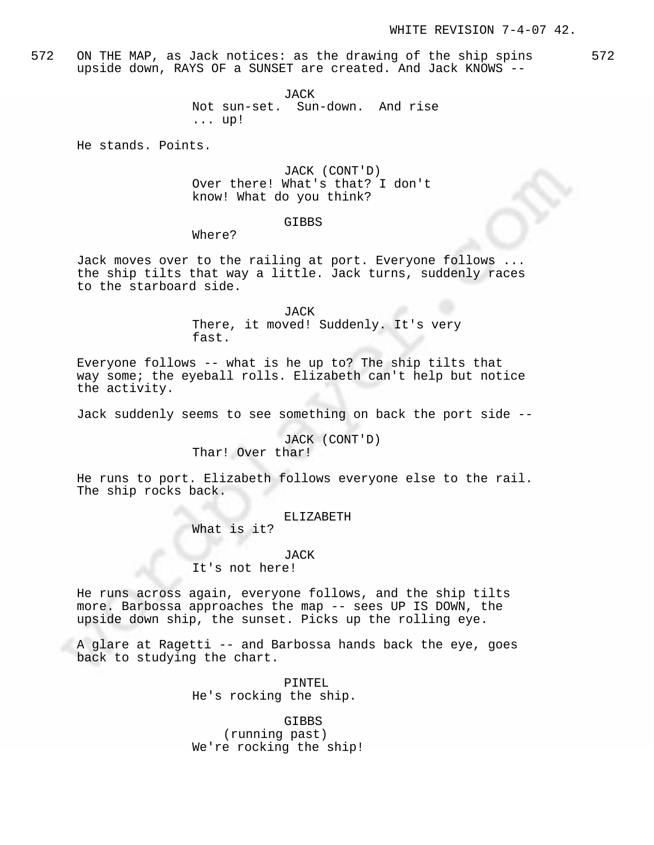572 ON THE MAP, as Jack notices: as the drawing of the ship spins 572 upside down, RAYS OF a SUNSET are created. And Jack KNOWS --

> JACK Not sun-set. Sun-down. And rise ... up!

He stands. Points.

JACK (CONT'D) Over there! What's that? I don't know! What do you think?

### GIBBS

Where?

Jack moves over to the railing at port. Everyone follows ... the ship tilts that way a little. Jack turns, suddenly races to the starboard side.

> JACK There, it moved! Suddenly. It's very fast.

Everyone follows -- what is he up to? The ship tilts that way some; the eyeball rolls. Elizabeth can't help but notice the activity.

Jack suddenly seems to see something on back the port side --

JACK (CONT'D) Thar! Over thar!

He runs to port. Elizabeth follows everyone else to the rail. The ship rocks back.

ELIZABETH

What is it?

#### JACK

It's not here!

He runs across again, everyone follows, and the ship tilts more. Barbossa approaches the map -- sees UP IS DOWN, the upside down ship, the sunset. Picks up the rolling eye.

A glare at Ragetti -- and Barbossa hands back the eye, goes back to studying the chart.

> PINTEL He's rocking the ship.

GIBBS (running past) We're rocking the ship!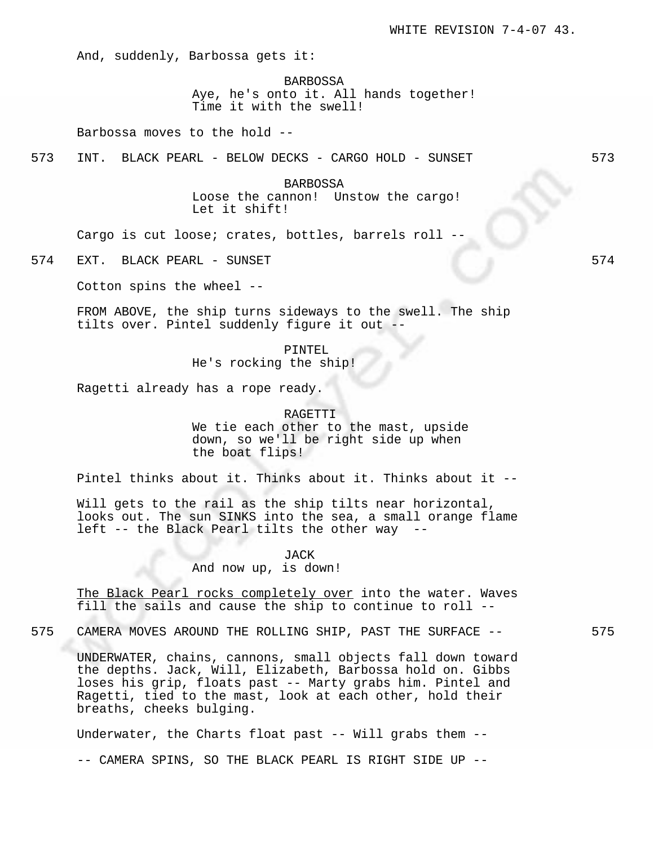And, suddenly, Barbossa gets it:

BARBOSSA

Aye, he's onto it. All hands together! Time it with the swell!

Barbossa moves to the hold --

573 INT. BLACK PEARL - BELOW DECKS - CARGO HOLD - SUNSET 573

BARBOSSA Loose the cannon! Unstow the cargo! Let it shift!

Cargo is cut loose; crates, bottles, barrels roll --

574 EXT. BLACK PEARL - SUNSET 574

Cotton spins the wheel --

FROM ABOVE, the ship turns sideways to the swell. The ship tilts over. Pintel suddenly figure it out --

> PINTEL He's rocking the ship!

Ragetti already has a rope ready.

RAGETTI We tie each other to the mast, upside down, so we'll be right side up when the boat flips!

Pintel thinks about it. Thinks about it. Thinks about it --

Will gets to the rail as the ship tilts near horizontal, looks out. The sun SINKS into the sea, a small orange flame left -- the Black Pearl tilts the other way --

JACK

And now up, is down!

The Black Pearl rocks completely over into the water. Waves fill the sails and cause the ship to continue to roll --

575 CAMERA MOVES AROUND THE ROLLING SHIP, PAST THE SURFACE -- 575

UNDERWATER, chains, cannons, small objects fall down toward the depths. Jack, Will, Elizabeth, Barbossa hold on. Gibbs loses his grip, floats past -- Marty grabs him. Pintel and Ragetti, tied to the mast, look at each other, hold their breaths, cheeks bulging.

Underwater, the Charts float past -- Will grabs them -- -- CAMERA SPINS, SO THE BLACK PEARL IS RIGHT SIDE UP --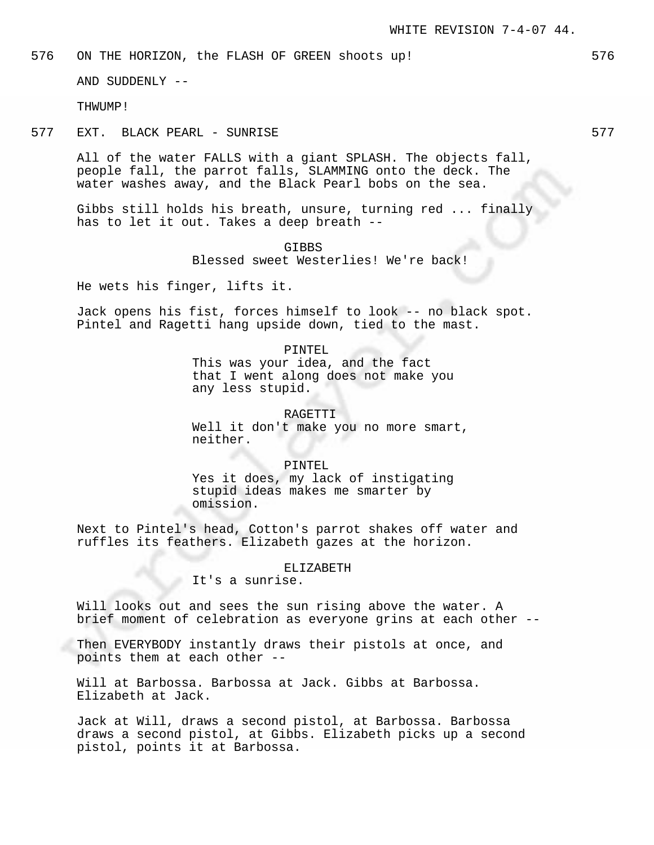576 ON THE HORIZON, the FLASH OF GREEN shoots up! 576

AND SUDDENLY --

THWUMP!

577 EXT. BLACK PEARL - SUNRISE 577

All of the water FALLS with a giant SPLASH. The objects fall, people fall, the parrot falls, SLAMMING onto the deck. The water washes away, and the Black Pearl bobs on the sea.

Gibbs still holds his breath, unsure, turning red ... finally has to let it out. Takes a deep breath --

> GIBBS Blessed sweet Westerlies! We're back!

He wets his finger, lifts it.

Jack opens his fist, forces himself to look -- no black spot. Pintel and Ragetti hang upside down, tied to the mast.

PINTEL

This was your idea, and the fact that I went along does not make you any less stupid.

RAGETTI Well it don't make you no more smart, neither.

PINTEL Yes it does, my lack of instigating stupid ideas makes me smarter by omission.

Next to Pintel's head, Cotton's parrot shakes off water and ruffles its feathers. Elizabeth gazes at the horizon.

#### ELIZABETH

It's a sunrise.

Will looks out and sees the sun rising above the water. A brief moment of celebration as everyone grins at each other --

Then EVERYBODY instantly draws their pistols at once, and points them at each other --

Will at Barbossa. Barbossa at Jack. Gibbs at Barbossa. Elizabeth at Jack.

Jack at Will, draws a second pistol, at Barbossa. Barbossa draws a second pistol, at Gibbs. Elizabeth picks up a second pistol, points it at Barbossa.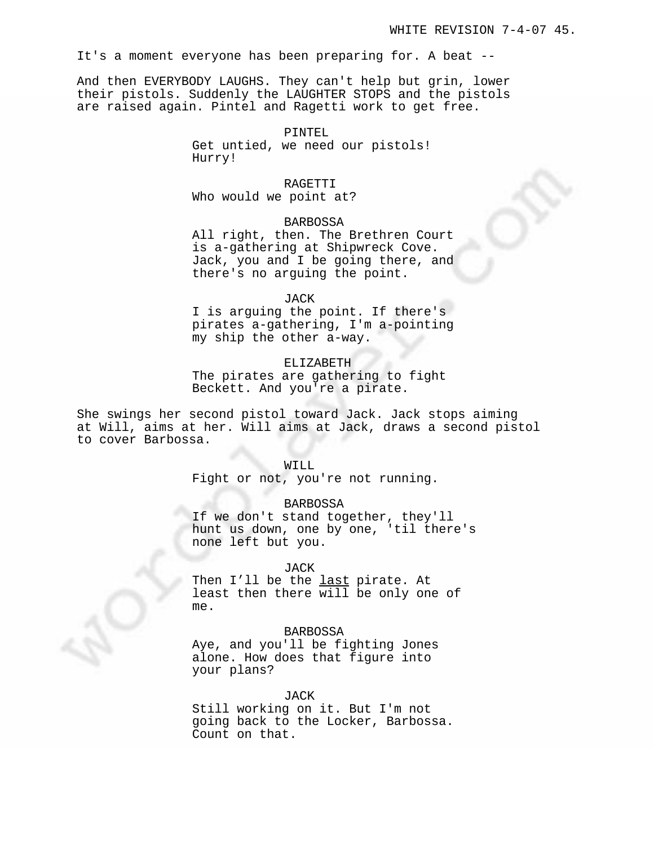It's a moment everyone has been preparing for. A beat --

And then EVERYBODY LAUGHS. They can't help but grin, lower their pistols. Suddenly the LAUGHTER STOPS and the pistols are raised again. Pintel and Ragetti work to get free.

#### PINTEL

Get untied, we need our pistols! Hurry!

#### RAGETTI

Who would we point at?

# BARBOSSA

All right, then. The Brethren Court is a-gathering at Shipwreck Cove. Jack, you and I be going there, and there's no arguing the point.

#### JACK

I is arguing the point. If there's pirates a-gathering, I'm a-pointing my ship the other a-way.

# ELIZABETH

The pirates are gathering to fight Beckett. And you're a pirate.

She swings her second pistol toward Jack. Jack stops aiming at Will, aims at her. Will aims at Jack, draws a second pistol to cover Barbossa.

#### WILL

Fight or not, you're not running.

# BARBOSSA

If we don't stand together, they'll hunt us down, one by one, 'til there's none left but you.

### JACK

Then I'll be the last pirate. At least then there will be only one of me.

### BARBOSSA

Aye, and you'll be fighting Jones alone. How does that figure into your plans?

# JACK

Still working on it. But I'm not going back to the Locker, Barbossa. Count on that.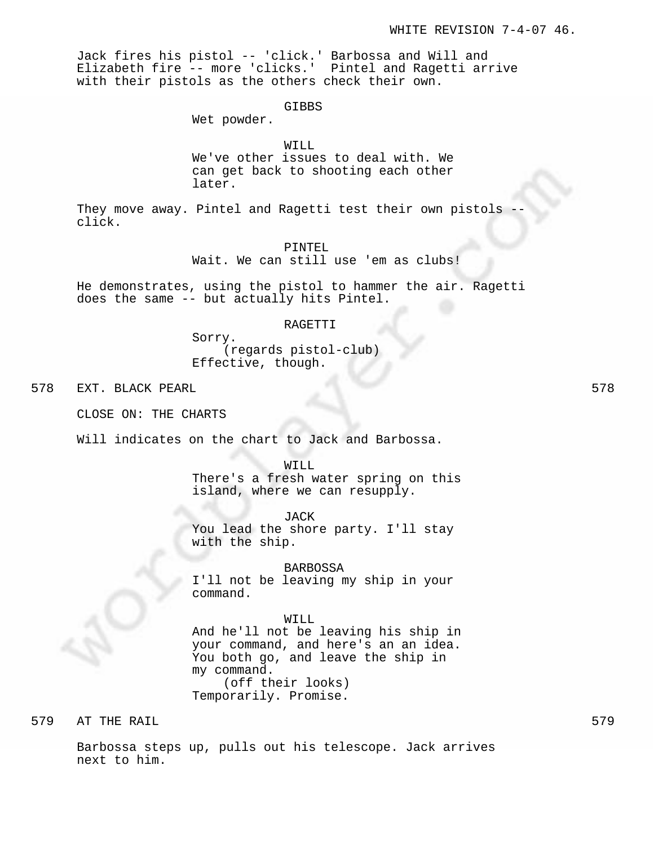Jack fires his pistol -- 'click.' Barbossa and Will and Elizabeth fire -- more 'clicks.' Pintel and Ragetti arrive with their pistols as the others check their own.

GIBBS

Wet powder.

### WILL

We've other issues to deal with. We can get back to shooting each other later.

They move away. Pintel and Ragetti test their own pistols click.

PINTEL

Wait. We can still use 'em as clubs!

He demonstrates, using the pistol to hammer the air. Ragetti does the same -- but actually hits Pintel.

### RAGETTI

Sorry. (regards pistol-club) Effective, though.

578 EXT. BLACK PEARL 578

CLOSE ON: THE CHARTS

Will indicates on the chart to Jack and Barbossa.

WILL

There's a fresh water spring on this island, where we can resupply.

JACK You lead the shore party. I'll stay with the ship.

BARBOSSA

I'll not be leaving my ship in your command.

### WILL

And he'll not be leaving his ship in your command, and here's an an idea. You both go, and leave the ship in my command. (off their looks) Temporarily. Promise.

579 AT THE RAIL 579

Barbossa steps up, pulls out his telescope. Jack arrives next to him.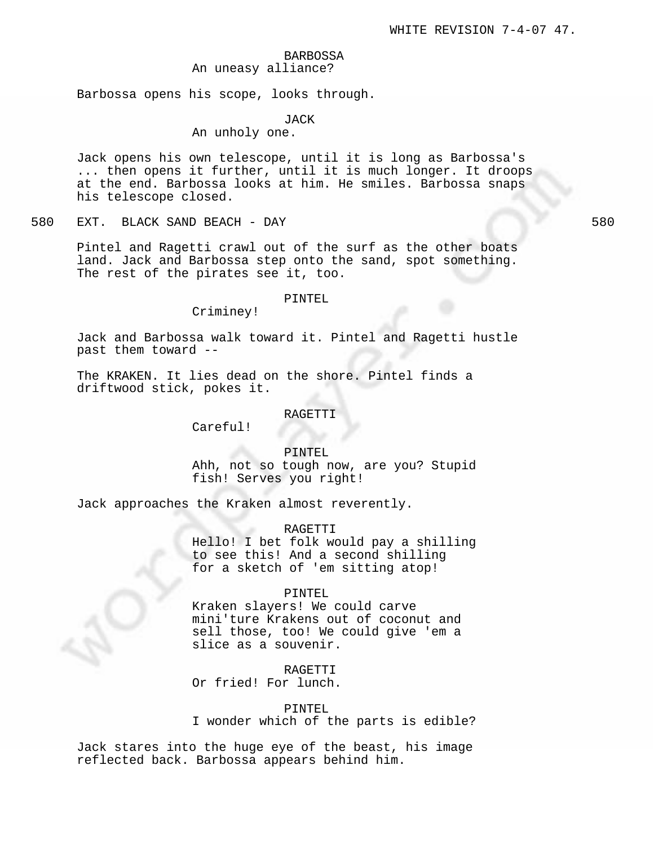# BARBOSSA An uneasy alliance?

Barbossa opens his scope, looks through.

### JACK

An unholy one.

Jack opens his own telescope, until it is long as Barbossa's ... then opens it further, until it is much longer. It droops at the end. Barbossa looks at him. He smiles. Barbossa snaps his telescope closed.

580 EXT. BLACK SAND BEACH - DAY 580

Pintel and Ragetti crawl out of the surf as the other boats land. Jack and Barbossa step onto the sand, spot something. The rest of the pirates see it, too.

### PINTEL

Criminey!

Jack and Barbossa walk toward it. Pintel and Ragetti hustle past them toward --

The KRAKEN. It lies dead on the shore. Pintel finds a driftwood stick, pokes it.

#### RAGETTI

Careful!

### PINTEL

Ahh, not so tough now, are you? Stupid fish! Serves you right!

Jack approaches the Kraken almost reverently.

RAGETTI

Hello! I bet folk would pay a shilling to see this! And a second shilling for a sketch of 'em sitting atop!

### PINTEL

Kraken slayers! We could carve mini'ture Krakens out of coconut and sell those, too! We could give 'em a slice as a souvenir.

RAGETTI

Or fried! For lunch.

### PINTEL

I wonder which of the parts is edible?

Jack stares into the huge eye of the beast, his image reflected back. Barbossa appears behind him.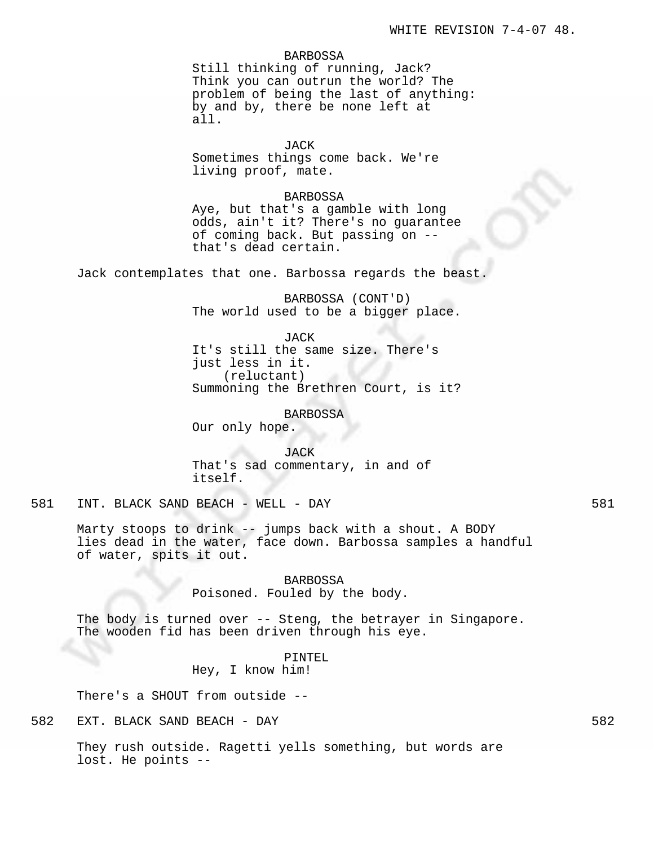### BARBOSSA

Still thinking of running, Jack? Think you can outrun the world? The problem of being the last of anything: by and by, there be none left at all.

JACK Sometimes things come back. We're living proof, mate.

### BARBOSSA

Aye, but that's a gamble with long odds, ain't it? There's no guarantee of coming back. But passing on - that's dead certain.

Jack contemplates that one. Barbossa regards the beast.

BARBOSSA (CONT'D) The world used to be a bigger place.

JACK It's still the same size. There's just less in it. (reluctant) Summoning the Brethren Court, is it?

BARBOSSA Our only hope.

JACK That's sad commentary, in and of itself.

581 INT. BLACK SAND BEACH - WELL - DAY 581

Marty stoops to drink -- jumps back with a shout. A BODY lies dead in the water, face down. Barbossa samples a handful of water, spits it out.

> BARBOSSA Poisoned. Fouled by the body.

The body is turned over -- Steng, the betrayer in Singapore. The wooden fid has been driven through his eye.

# PINTEL Hey, I know him!

There's a SHOUT from outside --

582 EXT. BLACK SAND BEACH - DAY 582

They rush outside. Ragetti yells something, but words are lost. He points --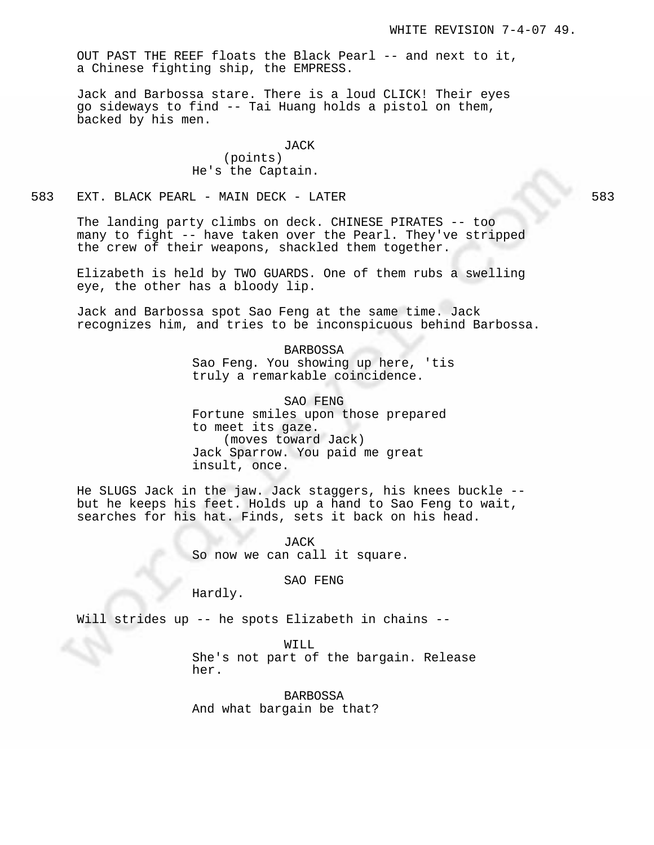OUT PAST THE REEF floats the Black Pearl -- and next to it, a Chinese fighting ship, the EMPRESS.

Jack and Barbossa stare. There is a loud CLICK! Their eyes go sideways to find -- Tai Huang holds a pistol on them, backed by his men.

> JACK (points) He's the Captain.

583 EXT. BLACK PEARL - MAIN DECK - LATER 583

The landing party climbs on deck. CHINESE PIRATES -- too many to fight -- have taken over the Pearl. They've stripped the crew of their weapons, shackled them together.

Elizabeth is held by TWO GUARDS. One of them rubs a swelling eye, the other has a bloody lip.

Jack and Barbossa spot Sao Feng at the same time. Jack recognizes him, and tries to be inconspicuous behind Barbossa.

> BARBOSSA Sao Feng. You showing up here, 'tis truly a remarkable coincidence.

SAO FENG Fortune smiles upon those prepared to meet its gaze. (moves toward Jack) Jack Sparrow. You paid me great insult, once.

He SLUGS Jack in the jaw. Jack staggers, his knees buckle - but he keeps his feet. Holds up a hand to Sao Feng to wait, searches for his hat. Finds, sets it back on his head.

> JACK So now we can call it square.

> > SAO FENG

Hardly.

Will strides up -- he spots Elizabeth in chains --

WILL

She's not part of the bargain. Release her.

BARBOSSA And what bargain be that?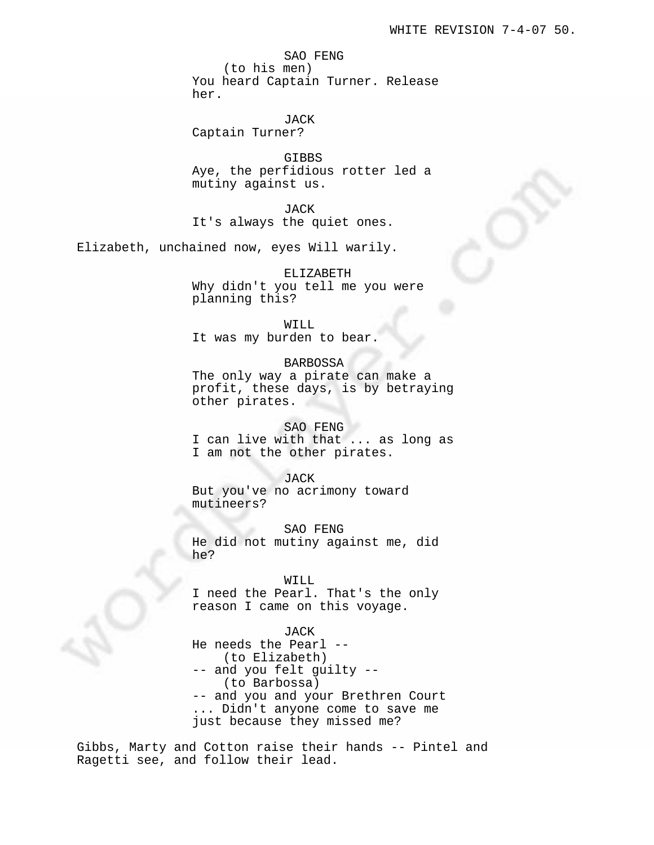SAO FENG (to his men) You heard Captain Turner. Release her.

JACK Captain Turner?

GIBBS Aye, the perfidious rotter led a mutiny against us.

JACK It's always the quiet ones.

Elizabeth, unchained now, eyes Will warily.

ELIZABETH Why didn't you tell me you were planning this?

WILL It was my burden to bear.

BARBOSSA The only way a pirate can make a profit, these days, is by betraying other pirates.

SAO FENG I can live with that ... as long as I am not the other pirates.

JACK But you've no acrimony toward mutineers?

SAO FENG He did not mutiny against me, did he?

### WILL

I need the Pearl. That's the only reason I came on this voyage.

JACK

He needs the Pearl -- (to Elizabeth) -- and you felt guilty -- (to Barbossa) -- and you and your Brethren Court ... Didn't anyone come to save me just because they missed me?

Gibbs, Marty and Cotton raise their hands -- Pintel and Ragetti see, and follow their lead.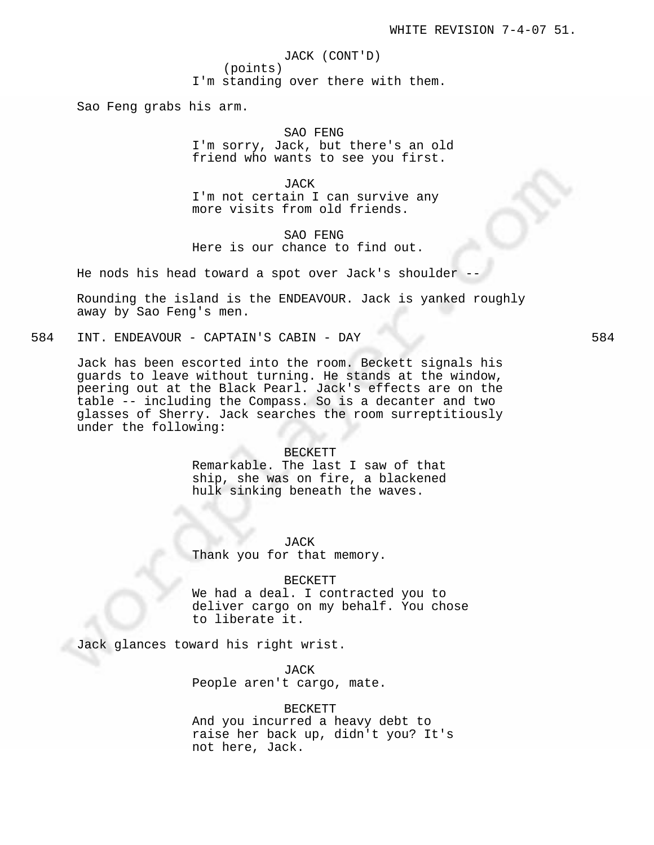JACK (CONT'D) (points) I'm standing over there with them.

Sao Feng grabs his arm.

SAO FENG I'm sorry, Jack, but there's an old friend who wants to see you first.

JACK I'm not certain I can survive any more visits from old friends.

SAO FENG Here is our chance to find out.

He nods his head toward a spot over Jack's shoulder --

Rounding the island is the ENDEAVOUR. Jack is yanked roughly away by Sao Feng's men.

584 INT. ENDEAVOUR - CAPTAIN'S CABIN - DAY 584

Jack has been escorted into the room. Beckett signals his guards to leave without turning. He stands at the window, peering out at the Black Pearl. Jack's effects are on the table -- including the Compass. So is a decanter and two glasses of Sherry. Jack searches the room surreptitiously under the following:

### BECKETT

Remarkable. The last I saw of that ship, she was on fire, a blackened hulk sinking beneath the waves.

JACK Thank you for that memory.

#### BECKETT

We had a deal. I contracted you to deliver cargo on my behalf. You chose to liberate it.

Jack glances toward his right wrist.

JACK People aren't cargo, mate.

### BECKETT

And you incurred a heavy debt to raise her back up, didn't you? It's not here, Jack.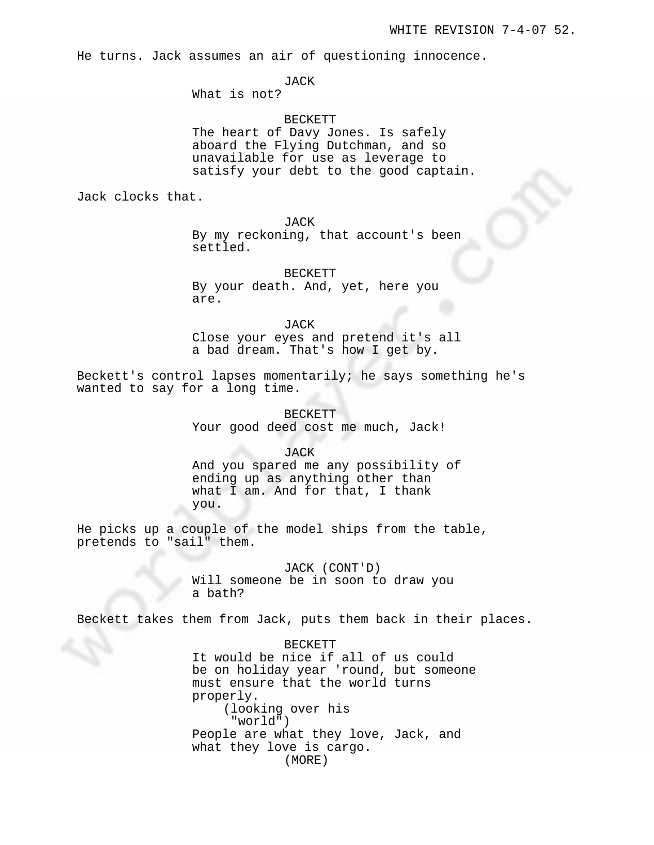He turns. Jack assumes an air of questioning innocence.

JACK

What is not?

BECKETT

The heart of Davy Jones. Is safely aboard the Flying Dutchman, and so unavailable for use as leverage to satisfy your debt to the good captain.

Jack clocks that.

JACK

By my reckoning, that account's been settled.

BECKETT By your death. And, yet, here you are.

JACK Close your eyes and pretend it's all a bad dream. That's how I get by.

Beckett's control lapses momentarily; he says something he's wanted to say for a long time.

> BECKETT Your good deed cost me much, Jack!

> > JACK

And you spared me any possibility of ending up as anything other than what I am. And for that, I thank you.

He picks up a couple of the model ships from the table, pretends to "sail" them.

> JACK (CONT'D) Will someone be in soon to draw you a bath?

Beckett takes them from Jack, puts them back in their places.

BECKETT It would be nice if all of us could be on holiday year 'round, but someone must ensure that the world turns properly. (looking over his "world") People are what they love, Jack, and what they love is cargo. (MORE)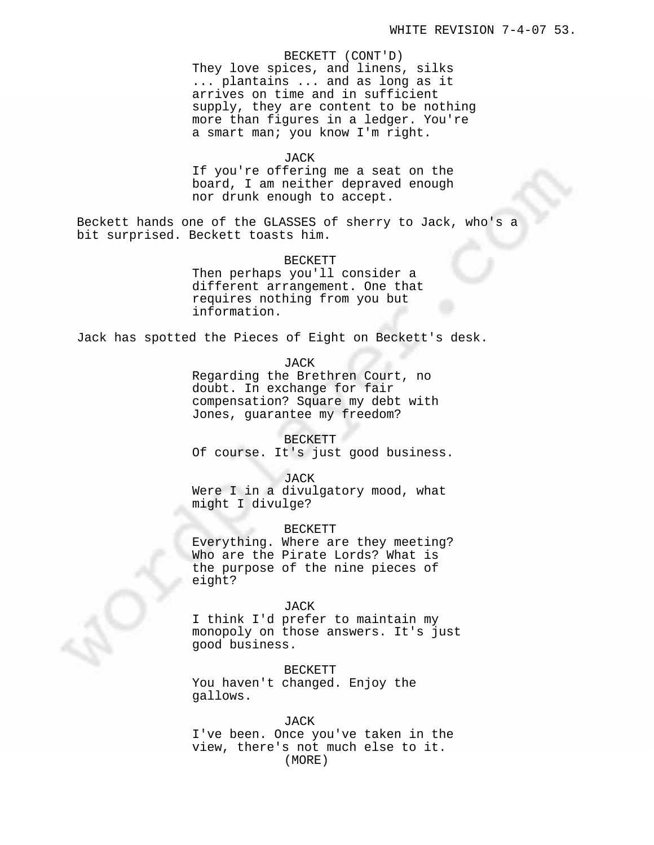BECKETT (CONT'D) They love spices, and linens, silks ... plantains ... and as long as it arrives on time and in sufficient supply, they are content to be nothing more than figures in a ledger. You're a smart man; you know I'm right.

# JACK

If you're offering me a seat on the board, I am neither depraved enough nor drunk enough to accept.

Beckett hands one of the GLASSES of sherry to Jack, who's a bit surprised. Beckett toasts him.

#### BECKETT

Then perhaps you'll consider a different arrangement. One that requires nothing from you but information.

Jack has spotted the Pieces of Eight on Beckett's desk.

JACK

Regarding the Brethren Court, no doubt. In exchange for fair compensation? Square my debt with Jones, guarantee my freedom?

#### BECKETT

Of course. It's just good business.

JACK

Were I in a divulgatory mood, what might I divulge?

# BECKETT

Everything. Where are they meeting? Who are the Pirate Lords? What is the purpose of the nine pieces of eight?

### JACK

I think I'd prefer to maintain my monopoly on those answers. It's just good business.

BECKETT You haven't changed. Enjoy the gallows.

#### JACK

I've been. Once you've taken in the view, there's not much else to it. (MORE)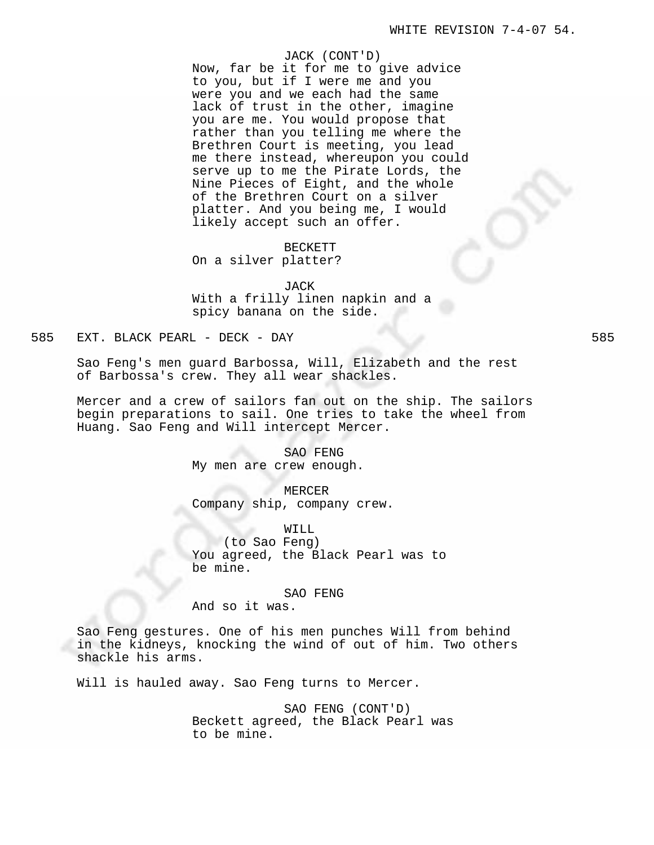#### JACK (CONT'D)

Now, far be it for me to give advice to you, but if I were me and you were you and we each had the same lack of trust in the other, imagine you are me. You would propose that rather than you telling me where the Brethren Court is meeting, you lead me there instead, whereupon you could serve up to me the Pirate Lords, the Nine Pieces of Eight, and the whole of the Brethren Court on a silver platter. And you being me, I would likely accept such an offer.

# BECKETT On a silver platter?

JACK With a frilly linen napkin and a spicy banana on the side.

# 585 EXT. BLACK PEARL - DECK - DAY 585

Sao Feng's men guard Barbossa, Will, Elizabeth and the rest of Barbossa's crew. They all wear shackles.

Mercer and a crew of sailors fan out on the ship. The sailors begin preparations to sail. One tries to take the wheel from Huang. Sao Feng and Will intercept Mercer.

> SAO FENG My men are crew enough.

MERCER Company ship, company crew.

WILL (to Sao Feng) You agreed, the Black Pearl was to be mine.

#### SAO FENG

And so it was.

Sao Feng gestures. One of his men punches Will from behind in the kidneys, knocking the wind of out of him. Two others shackle his arms.

Will is hauled away. Sao Feng turns to Mercer.

SAO FENG (CONT'D) Beckett agreed, the Black Pearl was to be mine.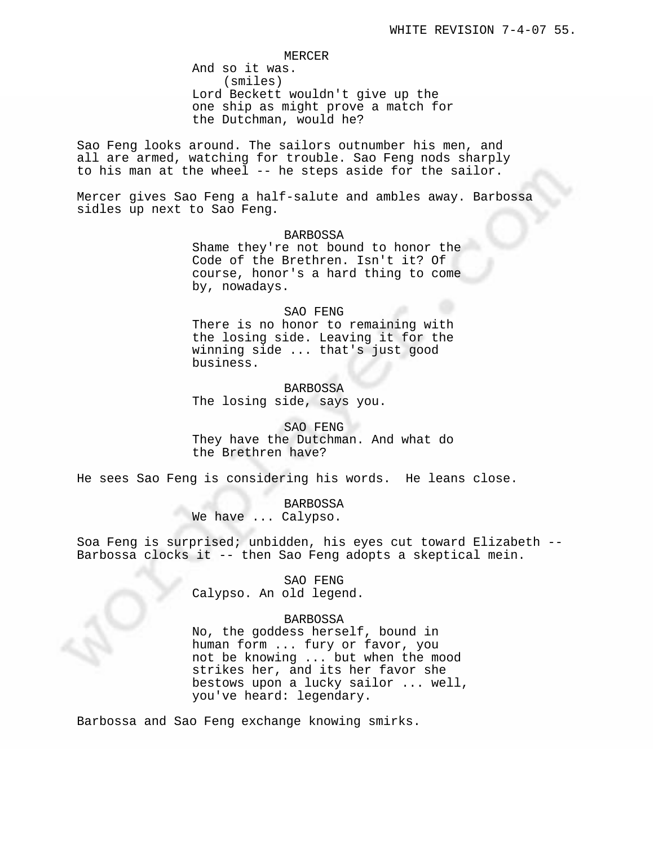MERCER

And so it was. (smiles) Lord Beckett wouldn't give up the one ship as might prove a match for the Dutchman, would he?

Sao Feng looks around. The sailors outnumber his men, and all are armed, watching for trouble. Sao Feng nods sharply to his man at the wheel -- he steps aside for the sailor.

Mercer gives Sao Feng a half-salute and ambles away. Barbossa sidles up next to Sao Feng.

#### BARBOSSA

Shame they're not bound to honor the Code of the Brethren. Isn't it? Of course, honor's a hard thing to come by, nowadays.

### SAO FENG

There is no honor to remaining with the losing side. Leaving it for the winning side ... that's just good business.

BARBOSSA The losing side, says you.

SAO FENG They have the Dutchman. And what do the Brethren have?

He sees Sao Feng is considering his words. He leans close.

BARBOSSA

We have ... Calypso.

Soa Feng is surprised; unbidden, his eyes cut toward Elizabeth -- Barbossa clocks it -- then Sao Feng adopts a skeptical mein.

> SAO FENG Calypso. An old legend.

### BARBOSSA

No, the goddess herself, bound in human form ... fury or favor, you not be knowing ... but when the mood strikes her, and its her favor she bestows upon a lucky sailor ... well, you've heard: legendary.

Barbossa and Sao Feng exchange knowing smirks.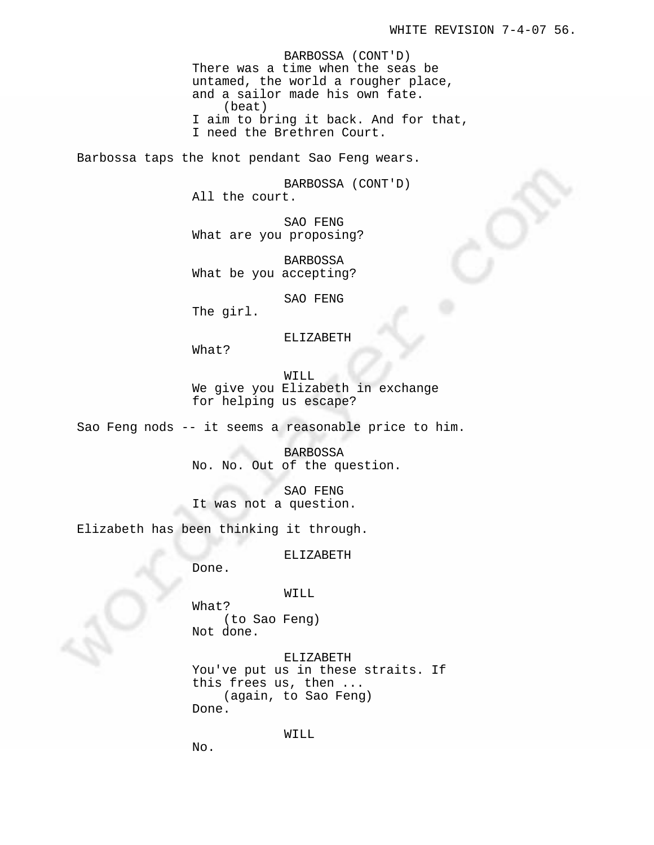BARBOSSA (CONT'D) There was a time when the seas be untamed, the world a rougher place, and a sailor made his own fate. (beat) I aim to bring it back. And for that, I need the Brethren Court.

Barbossa taps the knot pendant Sao Feng wears.

BARBOSSA (CONT'D) All the court.

SAO FENG What are you proposing?

BARBOSSA What be you accepting?

SAO FENG

The girl.

# ELIZABETH

What?

WILL We give you Elizabeth in exchange for helping us escape?

Sao Feng nods -- it seems a reasonable price to him.

BARBOSSA No. No. Out of the question.

SAO FENG It was not a question.

Elizabeth has been thinking it through.

ELIZABETH

Done.

WILL

What? (to Sao Feng) Not done.

ELIZABETH You've put us in these straits. If this frees us, then ... (again, to Sao Feng) Done.

WILL

No.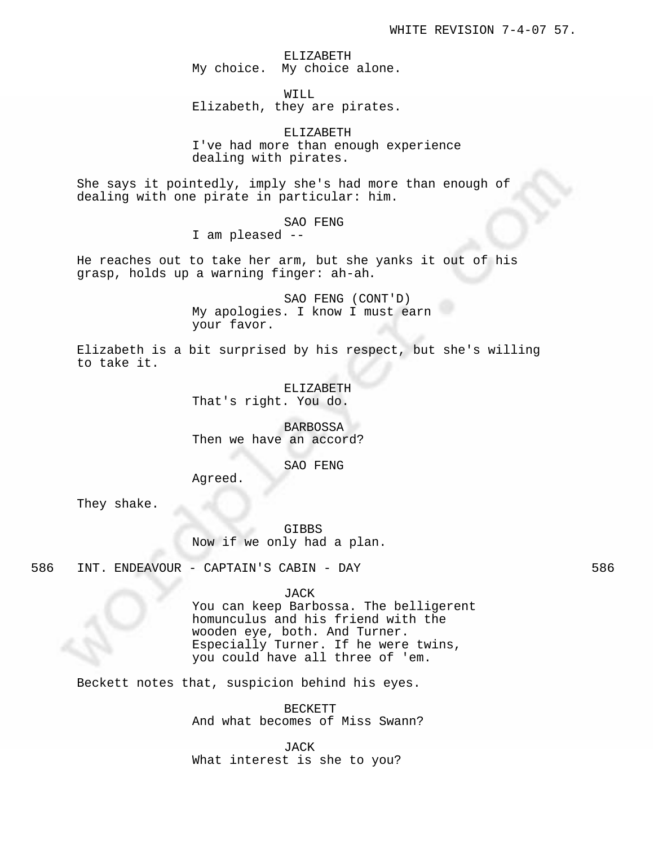ELIZABETH My choice. My choice alone.

WILL Elizabeth, they are pirates.

ELIZABETH I've had more than enough experience dealing with pirates.

She says it pointedly, imply she's had more than enough of dealing with one pirate in particular: him.

SAO FENG

I am pleased --

He reaches out to take her arm, but she yanks it out of his grasp, holds up a warning finger: ah-ah.

> SAO FENG (CONT'D) My apologies. I know I must earn your favor.

Elizabeth is a bit surprised by his respect, but she's willing to take it.

> ELIZABETH That's right. You do.

BARBOSSA Then we have an accord?

SAO FENG

Agreed.

They shake.

GIBBS Now if we only had a plan.

586 INT. ENDEAVOUR - CAPTAIN'S CABIN - DAY 586

JACK

You can keep Barbossa. The belligerent homunculus and his friend with the wooden eye, both. And Turner. Especially Turner. If he were twins, you could have all three of 'em.

Beckett notes that, suspicion behind his eyes.

BECKETT And what becomes of Miss Swann?

JACK What interest is she to you?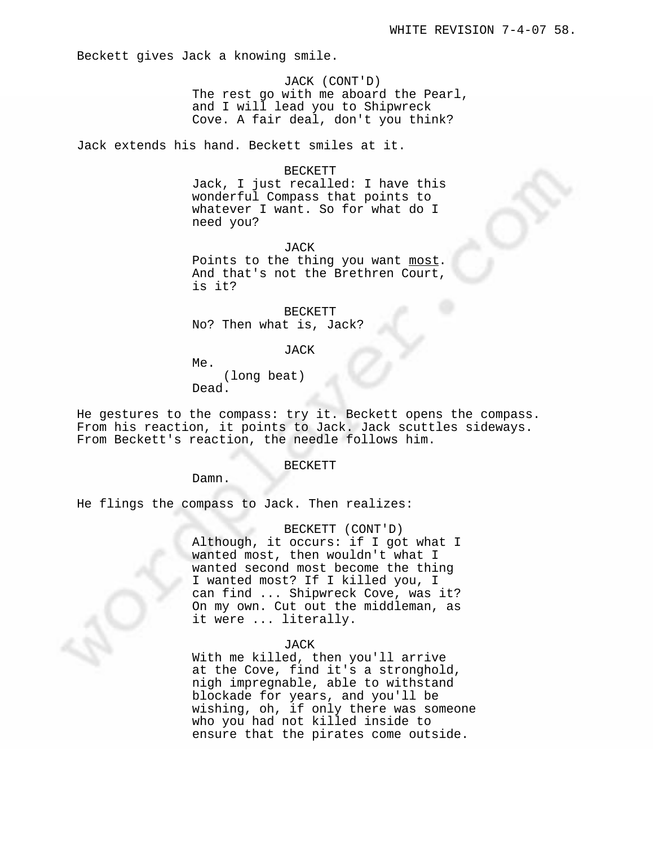Beckett gives Jack a knowing smile.

JACK (CONT'D) The rest go with me aboard the Pearl, and I will lead you to Shipwreck Cove. A fair deal, don't you think?

Jack extends his hand. Beckett smiles at it.

#### BECKETT

Jack, I just recalled: I have this wonderful Compass that points to whatever I want. So for what do I need you?

JACK

Points to the thing you want most. And that's not the Brethren Court, is it?

BECKETT No? Then what is, Jack?

JACK

Me.

(long beat) Dead.

He gestures to the compass: try it. Beckett opens the compass. From his reaction, it points to Jack. Jack scuttles sideways. From Beckett's reaction, the needle follows him.

#### BECKETT

Damn.

He flings the compass to Jack. Then realizes:

BECKETT (CONT'D) Although, it occurs: if I got what I wanted most, then wouldn't what I wanted second most become the thing I wanted most? If I killed you, I can find ... Shipwreck Cove, was it? On my own. Cut out the middleman, as it were ... literally.

#### JACK

With me killed, then you'll arrive at the Cove, find it's a stronghold, nigh impregnable, able to withstand blockade for years, and you'll be wishing, oh, if only there was someone who you had not killed inside to ensure that the pirates come outside.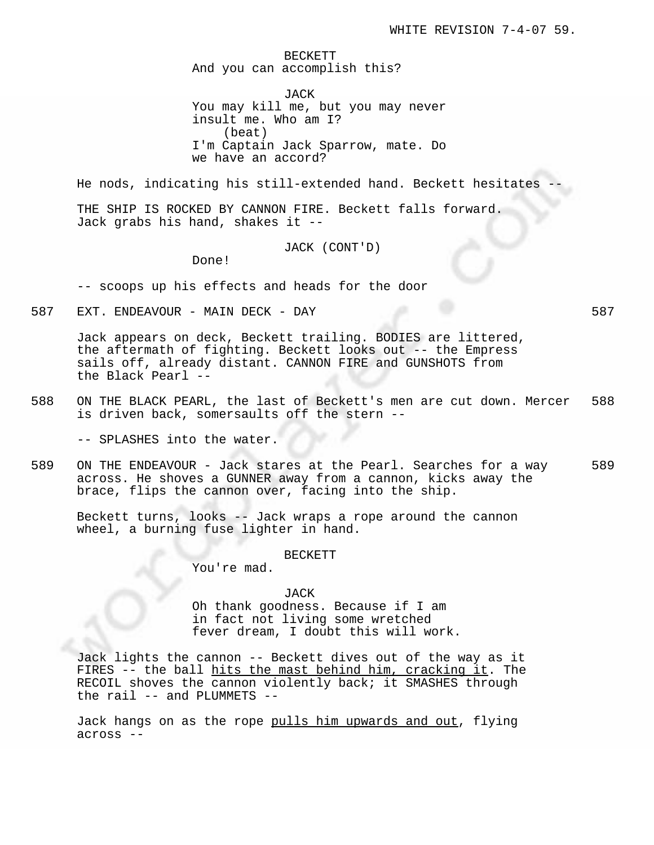BECKETT And you can accomplish this?

JACK You may kill me, but you may never insult me. Who am I? (beat) I'm Captain Jack Sparrow, mate. Do we have an accord?

He nods, indicating his still-extended hand. Beckett hesitates

THE SHIP IS ROCKED BY CANNON FIRE. Beckett falls forward. Jack grabs his hand, shakes it --

JACK (CONT'D)

Done!

-- scoops up his effects and heads for the door

587 EXT. ENDEAVOUR - MAIN DECK - DAY 587

Jack appears on deck, Beckett trailing. BODIES are littered, the aftermath of fighting. Beckett looks out -- the Empress sails off, already distant. CANNON FIRE and GUNSHOTS from the Black Pearl --

588 ON THE BLACK PEARL, the last of Beckett's men are cut down. Mercer 588 is driven back, somersaults off the stern --

-- SPLASHES into the water.

589 ON THE ENDEAVOUR - Jack stares at the Pearl. Searches for a way 589 across. He shoves a GUNNER away from a cannon, kicks away the brace, flips the cannon over, facing into the ship.

Beckett turns, looks -- Jack wraps a rope around the cannon wheel, a burning fuse lighter in hand.

BECKETT

You're mad.

JACK Oh thank goodness. Because if I am in fact not living some wretched fever dream, I doubt this will work.

Jack lights the cannon -- Beckett dives out of the way as it FIRES -- the ball hits the mast behind him, cracking it. The RECOIL shoves the cannon violently back; it SMASHES through the rail -- and PLUMMETS --

Jack hangs on as the rope pulls him upwards and out, flying across --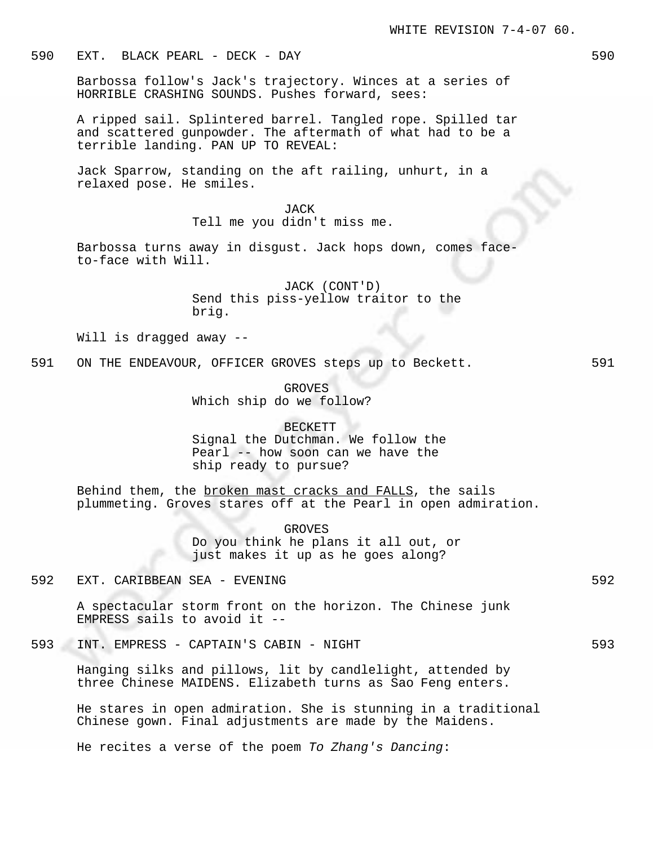# 590 EXT. BLACK PEARL - DECK - DAY 590

Barbossa follow's Jack's trajectory. Winces at a series of HORRIBLE CRASHING SOUNDS. Pushes forward, sees:

A ripped sail. Splintered barrel. Tangled rope. Spilled tar and scattered gunpowder. The aftermath of what had to be a terrible landing. PAN UP TO REVEAL:

Jack Sparrow, standing on the aft railing, unhurt, in a relaxed pose. He smiles.

> JACK Tell me you didn't miss me.

Barbossa turns away in disgust. Jack hops down, comes faceto-face with Will.

> JACK (CONT'D) Send this piss-yellow traitor to the brig.

Will is dragged away --

591 ON THE ENDEAVOUR, OFFICER GROVES steps up to Beckett. 591

GROVES Which ship do we follow?

### BECKETT

Signal the Dutchman. We follow the Pearl -- how soon can we have the ship ready to pursue?

Behind them, the broken mast cracks and FALLS, the sails plummeting. Groves stares off at the Pearl in open admiration.

> GROVES Do you think he plans it all out, or just makes it up as he goes along?

592 EXT. CARIBBEAN SEA - EVENING 592

A spectacular storm front on the horizon. The Chinese junk EMPRESS sails to avoid it --

593 INT. EMPRESS - CAPTAIN'S CABIN - NIGHT 593

Hanging silks and pillows, lit by candlelight, attended by three Chinese MAIDENS. Elizabeth turns as Sao Feng enters.

He stares in open admiration. She is stunning in a traditional Chinese gown. Final adjustments are made by the Maidens.

He recites a verse of the poem To Zhang's Dancing: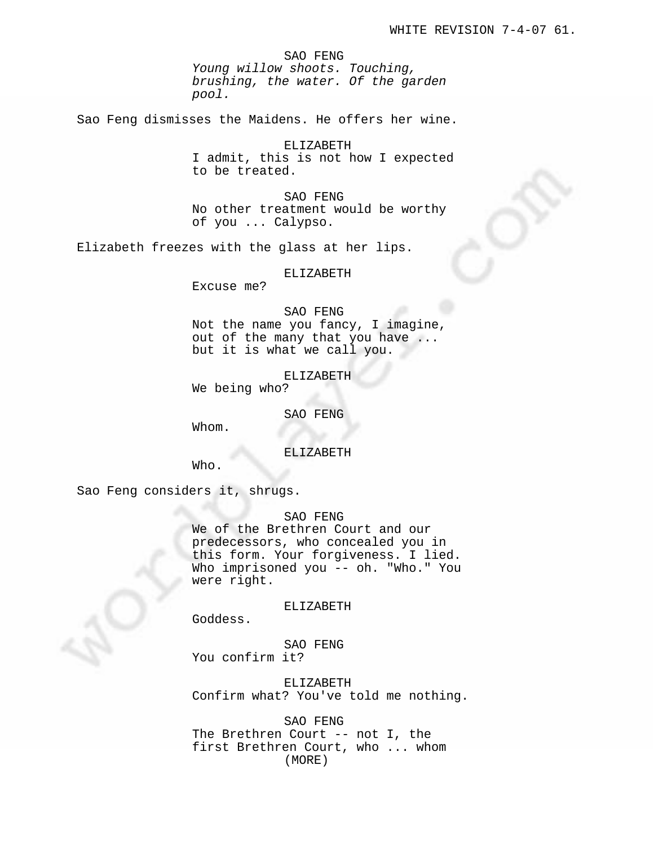SAO FENG Young willow shoots. Touching, brushing, the water. Of the garden pool.

Sao Feng dismisses the Maidens. He offers her wine.

ELIZABETH I admit, this is not how I expected to be treated.

SAO FENG No other treatment would be worthy of you ... Calypso.

Elizabeth freezes with the glass at her lips.

#### ELIZABETH

Excuse me?

### SAO FENG

Not the name you fancy, I imagine, out of the many that you have ... but it is what we call you.

ELIZABETH

We being who?

SAO FENG

Whom.

ELIZABETH

Who.

Sao Feng considers it, shrugs.

# SAO FENG

We of the Brethren Court and our predecessors, who concealed you in this form. Your forgiveness. I lied. Who imprisoned you -- oh. "Who." You were right.

### ELIZABETH

Goddess.

SAO FENG You confirm it?

ELIZABETH Confirm what? You've told me nothing.

SAO FENG The Brethren Court -- not I, the first Brethren Court, who ... whom (MORE)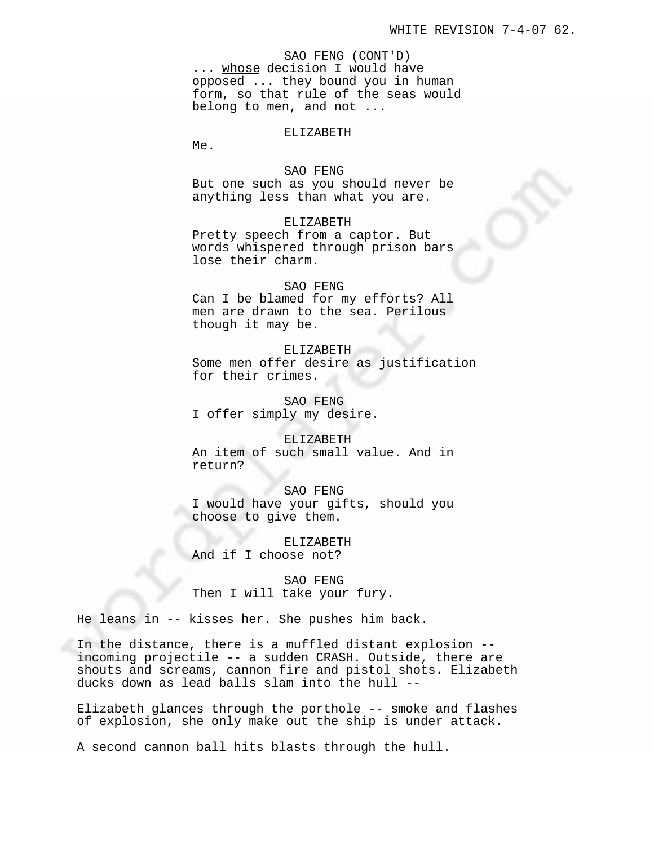SAO FENG (CONT'D) ... whose decision I would have opposed ... they bound you in human form, so that rule of the seas would belong to men, and not ...

#### ELIZABETH

Me.

### SAO FENG

But one such as you should never be anything less than what you are.

# ELIZABETH

Pretty speech from a captor. But words whispered through prison bars lose their charm.

# SAO FENG

Can I be blamed for my efforts? All men are drawn to the sea. Perilous though it may be.

ELIZABETH Some men offer desire as justification for their crimes.

SAO FENG I offer simply my desire.

# ELIZABETH

An item of such small value. And in return?

SAO FENG I would have your gifts, should you choose to give them.

ELIZABETH And if I choose not?

SAO FENG Then I will take your fury.

He leans in -- kisses her. She pushes him back.

In the distance, there is a muffled distant explosion - incoming projectile -- a sudden CRASH. Outside, there are shouts and screams, cannon fire and pistol shots. Elizabeth ducks down as lead balls slam into the hull --

Elizabeth glances through the porthole -- smoke and flashes of explosion, she only make out the ship is under attack.

A second cannon ball hits blasts through the hull.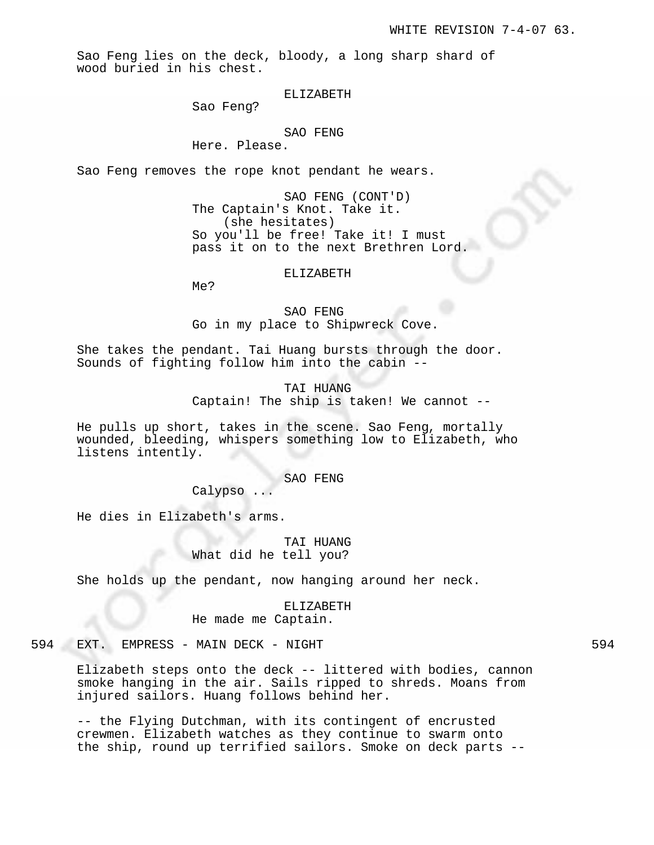Sao Feng lies on the deck, bloody, a long sharp shard of wood buried in his chest.

ELIZABETH

Sao Feng?

### SAO FENG

Here. Please.

Sao Feng removes the rope knot pendant he wears.

SAO FENG (CONT'D) The Captain's Knot. Take it. (she hesitates) So you'll be free! Take it! I must pass it on to the next Brethren Lord.

#### ELIZABETH

Me?

SAO FENG Go in my place to Shipwreck Cove.

She takes the pendant. Tai Huang bursts through the door. Sounds of fighting follow him into the cabin --

> TAI HUANG Captain! The ship is taken! We cannot --

He pulls up short, takes in the scene. Sao Feng, mortally wounded, bleeding, whispers something low to Elizabeth, who listens intently.

### SAO FENG

Calypso ...

He dies in Elizabeth's arms.

TAI HUANG What did he tell you?

She holds up the pendant, now hanging around her neck.

### ELIZABETH

He made me Captain.

594 EXT. EMPRESS - MAIN DECK - NIGHT

Elizabeth steps onto the deck -- littered with bodies, cannon smoke hanging in the air. Sails ripped to shreds. Moans from injured sailors. Huang follows behind her.

-- the Flying Dutchman, with its contingent of encrusted crewmen. Elizabeth watches as they continue to swarm onto the ship, round up terrified sailors. Smoke on deck parts --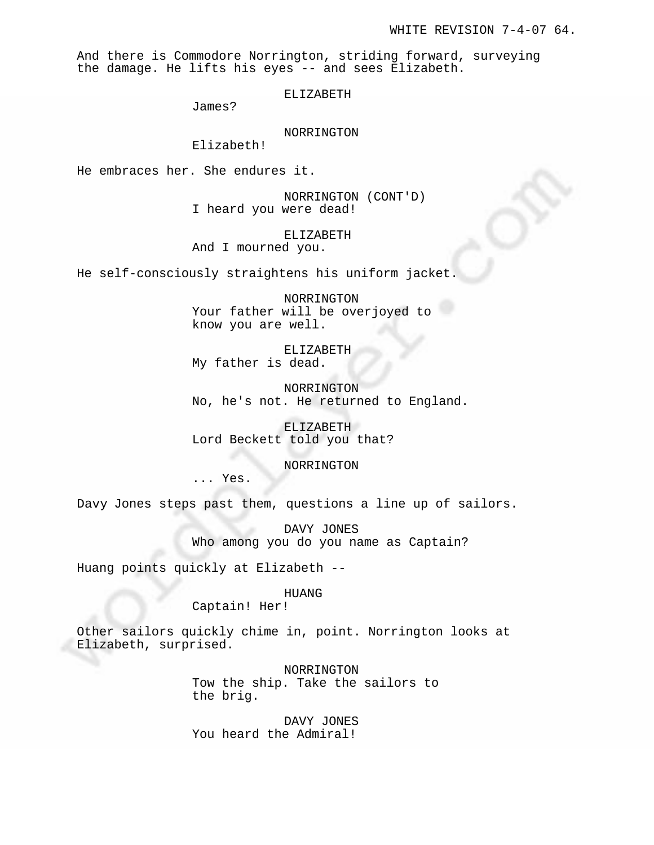And there is Commodore Norrington, striding forward, surveying the damage. He lifts his eyes -- and sees Elizabeth.

ELIZABETH

James?

NORRINGTON

Elizabeth!

He embraces her. She endures it.

NORRINGTON (CONT'D) I heard you were dead!

ELIZABETH And I mourned you.

He self-consciously straightens his uniform jacket.

NORRINGTON Your father will be overjoyed to know you are well.

ELIZABETH My father is dead.

NORRINGTON No, he's not. He returned to England.

ELIZABETH Lord Beckett told you that?

NORRINGTON

... Yes.

Davy Jones steps past them, questions a line up of sailors.

DAVY JONES Who among you do you name as Captain?

Huang points quickly at Elizabeth --

### HUANG

Captain! Her!

Other sailors quickly chime in, point. Norrington looks at Elizabeth, surprised.

> NORRINGTON Tow the ship. Take the sailors to the brig.

DAVY JONES You heard the Admiral!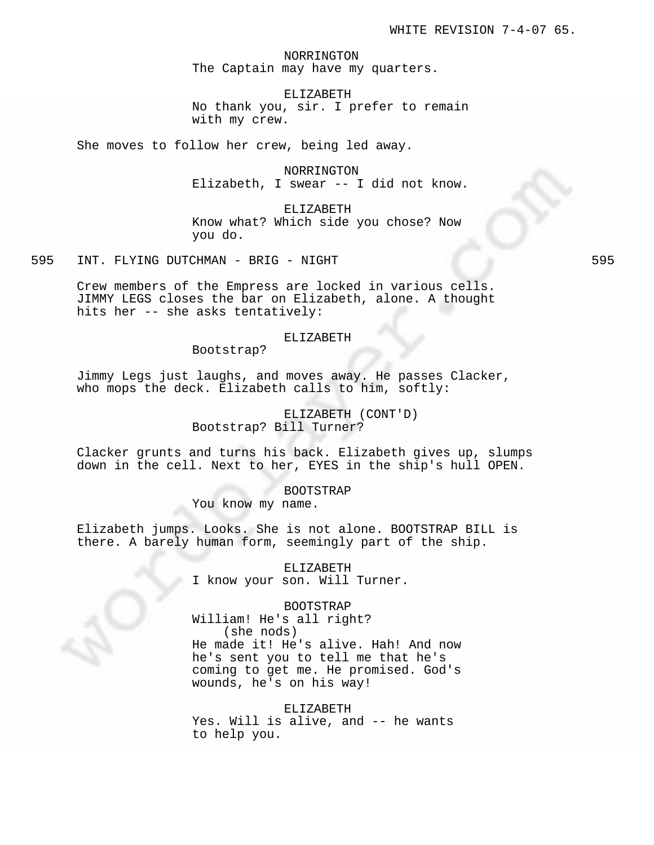NORRINGTON The Captain may have my quarters.

ELIZABETH No thank you, sir. I prefer to remain with my crew.

She moves to follow her crew, being led away.

NORRINGTON Elizabeth, I swear -- I did not know.

ELIZABETH Know what? Which side you chose? Now you do.

595 INT. FLYING DUTCHMAN - BRIG - NIGHT 595 SOS

Crew members of the Empress are locked in various cells. JIMMY LEGS closes the bar on Elizabeth, alone. A thought hits her -- she asks tentatively:

### ELIZABETH

Bootstrap?

Jimmy Legs just laughs, and moves away. He passes Clacker, who mops the deck. Elizabeth calls to him, softly:

# ELIZABETH (CONT'D) Bootstrap? Bill Turner?

Clacker grunts and turns his back. Elizabeth gives up, slumps down in the cell. Next to her, EYES in the ship's hull OPEN.

> BOOTSTRAP You know my name.

Elizabeth jumps. Looks. She is not alone. BOOTSTRAP BILL is there. A barely human form, seemingly part of the ship.

> ELIZABETH I know your son. Will Turner.

### BOOTSTRAP

William! He's all right? (she nods)

He made it! He's alive. Hah! And now he's sent you to tell me that he's coming to get me. He promised. God's wounds, he's on his way!

# ELIZABETH

Yes. Will is alive, and -- he wants to help you.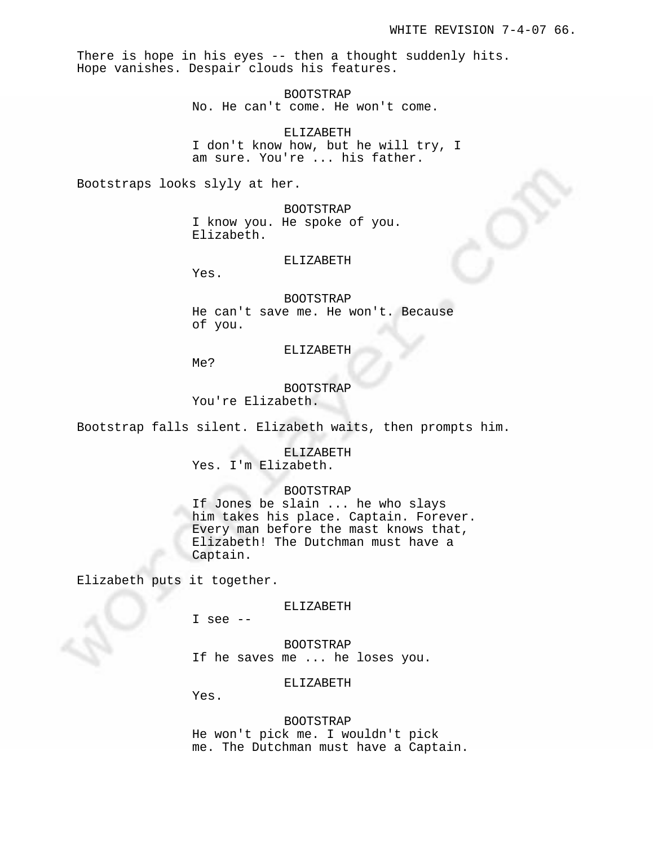There is hope in his eyes -- then a thought suddenly hits. Hope vanishes. Despair clouds his features.

> BOOTSTRAP No. He can't come. He won't come.

ELIZABETH I don't know how, but he will try, I am sure. You're ... his father.

Bootstraps looks slyly at her.

BOOTSTRAP I know you. He spoke of you. Elizabeth.

### ELIZABETH

Yes.

BOOTSTRAP He can't save me. He won't. Because of you.

ELIZABETH

Me?

BOOTSTRAP

You're Elizabeth.

Bootstrap falls silent. Elizabeth waits, then prompts him.

ELIZABETH Yes. I'm Elizabeth.

BOOTSTRAP

If Jones be slain ... he who slays him takes his place. Captain. Forever. Every man before the mast knows that, Elizabeth! The Dutchman must have a Captain.

Elizabeth puts it together.

ELIZABETH

I see --

BOOTSTRAP If he saves me ... he loses you.

ELIZABETH

Yes.

BOOTSTRAP He won't pick me. I wouldn't pick me. The Dutchman must have a Captain.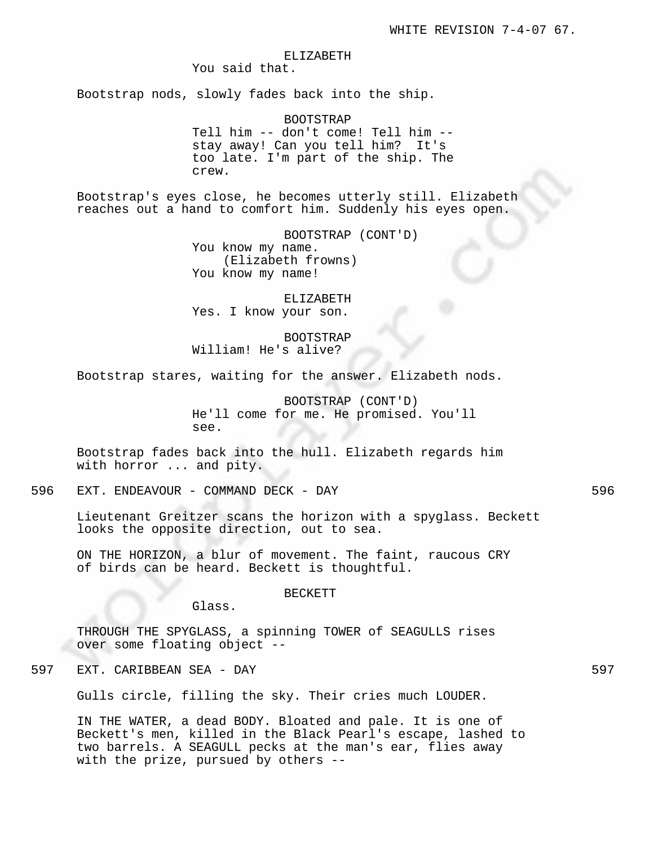### ELIZABETH

You said that.

Bootstrap nods, slowly fades back into the ship.

BOOTSTRAP Tell him -- don't come! Tell him - stay away! Can you tell him? It's too late. I'm part of the ship. The crew.

Bootstrap's eyes close, he becomes utterly still. Elizabeth reaches out a hand to comfort him. Suddenly his eyes open.

> BOOTSTRAP (CONT'D) You know my name. (Elizabeth frowns) You know my name!

ELIZABETH Yes. I know your son.

BOOTSTRAP William! He's alive?

Bootstrap stares, waiting for the answer. Elizabeth nods.

BOOTSTRAP (CONT'D) He'll come for me. He promised. You'll see.

Bootstrap fades back into the hull. Elizabeth regards him with horror ... and pity.

596 EXT. ENDEAVOUR - COMMAND DECK - DAY 596

Lieutenant Greitzer scans the horizon with a spyglass. Beckett looks the opposite direction, out to sea.

ON THE HORIZON, a blur of movement. The faint, raucous CRY of birds can be heard. Beckett is thoughtful.

BECKETT

Glass.

THROUGH THE SPYGLASS, a spinning TOWER of SEAGULLS rises over some floating object --

597 EXT. CARIBBEAN SEA - DAY 597

Gulls circle, filling the sky. Their cries much LOUDER.

IN THE WATER, a dead BODY. Bloated and pale. It is one of Beckett's men, killed in the Black Pearl's escape, lashed to two barrels. A SEAGULL pecks at the man's ear, flies away with the prize, pursued by others --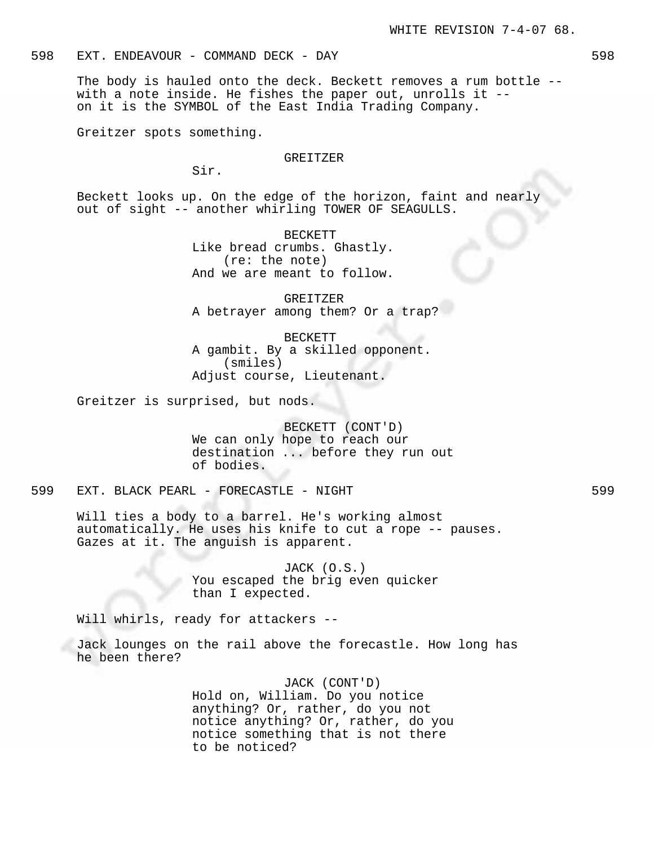The body is hauled onto the deck. Beckett removes a rum bottle - with a note inside. He fishes the paper out, unrolls it - on it is the SYMBOL of the East India Trading Company.

Greitzer spots something.

#### GREITZER

Sir.

Beckett looks up. On the edge of the horizon, faint and nearly out of sight -- another whirling TOWER OF SEAGULLS.

> BECKETT Like bread crumbs. Ghastly. (re: the note) And we are meant to follow.

GREITZER A betrayer among them? Or a trap?

BECKETT A gambit. By a skilled opponent. (smiles) Adjust course, Lieutenant.

Greitzer is surprised, but nods.

BECKETT (CONT'D) We can only hope to reach our destination ... before they run out of bodies.

599 EXT. BLACK PEARL - FORECASTLE - NIGHT 599

Will ties a body to a barrel. He's working almost automatically. He uses his knife to cut a rope -- pauses. Gazes at it. The anguish is apparent.

> JACK (O.S.) You escaped the brig even quicker than I expected.

Will whirls, ready for attackers --

Jack lounges on the rail above the forecastle. How long has he been there?

> JACK (CONT'D) Hold on, William. Do you notice anything? Or, rather, do you not notice anything? Or, rather, do you notice something that is not there to be noticed?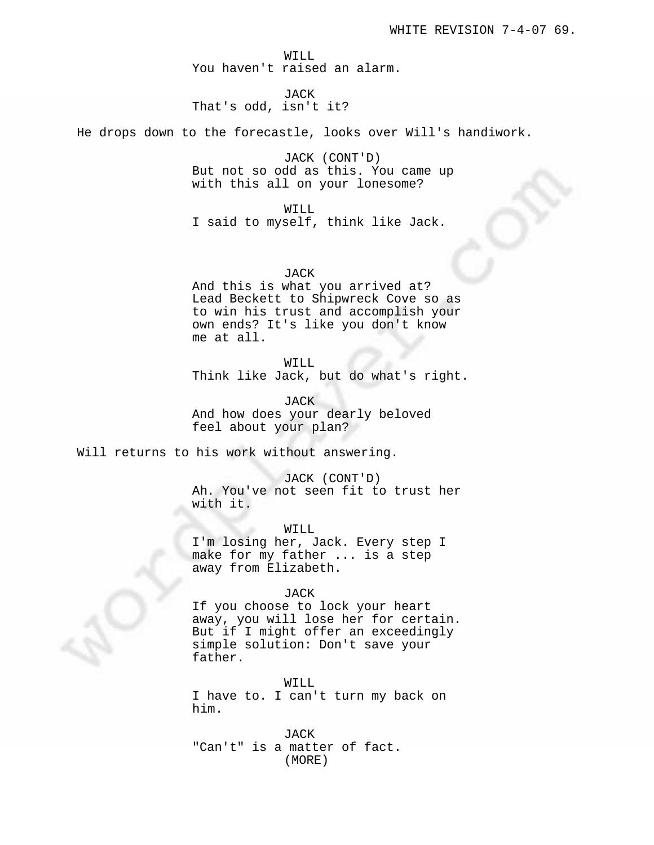WILL You haven't raised an alarm.

JACK That's odd, isn't it?

He drops down to the forecastle, looks over Will's handiwork.

JACK (CONT'D) But not so odd as this. You came up with this all on your lonesome?

WILL I said to myself, think like Jack.

# JACK

And this is what you arrived at? Lead Beckett to Shipwreck Cove so as to win his trust and accomplish your own ends? It's like you don't know me at all.

# WILL

Think like Jack, but do what's right.

JACK

And how does your dearly beloved feel about your plan?

Will returns to his work without answering.

# JACK (CONT'D)

Ah. You've not seen fit to trust her with it.

WILL

I'm losing her, Jack. Every step I make for my father ... is a step away from Elizabeth.

# JACK

If you choose to lock your heart away, you will lose her for certain. But if I might offer an exceedingly simple solution: Don't save your father.

WILL

I have to. I can't turn my back on him.

JACK "Can't" is a matter of fact. (MORE)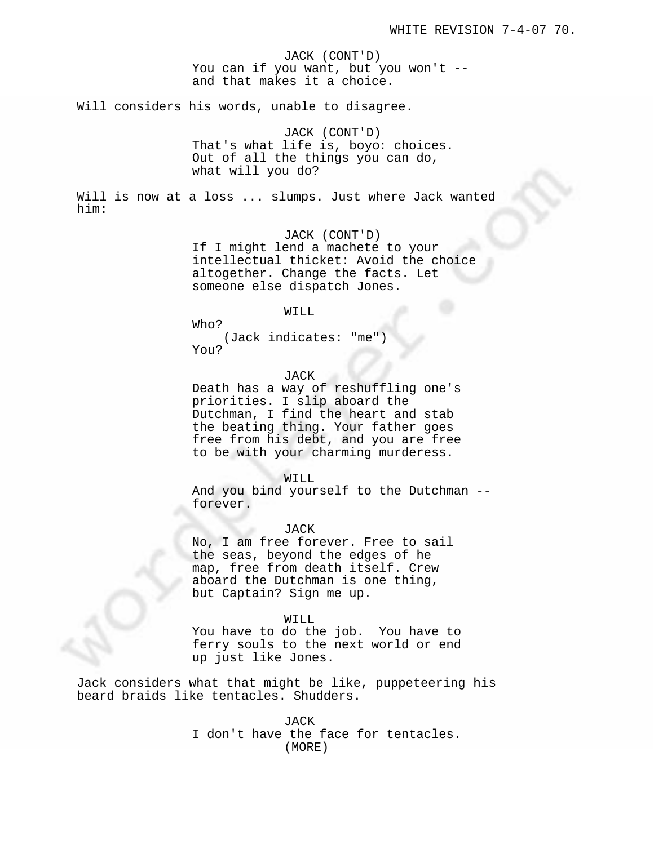JACK (CONT'D) You can if you want, but you won't - and that makes it a choice.

Will considers his words, unable to disagree.

JACK (CONT'D) That's what life is, boyo: choices. Out of all the things you can do, what will you do?

Will is now at a loss ... slumps. Just where Jack wanted him:

JACK (CONT'D)

If I might lend a machete to your intellectual thicket: Avoid the choice altogether. Change the facts. Let someone else dispatch Jones.

#### WILL

Who?

(Jack indicates: "me") You?

JACK

Death has a way of reshuffling one's priorities. I slip aboard the Dutchman, I find the heart and stab the beating thing. Your father goes free from his debt, and you are free to be with your charming murderess.

WILL

And you bind yourself to the Dutchman - forever.

### JACK

JACK<br>No, I am free forever. Free to sail the seas, beyond the edges of he map, free from death itself. Crew aboard the Dutchman is one thing, but Captain? Sign me up.

#### WILL

You have to do the job. You have to ferry souls to the next world or end up just like Jones.

Jack considers what that might be like, puppeteering his beard braids like tentacles. Shudders.

> JACK I don't have the face for tentacles. (MORE)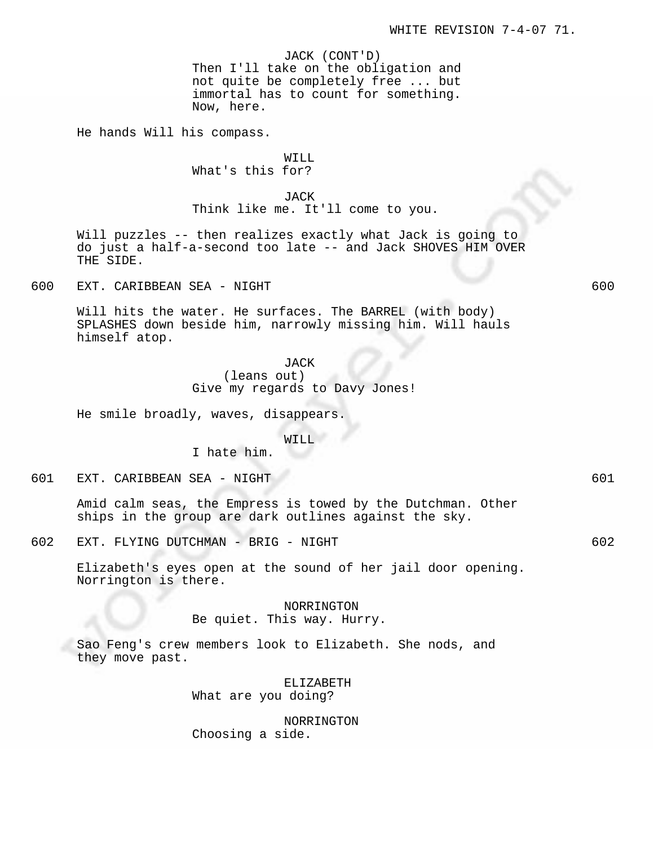JACK (CONT'D)

Then I'll take on the obligation and not quite be completely free ... but immortal has to count for something. Now, here.

He hands Will his compass.

# WILL What's this for?

JACK Think like me. It'll come to you.

Will puzzles -- then realizes exactly what Jack is going to do just a half-a-second too late -- and Jack SHOVES HIM OVER THE SIDE.

600 EXT. CARIBBEAN SEA - NIGHT 600

Will hits the water. He surfaces. The BARREL (with body) SPLASHES down beside him, narrowly missing him. Will hauls himself atop.

> JACK (leans out) Give my regards to Davy Jones!

He smile broadly, waves, disappears.

I hate him.

WILL

601 EXT. CARIBBEAN SEA - NIGHT 601

Amid calm seas, the Empress is towed by the Dutchman. Other ships in the group are dark outlines against the sky.

602 EXT. FLYING DUTCHMAN - BRIG - NIGHT 602

Elizabeth's eyes open at the sound of her jail door opening. Norrington is there.

NORRINGTON

Be quiet. This way. Hurry.

Sao Feng's crew members look to Elizabeth. She nods, and they move past.

> ELIZABETH What are you doing?

NORRINGTON Choosing a side.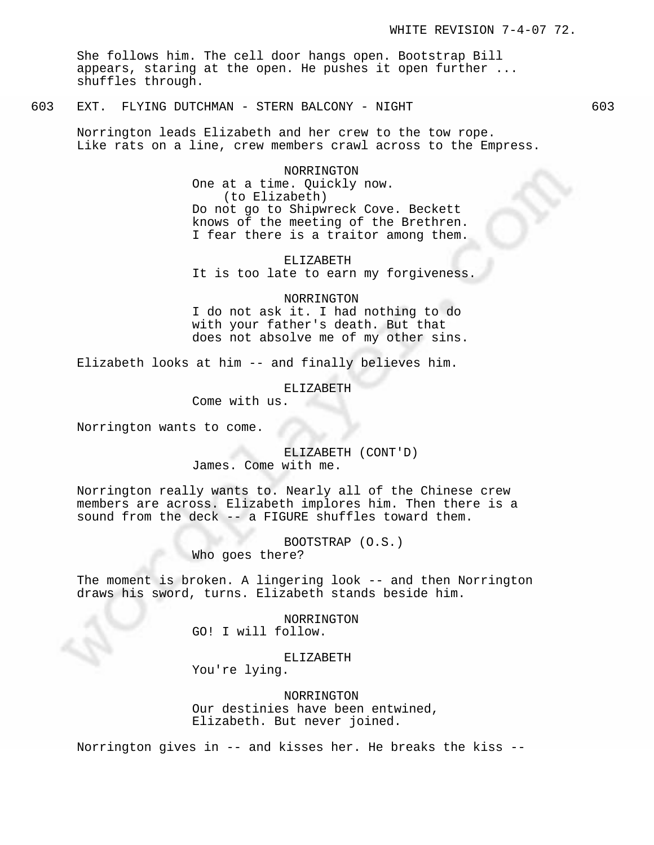She follows him. The cell door hangs open. Bootstrap Bill appears, staring at the open. He pushes it open further ... shuffles through.

603 EXT. FLYING DUTCHMAN - STERN BALCONY - NIGHT 603

Norrington leads Elizabeth and her crew to the tow rope. Like rats on a line, crew members crawl across to the Empress.

> NORRINGTON One at a time. Quickly now. (to Elizabeth) Do not go to Shipwreck Cove. Beckett knows of the meeting of the Brethren. I fear there is a traitor among them.

ELIZABETH It is too late to earn my forgiveness.

NORRINGTON

I do not ask it. I had nothing to do with your father's death. But that does not absolve me of my other sins.

Elizabeth looks at him -- and finally believes him.

ELIZABETH

Come with us.

Norrington wants to come.

ELIZABETH (CONT'D) James. Come with me.

Norrington really wants to. Nearly all of the Chinese crew members are across. Elizabeth implores him. Then there is a sound from the deck -- a FIGURE shuffles toward them.

> BOOTSTRAP (O.S.) Who goes there?

The moment is broken. A lingering look -- and then Norrington draws his sword, turns. Elizabeth stands beside him.

> NORRINGTON GO! I will follow.

ELIZABETH You're lying.

NORRINGTON Our destinies have been entwined, Elizabeth. But never joined.

Norrington gives in -- and kisses her. He breaks the kiss --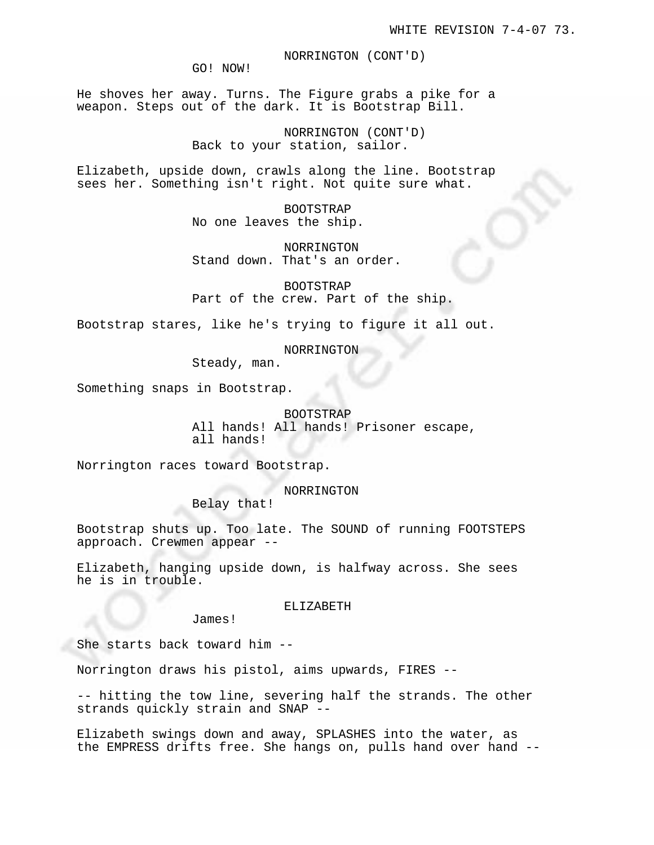NORRINGTON (CONT'D)

GO! NOW!

He shoves her away. Turns. The Figure grabs a pike for a weapon. Steps out of the dark. It is Bootstrap Bill.

> NORRINGTON (CONT'D) Back to your station, sailor.

Elizabeth, upside down, crawls along the line. Bootstrap sees her. Something isn't right. Not quite sure what.

> BOOTSTRAP No one leaves the ship.

NORRINGTON Stand down. That's an order.

BOOTSTRAP Part of the crew. Part of the ship.

Bootstrap stares, like he's trying to figure it all out.

NORRINGTON

Steady, man.

Something snaps in Bootstrap.

BOOTSTRAP All hands! All hands! Prisoner escape, all hands!

Norrington races toward Bootstrap.

NORRINGTON

Belay that!

Bootstrap shuts up. Too late. The SOUND of running FOOTSTEPS approach. Crewmen appear --

Elizabeth, hanging upside down, is halfway across. She sees he is in trouble.

ELIZABETH

James!

She starts back toward him --

Norrington draws his pistol, aims upwards, FIRES --

-- hitting the tow line, severing half the strands. The other strands quickly strain and SNAP --

Elizabeth swings down and away, SPLASHES into the water, as the EMPRESS drifts free. She hangs on, pulls hand over hand --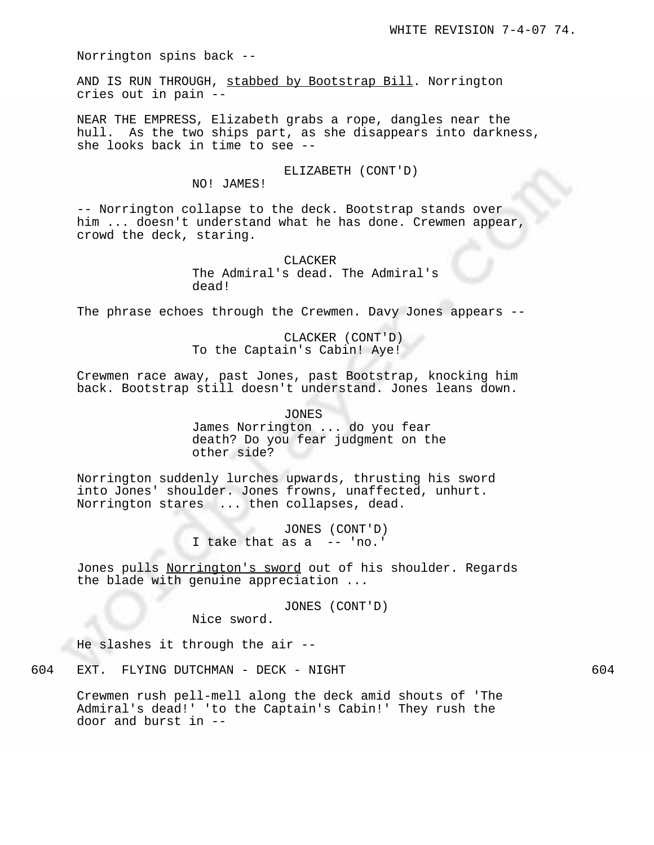Norrington spins back --

AND IS RUN THROUGH, stabbed by Bootstrap Bill. Norrington cries out in pain --

NEAR THE EMPRESS, Elizabeth grabs a rope, dangles near the hull. As the two ships part, as she disappears into darkness, she looks back in time to see --

# ELIZABETH (CONT'D)

NO! JAMES!

-- Norrington collapse to the deck. Bootstrap stands over him ... doesn't understand what he has done. Crewmen appear, crowd the deck, staring.

> CLACKER The Admiral's dead. The Admiral's dead!

The phrase echoes through the Crewmen. Davy Jones appears --

CLACKER (CONT'D) To the Captain's Cabin! Aye!

Crewmen race away, past Jones, past Bootstrap, knocking him back. Bootstrap still doesn't understand. Jones leans down.

> JONES James Norrington ... do you fear death? Do you fear judgment on the other side?

Norrington suddenly lurches upwards, thrusting his sword into Jones' shoulder. Jones frowns, unaffected, unhurt. Norrington stares ... then collapses, dead.

> JONES (CONT'D) an i I take that as a -- 'no.'

Jones pulls Norrington's sword out of his shoulder. Regards the blade with genuine appreciation ...

JONES (CONT'D)

Nice sword.

He slashes it through the air --

604 EXT. FLYING DUTCHMAN - DECK - NIGHT 604

Crewmen rush pell-mell along the deck amid shouts of 'The Admiral's dead!' 'to the Captain's Cabin!' They rush the door and burst in --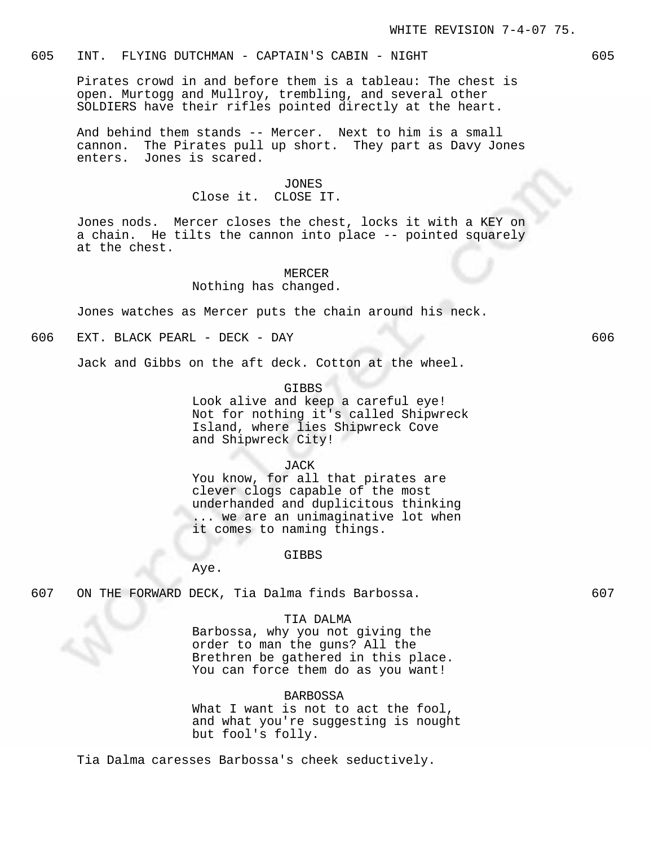# 605 INT. FLYING DUTCHMAN - CAPTAIN'S CABIN - NIGHT 605

Pirates crowd in and before them is a tableau: The chest is open. Murtogg and Mullroy, trembling, and several other SOLDIERS have their rifles pointed directly at the heart.

And behind them stands -- Mercer. Next to him is a small cannon. The Pirates pull up short. They part as Davy Jones enters. Jones is scared.

#### JONES

### Close it. CLOSE IT.

Jones nods. Mercer closes the chest, locks it with a KEY on a chain. He tilts the cannon into place -- pointed squarely at the chest.

## MERCER

### Nothing has changed.

Jones watches as Mercer puts the chain around his neck.

606 EXT. BLACK PEARL - DECK - DAY 606

Jack and Gibbs on the aft deck. Cotton at the wheel.

### GIBBS

Look alive and keep a careful eye! Not for nothing it's called Shipwreck Island, where lies Shipwreck Cove and Shipwreck City!

### JACK

You know, for all that pirates are clever clogs capable of the most underhanded and duplicitous thinking ... we are an unimaginative lot when it comes to naming things.

#### GIBBS

Aye.

# 607 ON THE FORWARD DECK, Tia Dalma finds Barbossa. 607

# TIA DALMA

Barbossa, why you not giving the order to man the guns? All the Brethren be gathered in this place. You can force them do as you want!

# BARBOSSA

What I want is not to act the fool, and what you're suggesting is nought but fool's folly.

Tia Dalma caresses Barbossa's cheek seductively.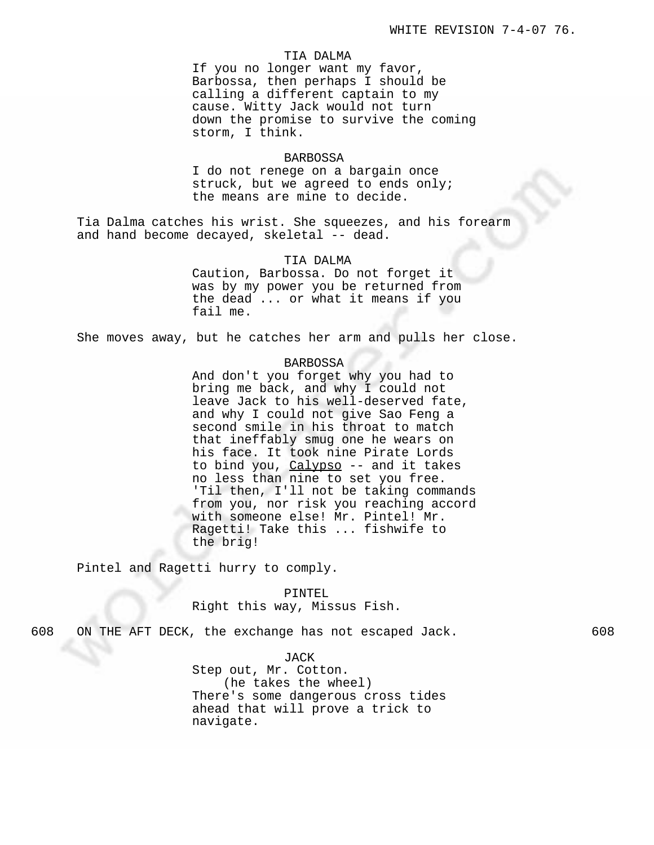### TIA DALMA

If you no longer want my favor, Barbossa, then perhaps I should be calling a different captain to my cause. Witty Jack would not turn down the promise to survive the coming storm, I think.

# BARBOSSA

I do not renege on a bargain once struck, but we agreed to ends only; the means are mine to decide.

Tia Dalma catches his wrist. She squeezes, and his forearm and hand become decayed, skeletal -- dead.

#### TIA DALMA

Caution, Barbossa. Do not forget it was by my power you be returned from the dead ... or what it means if you fail me.

She moves away, but he catches her arm and pulls her close.

# BARBOSSA

And don't you forget why you had to bring me back, and why I could not leave Jack to his well-deserved fate, and why I could not give Sao Feng a second smile in his throat to match that ineffably smug one he wears on his face. It took nine Pirate Lords to bind you, Calypso -- and it takes no less than nine to set you free. 'Til then, I'll not be taking commands from you, nor risk you reaching accord with someone else! Mr. Pintel! Mr. Ragetti! Take this ... fishwife to the brig!

Pintel and Ragetti hurry to comply.

PINTEL Right this way, Missus Fish.

608 ON THE AFT DECK, the exchange has not escaped Jack. 608

JACK Step out, Mr. Cotton. (he takes the wheel) There's some dangerous cross tides ahead that will prove a trick to navigate.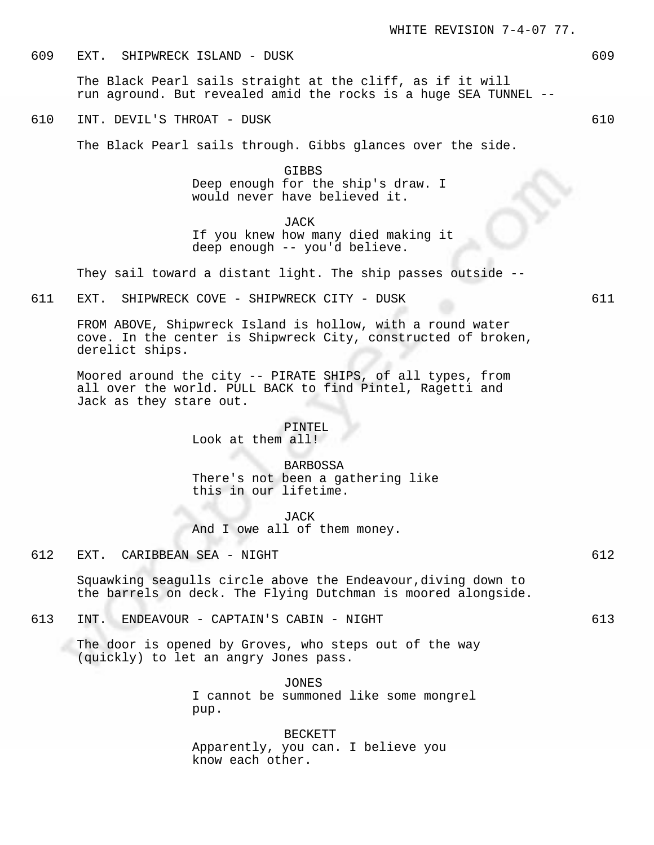609 EXT. SHIPWRECK ISLAND - DUSK 609

The Black Pearl sails straight at the cliff, as if it will run aground. But revealed amid the rocks is a huge SEA TUNNEL --

610 INT. DEVIL'S THROAT - DUSK 610

The Black Pearl sails through. Gibbs glances over the side.

GIBBS Deep enough for the ship's draw. I would never have believed it.

JACK If you knew how many died making it deep enough -- you'd believe.

They sail toward a distant light. The ship passes outside --

611 EXT. SHIPWRECK COVE - SHIPWRECK CITY - DUSK 611

FROM ABOVE, Shipwreck Island is hollow, with a round water cove. In the center is Shipwreck City, constructed of broken, derelict ships.

Moored around the city -- PIRATE SHIPS, of all types, from all over the world. PULL BACK to find Pintel, Ragetti and Jack as they stare out.

> PINTEL Look at them all!

BARBOSSA There's not been a gathering like this in our lifetime.

JACK And I owe all of them money.

612 EXT. CARIBBEAN SEA - NIGHT 612

Squawking seagulls circle above the Endeavour,diving down to the barrels on deck. The Flying Dutchman is moored alongside.

613 INT. ENDEAVOUR - CAPTAIN'S CABIN - NIGHT 613

The door is opened by Groves, who steps out of the way (quickly) to let an angry Jones pass.

> JONES I cannot be summoned like some mongrel pup.

BECKETT Apparently, you can. I believe you know each other.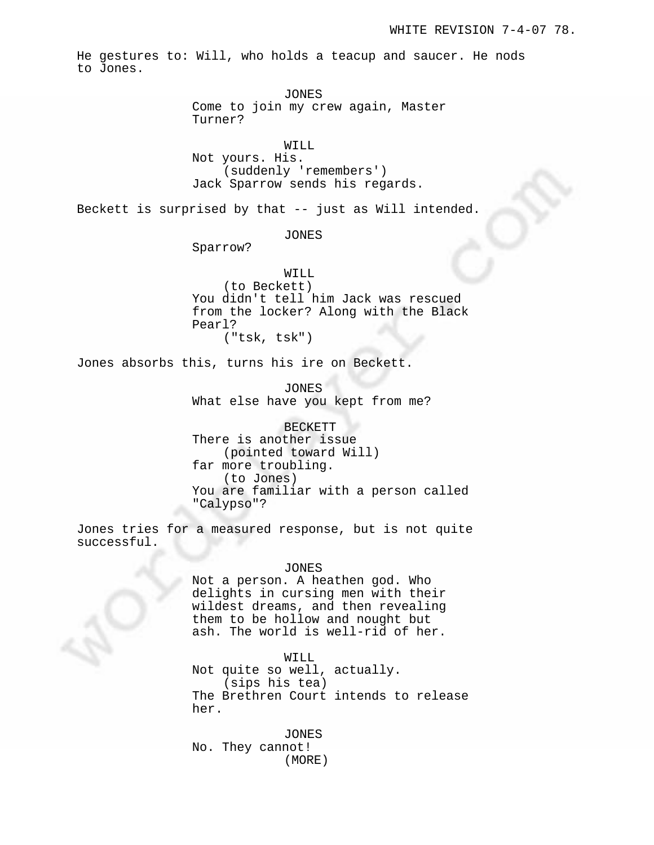He gestures to: Will, who holds a teacup and saucer. He nods to Jones.

JONES

Come to join my crew again, Master Turner?

WILL

Not yours. His. (suddenly 'remembers') Jack Sparrow sends his regards.

Beckett is surprised by that -- just as Will intended.

JONES

Sparrow?

WILL (to Beckett) You didn't tell him Jack was rescued from the locker? Along with the Black Pearl? ("tsk, tsk")

Jones absorbs this, turns his ire on Beckett.

JONES What else have you kept from me?

BECKETT There is another issue (pointed toward Will) far more troubling. (to Jones) You are familiar with a person called "Calypso"?

Jones tries for a measured response, but is not quite successful.

### JONES

Not a person. A heathen god. Who delights in cursing men with their wildest dreams, and then revealing them to be hollow and nought but ash. The world is well-rid of her.

WILL

Not quite so well, actually. (sips his tea) The Brethren Court intends to release her.

JONES No. They cannot! (MORE)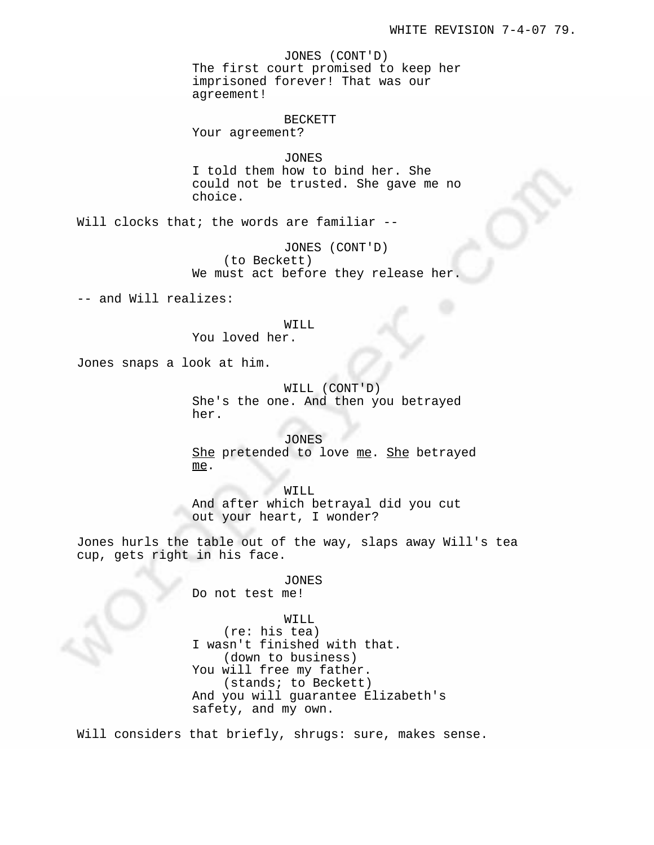JONES (CONT'D) The first court promised to keep her imprisoned forever! That was our agreement!

#### BECKETT

Your agreement?

JONES

I told them how to bind her. She could not be trusted. She gave me no choice.

Will clocks that; the words are familiar --

JONES (CONT'D) (to Beckett) We must act before they release her.

-- and Will realizes:

#### WILL

You loved her.

Jones snaps a look at him.

WILL (CONT'D) She's the one. And then you betrayed her.

JONES She pretended to love me. She betrayed me.

WILL And after which betrayal did you cut out your heart, I wonder?

Jones hurls the table out of the way, slaps away Will's tea cup, gets right in his face.

> JONES Do not test me!

WILL (re: his tea) I wasn't finished with that. (down to business) You will free my father. (stands; to Beckett) And you will guarantee Elizabeth's safety, and my own.

Will considers that briefly, shrugs: sure, makes sense.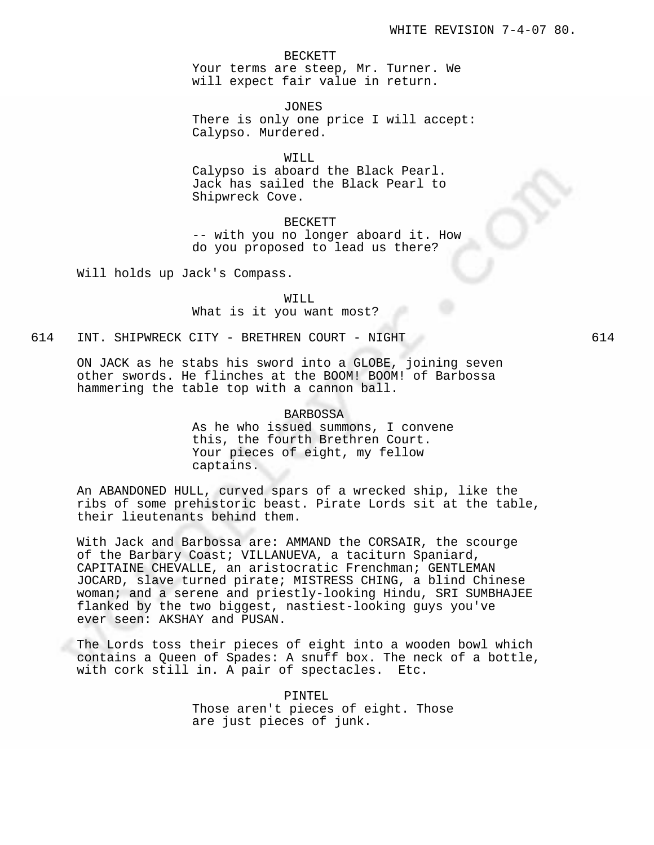BECKETT Your terms are steep, Mr. Turner. We will expect fair value in return.

JONES There is only one price I will accept: Calypso. Murdered.

WILL

Calypso is aboard the Black Pearl. Jack has sailed the Black Pearl to Shipwreck Cove.

BECKETT -- with you no longer aboard it. How do you proposed to lead us there?

Will holds up Jack's Compass.

WILL What is it you want most?

614 INT. SHIPWRECK CITY - BRETHREN COURT - NIGHT 614

ON JACK as he stabs his sword into a GLOBE, joining seven other swords. He flinches at the BOOM! BOOM! of Barbossa hammering the table top with a cannon ball.

#### BARBOSSA

As he who issued summons, I convene this, the fourth Brethren Court. Your pieces of eight, my fellow captains.

An ABANDONED HULL, curved spars of a wrecked ship, like the ribs of some prehistoric beast. Pirate Lords sit at the table, their lieutenants behind them.

With Jack and Barbossa are: AMMAND the CORSAIR, the scourge of the Barbary Coast; VILLANUEVA, a taciturn Spaniard, CAPITAINE CHEVALLE, an aristocratic Frenchman; GENTLEMAN JOCARD, slave turned pirate; MISTRESS CHING, a blind Chinese woman; and a serene and priestly-looking Hindu, SRI SUMBHAJEE flanked by the two biggest, nastiest-looking guys you've ever seen: AKSHAY and PUSAN.

The Lords toss their pieces of eight into a wooden bowl which contains a Queen of Spades: A snuff box. The neck of a bottle, with cork still in. A pair of spectacles. Etc.

> PINTEL Those aren't pieces of eight. Those are just pieces of junk.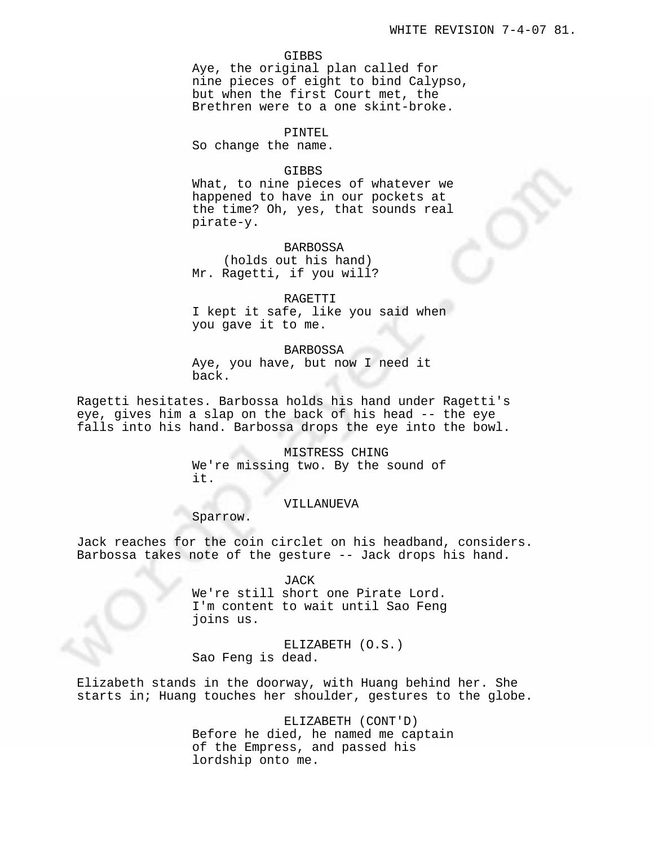#### GIBBS

Aye, the original plan called for nine pieces of eight to bind Calypso, but when the first Court met, the Brethren were to a one skint-broke.

#### PINTEL

So change the name.

# GIBBS

What, to nine pieces of whatever we happened to have in our pockets at the time? Oh, yes, that sounds real pirate-y.

BARBOSSA

(holds out his hand) Mr. Ragetti, if you will?

#### RAGETTI

I kept it safe, like you said when you gave it to me.

#### BARBOSSA

Aye, you have, but now I need it back.

Ragetti hesitates. Barbossa holds his hand under Ragetti's eye, gives him a slap on the back of his head -- the eye falls into his hand. Barbossa drops the eye into the bowl.

> MISTRESS CHING We're missing two. By the sound of it.

# VILLANUEVA

Sparrow.

Jack reaches for the coin circlet on his headband, considers. Barbossa takes note of the gesture -- Jack drops his hand.

# JACK

We're still short one Pirate Lord. I'm content to wait until Sao Feng joins us.

ELIZABETH (O.S.) Sao Feng is dead.

Elizabeth stands in the doorway, with Huang behind her. She starts in; Huang touches her shoulder, gestures to the globe.

> ELIZABETH (CONT'D) Before he died, he named me captain of the Empress, and passed his lordship onto me.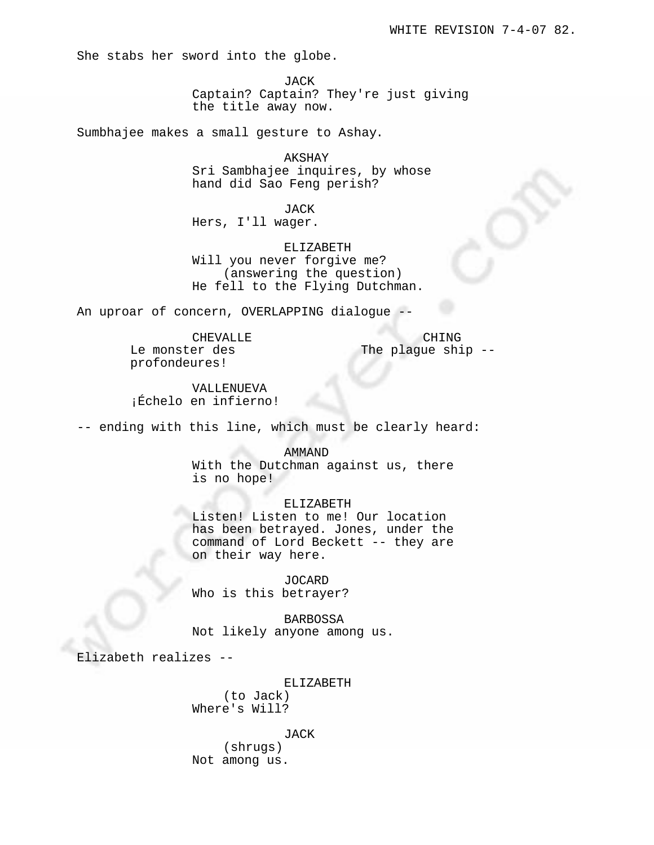She stabs her sword into the globe.

JACK Captain? Captain? They're just giving the title away now.

Sumbhajee makes a small gesture to Ashay.

AKSHAY Sri Sambhajee inquires, by whose hand did Sao Feng perish?

JACK Hers, I'll wager.

ELIZABETH Will you never forgive me? (answering the question) He fell to the Flying Dutchman.

An uproar of concern, OVERLAPPING dialogue --

CHEVALLE Le monster des profondeures!

CHING The plague ship --

VALLENUEVA ¡Échelo en infierno!

-- ending with this line, which must be clearly heard:

AMMAND

With the Dutchman against us, there is no hope!

ELIZABETH

Listen! Listen to me! Our location has been betrayed. Jones, under the command of Lord Beckett -- they are on their way here.

JOCARD Who is this betrayer?

BARBOSSA Not likely anyone among us.

Elizabeth realizes --

ELIZABETH

(to Jack) Where's Will?

JACK

(shrugs) Not among us.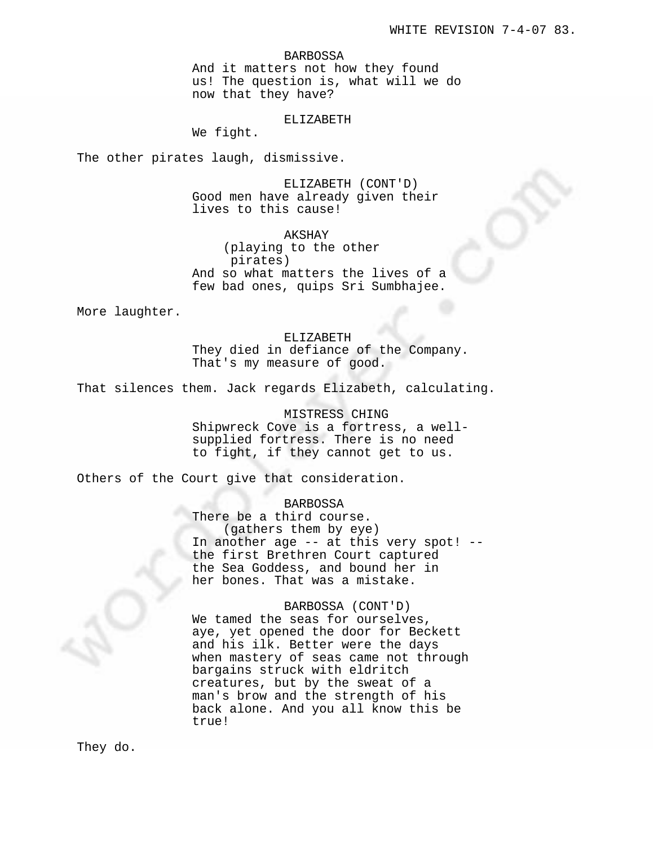#### BARBOSSA

And it matters not how they found us! The question is, what will we do now that they have?

### ELIZABETH

We fight.

The other pirates laugh, dismissive.

ELIZABETH (CONT'D) Good men have already given their lives to this cause!

AKSHAY (playing to the other pirates) And so what matters the lives of a few bad ones, quips Sri Sumbhajee.

More laughter.

ELIZABETH They died in defiance of the Company. That's my measure of good.

That silences them. Jack regards Elizabeth, calculating.

MISTRESS CHING Shipwreck Cove is a fortress, a wellsupplied fortress. There is no need to fight, if they cannot get to us.

Others of the Court give that consideration.

# BARBOSSA

There be a third course. (gathers them by eye) In another age -- at this very spot! - the first Brethren Court captured the Sea Goddess, and bound her in her bones. That was a mistake.

### BARBOSSA (CONT'D)

We tamed the seas for ourselves, aye, yet opened the door for Beckett and his ilk. Better were the days when mastery of seas came not through bargains struck with eldritch creatures, but by the sweat of a man's brow and the strength of his back alone. And you all know this be true!

They do.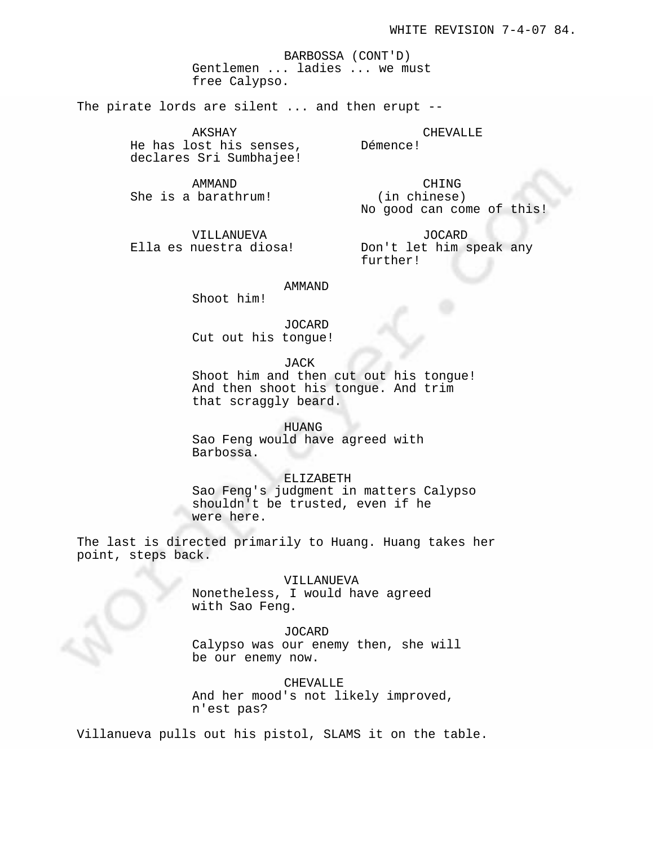BARBOSSA (CONT'D) Gentlemen ... ladies ... we must free Calypso.

The pirate lords are silent ... and then erupt --

AKSHAY He has lost his senses, declares Sri Sumbhajee!

AMMAND She is a barathrum!

CHING (in chinese) No good can come of this!

CHEVALLE

Démence!

VILLANUEVA Ella es nuestra diosa!

JOCARD Don't let him speak any further!

AMMAND

Shoot him!

JOCARD Cut out his tongue!

JACK

Shoot him and then cut out his tongue! And then shoot his tongue. And trim that scraggly beard.

## HUANG

Sao Feng would have agreed with Barbossa.

## ELIZABETH

Sao Feng's judgment in matters Calypso shouldn't be trusted, even if he were here.

The last is directed primarily to Huang. Huang takes her point, steps back.

# VILLANUEVA

Nonetheless, I would have agreed with Sao Feng.

### JOCARD

Calypso was our enemy then, she will be our enemy now.

#### CHEVALLE

And her mood's not likely improved, n'est pas?

Villanueva pulls out his pistol, SLAMS it on the table.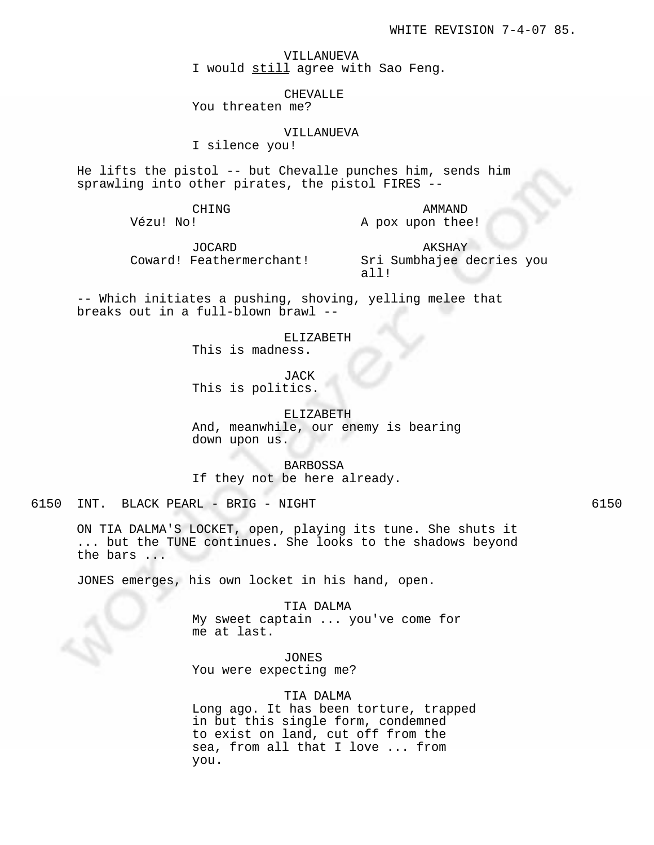VILLANUEVA I would still agree with Sao Feng.

CHEVALLE

You threaten me?

VILLANUEVA

I silence you!

He lifts the pistol -- but Chevalle punches him, sends him sprawling into other pirates, the pistol FIRES --

CHING

Vézu! No!

AMMAND A pox upon thee!

JOCARD Coward! Feathermerchant!

AKSHAY Sri Sumbhajee decries you all!

-- Which initiates a pushing, shoving, yelling melee that breaks out in a full-blown brawl --

ELIZABETH

This is madness.

JACK This is politics.

ELIZABETH

And, meanwhile, our enemy is bearing down upon us.

BARBOSSA If they not be here already.

6150 INT. BLACK PEARL - BRIG - NIGHT 6150

ON TIA DALMA'S LOCKET, open, playing its tune. She shuts it ... but the TUNE continues. She looks to the shadows beyond the bars ...

JONES emerges, his own locket in his hand, open.

TIA DALMA My sweet captain ... you've come for me at last.

JONES You were expecting me?

TIA DALMA

Long ago. It has been torture, trapped in but this single form, condemned to exist on land, cut off from the sea, from all that I love ... from you.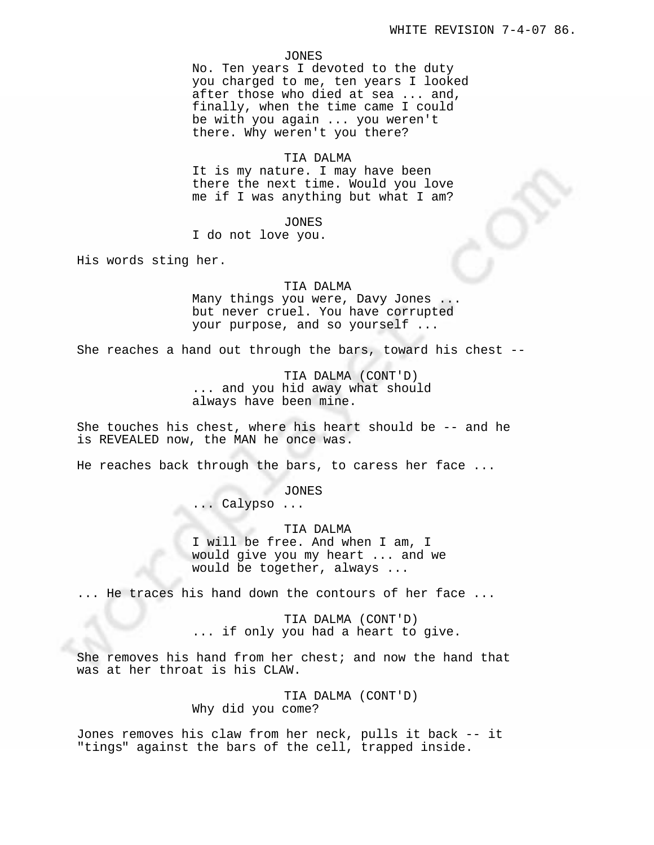#### JONES

No. Ten years I devoted to the duty you charged to me, ten years I looked after those who died at sea ... and, finally, when the time came I could be with you again ... you weren't there. Why weren't you there?

# TIA DALMA

It is my nature. I may have been there the next time. Would you love me if I was anything but what I am?

# JONES

I do not love you.

His words sting her.

#### TIA DALMA

Many things you were, Davy Jones ... but never cruel. You have corrupted your purpose, and so yourself ...

She reaches a hand out through the bars, toward his chest --

TIA DALMA (CONT'D) ... and you hid away what should always have been mine.

She touches his chest, where his heart should be -- and he is REVEALED now, the MAN he once was.

He reaches back through the bars, to caress her face ...

JONES ... Calypso ...

TIA DALMA I will be free. And when I am, I would give you my heart ... and we would be together, always ...

... He traces his hand down the contours of her face ...

TIA DALMA (CONT'D) ... if only you had a heart to give.

She removes his hand from her chest; and now the hand that was at her throat is his CLAW.

> TIA DALMA (CONT'D) Why did you come?

Jones removes his claw from her neck, pulls it back -- it "tings" against the bars of the cell, trapped inside.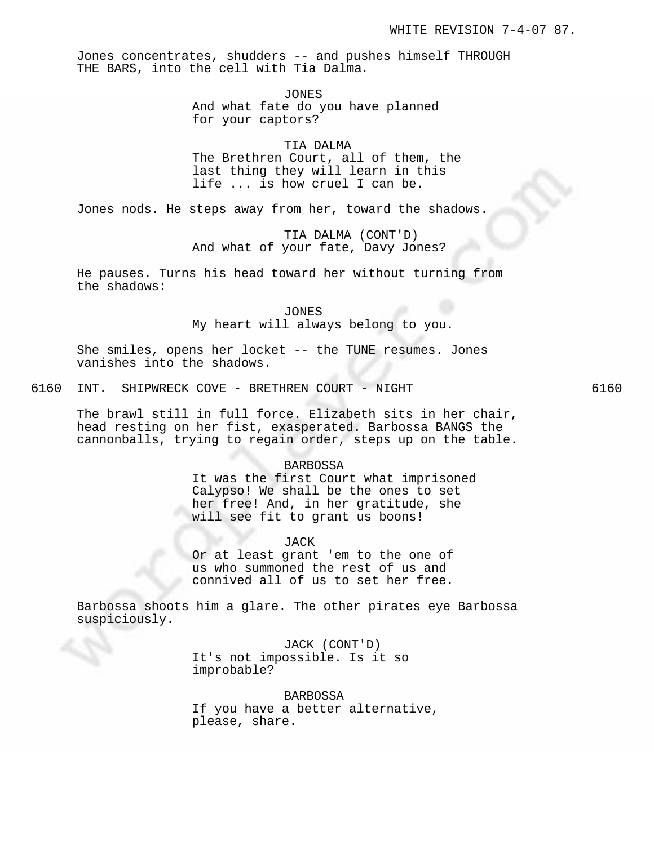Jones concentrates, shudders -- and pushes himself THROUGH THE BARS, into the cell with Tia Dalma.

> JONES And what fate do you have planned for your captors?

TIA DALMA The Brethren Court, all of them, the last thing they will learn in this life ... is how cruel I can be.

Jones nods. He steps away from her, toward the shadows.

TIA DALMA (CONT'D) And what of your fate, Davy Jones?

He pauses. Turns his head toward her without turning from the shadows:

JONES

My heart will always belong to you.

She smiles, opens her locket -- the TUNE resumes. Jones vanishes into the shadows.

6160 INT. SHIPWRECK COVE - BRETHREN COURT - NIGHT 6160

The brawl still in full force. Elizabeth sits in her chair, head resting on her fist, exasperated. Barbossa BANGS the cannonballs, trying to regain order, steps up on the table.

### BARBOSSA

It was the first Court what imprisoned Calypso! We shall be the ones to set her free! And, in her gratitude, she will see fit to grant us boons!

JACK

Or at least grant 'em to the one of us who summoned the rest of us and connived all of us to set her free.

Barbossa shoots him a glare. The other pirates eye Barbossa suspiciously.

> JACK (CONT'D) It's not impossible. Is it so improbable?

BARBOSSA If you have a better alternative, please, share.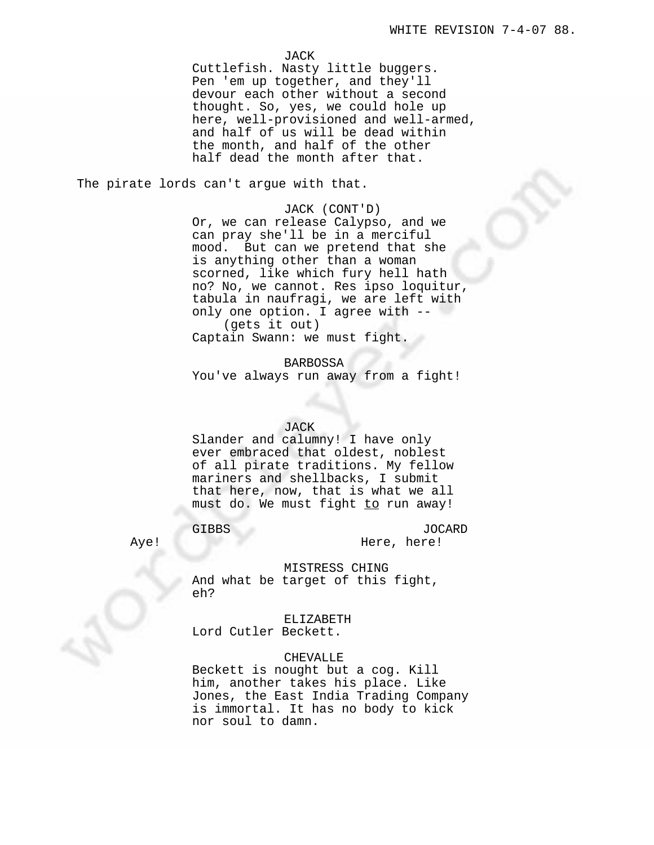JACK

Cuttlefish. Nasty little buggers. Pen 'em up together, and they'll devour each other without a second thought. So, yes, we could hole up here, well-provisioned and well-armed, and half of us will be dead within the month, and half of the other half dead the month after that.

The pirate lords can't argue with that.

### JACK (CONT'D)

Or, we can release Calypso, and we can pray she'll be in a merciful mood. But can we pretend that she is anything other than a woman scorned, like which fury hell hath no? No, we cannot. Res ipso loquitur, tabula in naufragi, we are left with only one option. I agree with -- (gets it out) Captain Swann: we must fight.

BARBOSSA You've always run away from a fight!

## JACK

Slander and calumny! I have only ever embraced that oldest, noblest of all pirate traditions. My fellow mariners and shellbacks, I submit that here, now, that is what we all must do. We must fight to run away!

# GIBBS

JOCARD Here, here!

Aye!

# MISTRESS CHING

And what be target of this fight, eh?

ELIZABETH

Lord Cutler Beckett.

# CHEVALLE

Beckett is nought but a cog. Kill him, another takes his place. Like Jones, the East India Trading Company is immortal. It has no body to kick nor soul to damn.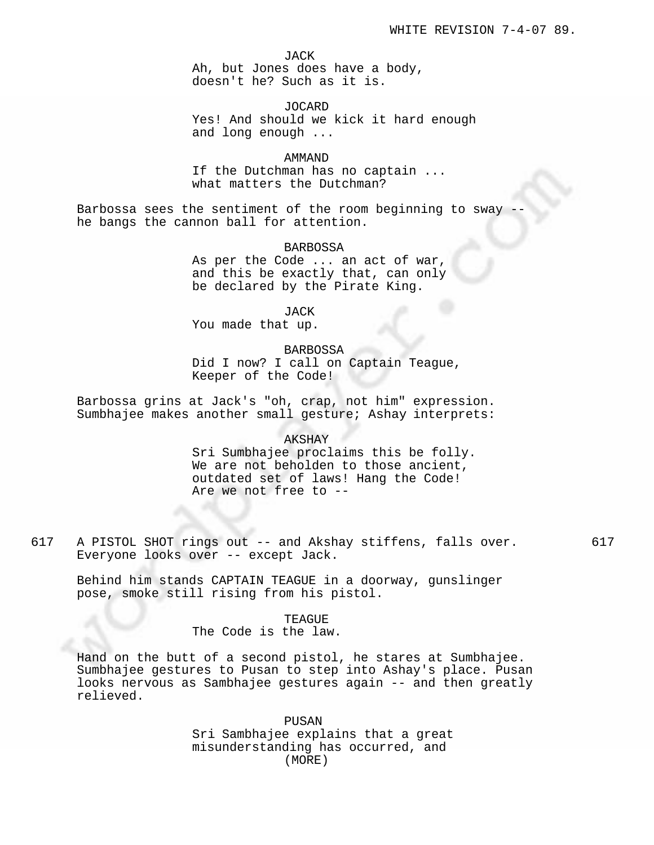JACK

Ah, but Jones does have a body, doesn't he? Such as it is.

# JOCARD

Yes! And should we kick it hard enough and long enough ...

# AMMAND

If the Dutchman has no captain ... what matters the Dutchman?

Barbossa sees the sentiment of the room beginning to sway he bangs the cannon ball for attention.

## BARBOSSA

As per the Code ... an act of war, and this be exactly that, can only be declared by the Pirate King.

JACK

You made that up.

### BARBOSSA

Did I now? I call on Captain Teague, Keeper of the Code!

Barbossa grins at Jack's "oh, crap, not him" expression. Sumbhajee makes another small gesture; Ashay interprets:

#### AKSHAY

Sri Sumbhajee proclaims this be folly. We are not beholden to those ancient, outdated set of laws! Hang the Code! Are we not free to --

617 A PISTOL SHOT rings out -- and Akshay stiffens, falls over. 617 Everyone looks over -- except Jack.

Behind him stands CAPTAIN TEAGUE in a doorway, gunslinger pose, smoke still rising from his pistol.

> TEAGUE The Code is the law.

Hand on the butt of a second pistol, he stares at Sumbhajee. Sumbhajee gestures to Pusan to step into Ashay's place. Pusan looks nervous as Sambhajee gestures again -- and then greatly relieved.

> PUSAN Sri Sambhajee explains that a great misunderstanding has occurred, and (MORE)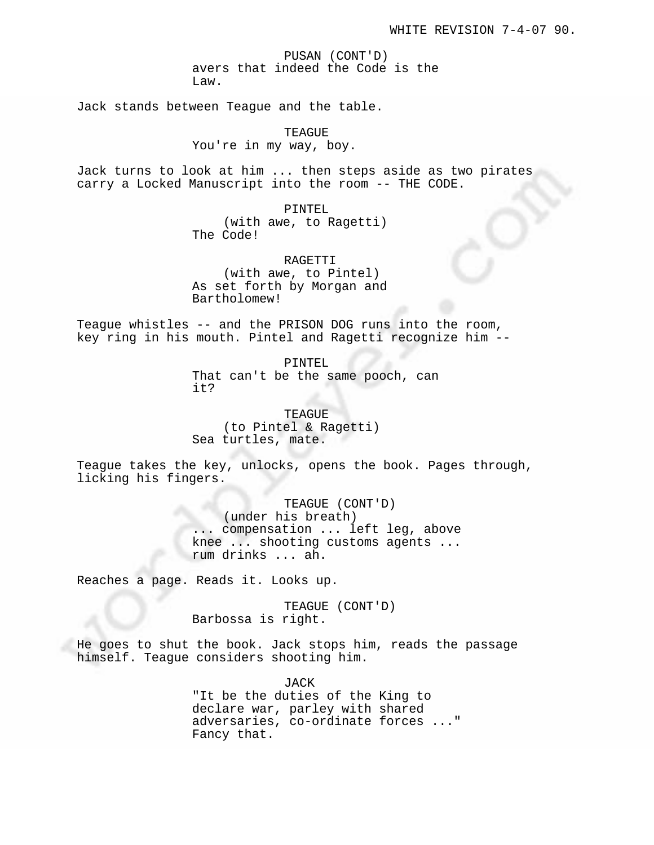PUSAN (CONT'D) avers that indeed the Code is the Law.

Jack stands between Teague and the table.

TEAGUE You're in my way, boy.

Jack turns to look at him ... then steps aside as two pirates carry a Locked Manuscript into the room -- THE CODE.

> PINTEL (with awe, to Ragetti) The Code!

> RAGETTI (with awe, to Pintel) As set forth by Morgan and Bartholomew!

Teague whistles -- and the PRISON DOG runs into the room, key ring in his mouth. Pintel and Ragetti recognize him --

> PINTEL That can't be the same pooch, can it?

TEAGUE (to Pintel & Ragetti) Sea turtles, mate.

Teague takes the key, unlocks, opens the book. Pages through, licking his fingers.

> TEAGUE (CONT'D) (under his breath) ... compensation ... left leg, above knee ... shooting customs agents ... rum drinks ... ah.

Reaches a page. Reads it. Looks up.

TEAGUE (CONT'D) Barbossa is right.

He goes to shut the book. Jack stops him, reads the passage himself. Teague considers shooting him.

> JACK "It be the duties of the King to declare war, parley with shared adversaries, co-ordinate forces ..." Fancy that.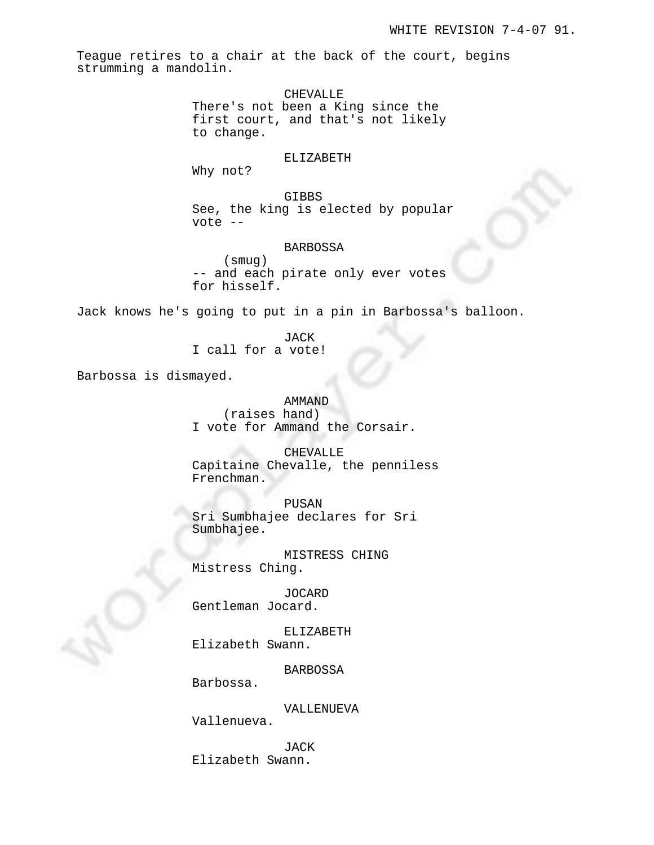Teague retires to a chair at the back of the court, begins strumming a mandolin.

> CHEVALLE There's not been a King since the first court, and that's not likely to change.

### ELIZABETH

Why not?

GIBBS See, the king is elected by popular vote --

# BARBOSSA

(smug) -- and each pirate only ever votes for hisself.

Jack knows he's going to put in a pin in Barbossa's balloon.

JACK I call for a vote!

Barbossa is dismayed.

AMMAND (raises hand) I vote for Ammand the Corsair.

CHEVALLE

Capitaine Chevalle, the penniless Frenchman.

PUSAN

Sri Sumbhajee declares for Sri Sumbhajee.

MISTRESS CHING Mistress Ching.

JOCARD Gentleman Jocard.

ELIZABETH Elizabeth Swann.

BARBOSSA

Barbossa.

VALLENUEVA

Vallenueva.

JACK Elizabeth Swann.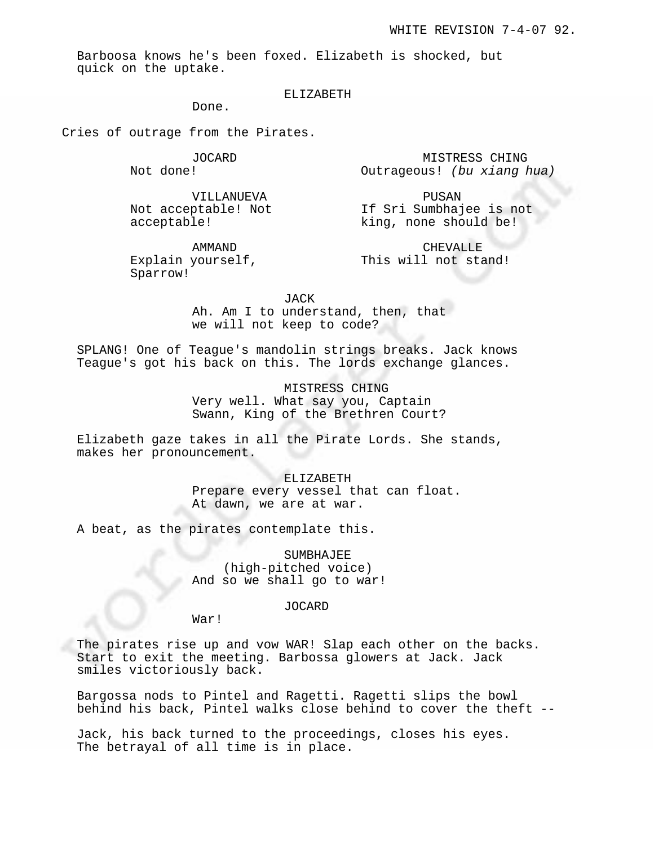MISTRESS CHING

Barboosa knows he's been foxed. Elizabeth is shocked, but quick on the uptake.

# ELIZABETH

Done.

Cries of outrage from the Pirates.

JOCARD Not done!

VILLANUEVA Not acceptable! Not acceptable!

PUSAN If Sri Sumbhajee is not

Outrageous! (bu xiang hua)

AMMAND Explain yourself, Sparrow!

CHEVALLE This will not stand!

king, none should be!

JACK

Ah. Am I to understand, then, that we will not keep to code?

SPLANG! One of Teague's mandolin strings breaks. Jack knows Teague's got his back on this. The lords exchange glances.

> MISTRESS CHING Very well. What say you, Captain Swann, King of the Brethren Court?

Elizabeth gaze takes in all the Pirate Lords. She stands, makes her pronouncement.

> ELIZABETH Prepare every vessel that can float. At dawn, we are at war.

A beat, as the pirates contemplate this.

SUMBHAJEE (high-pitched voice) And so we shall go to war!

JOCARD

War!

The pirates rise up and vow WAR! Slap each other on the backs. Start to exit the meeting. Barbossa glowers at Jack. Jack smiles victoriously back.

Bargossa nods to Pintel and Ragetti. Ragetti slips the bowl behind his back, Pintel walks close behind to cover the theft --

Jack, his back turned to the proceedings, closes his eyes. The betrayal of all time is in place.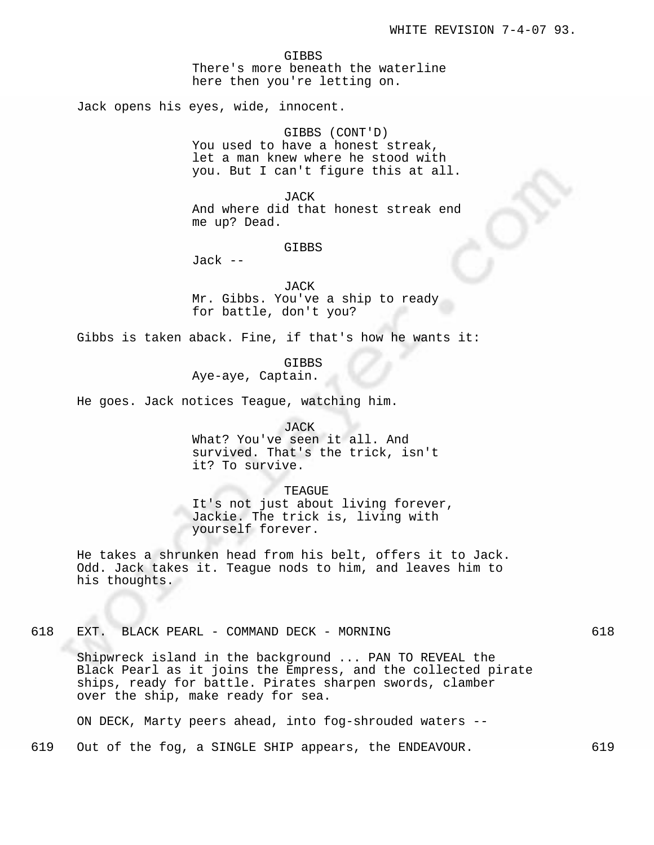GIBBS There's more beneath the waterline here then you're letting on.

Jack opens his eyes, wide, innocent.

GIBBS (CONT'D) You used to have a honest streak, let a man knew where he stood with you. But I can't figure this at all.

JACK And where did that honest streak end me up? Dead.

GIBBS

Jack --

JACK Mr. Gibbs. You've a ship to ready for battle, don't you?

Gibbs is taken aback. Fine, if that's how he wants it:

GIBBS

Aye-aye, Captain.

He goes. Jack notices Teague, watching him.

JACK

What? You've seen it all. And survived. That's the trick, isn't it? To survive.

TEAGUE

It's not just about living forever, Jackie. The trick is, living with yourself forever.

He takes a shrunken head from his belt, offers it to Jack. Odd. Jack takes it. Teague nods to him, and leaves him to his thoughts.

618 EXT. BLACK PEARL - COMMAND DECK - MORNING 618

Shipwreck island in the background ... PAN TO REVEAL the Black Pearl as it joins the Empress, and the collected pirate ships, ready for battle. Pirates sharpen swords, clamber over the ship, make ready for sea.

ON DECK, Marty peers ahead, into fog-shrouded waters --

619 Out of the fog, a SINGLE SHIP appears, the ENDEAVOUR. 619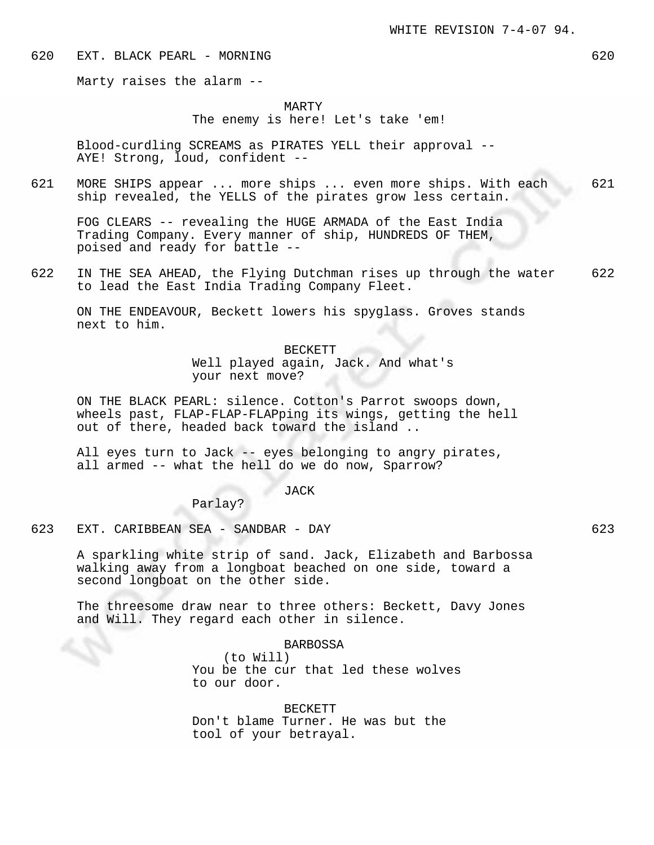620 EXT. BLACK PEARL - MORNING 620

Marty raises the alarm --

## MARTY

The enemy is here! Let's take 'em!

Blood-curdling SCREAMS as PIRATES YELL their approval -- AYE! Strong, loud, confident --

621 MORE SHIPS appear ... more ships ... even more ships. With each 621 ship revealed, the YELLS of the pirates grow less certain.

FOG CLEARS -- revealing the HUGE ARMADA of the East India Trading Company. Every manner of ship, HUNDREDS OF THEM, poised and ready for battle --

622 IN THE SEA AHEAD, the Flying Dutchman rises up through the water 622 to lead the East India Trading Company Fleet.

ON THE ENDEAVOUR, Beckett lowers his spyglass. Groves stands next to him.

> BECKETT Well played again, Jack. And what's your next move?

ON THE BLACK PEARL: silence. Cotton's Parrot swoops down, wheels past, FLAP-FLAP-FLAPping its wings, getting the hell out of there, headed back toward the island ..

All eyes turn to Jack -- eyes belonging to angry pirates, all armed -- what the hell do we do now, Sparrow?

# JACK

Parlay?

623 EXT. CARIBBEAN SEA - SANDBAR - DAY 623

A sparkling white strip of sand. Jack, Elizabeth and Barbossa walking away from a longboat beached on one side, toward a second longboat on the other side.

The threesome draw near to three others: Beckett, Davy Jones and Will. They regard each other in silence.

BARBOSSA

(to Will) You be the cur that led these wolves to our door.

BECKETT Don't blame Turner. He was but the tool of your betrayal.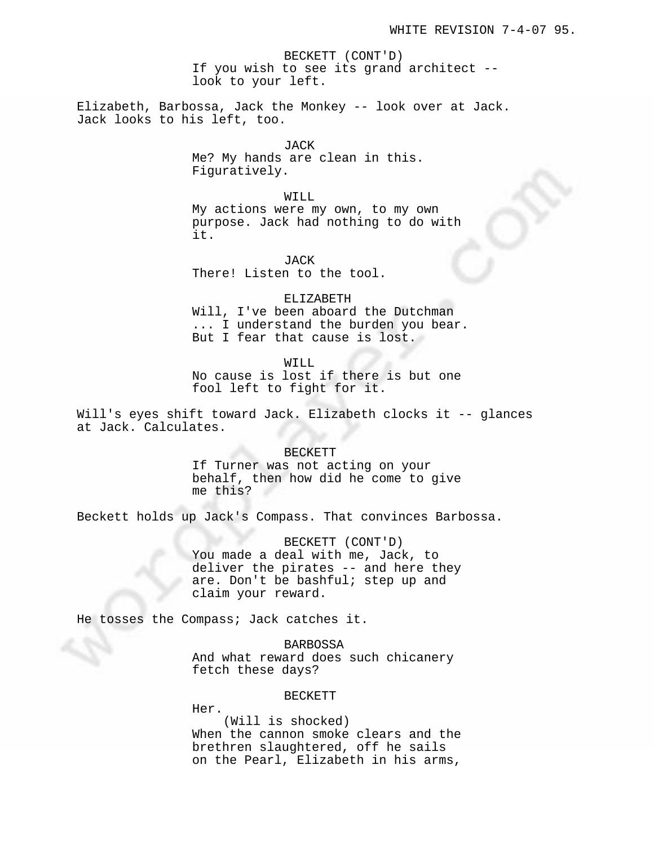BECKETT (CONT'D) If you wish to see its grand architect - look to your left.

Elizabeth, Barbossa, Jack the Monkey -- look over at Jack. Jack looks to his left, too.

> JACK Me? My hands are clean in this. Figuratively.

WILL My actions were my own, to my own purpose. Jack had nothing to do with it.

JACK There! Listen to the tool.

ELIZABETH Will, I've been aboard the Dutchman ... I understand the burden you bear. But I fear that cause is lost.

WILL No cause is lost if there is but one fool left to fight for it.

Will's eyes shift toward Jack. Elizabeth clocks it -- glances at Jack. Calculates.

#### BECKETT

If Turner was not acting on your behalf, then how did he come to give me this?

Beckett holds up Jack's Compass. That convinces Barbossa.

BECKETT (CONT'D)

You made a deal with me, Jack, to deliver the pirates -- and here they are. Don't be bashful; step up and claim your reward.

He tosses the Compass; Jack catches it.

BARBOSSA

And what reward does such chicanery fetch these days?

#### BECKETT

Her.

(Will is shocked) When the cannon smoke clears and the brethren slaughtered, off he sails on the Pearl, Elizabeth in his arms,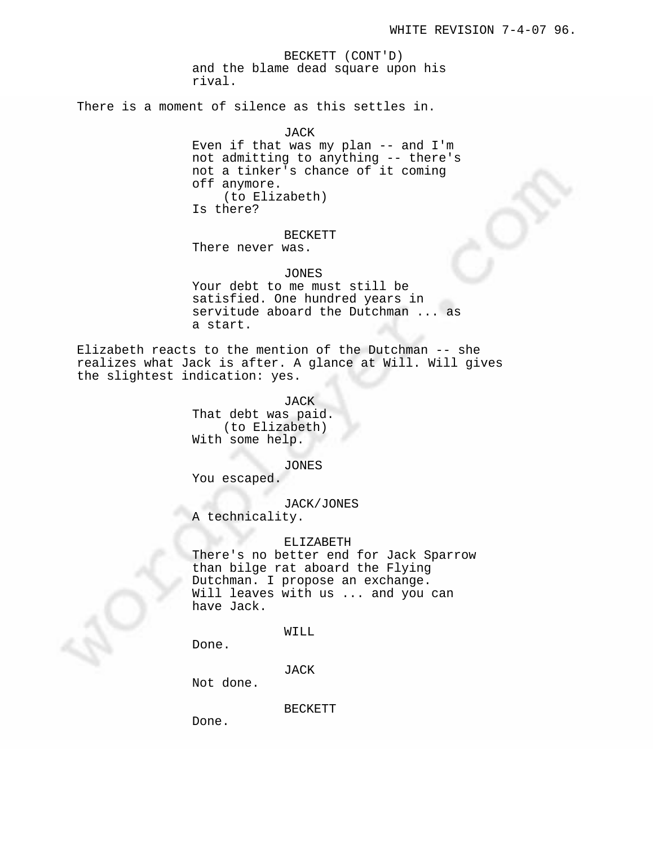BECKETT (CONT'D) and the blame dead square upon his rival.

There is a moment of silence as this settles in.

JACK Even if that was my plan -- and I'm not admitting to anything -- there's not a tinker's chance of it coming off anymore. (to Elizabeth) Is there?

BECKETT

There never was.

JONES Your debt to me must still be satisfied. One hundred years in servitude aboard the Dutchman ... as a start.

Elizabeth reacts to the mention of the Dutchman -- she realizes what Jack is after. A glance at Will. Will gives the slightest indication: yes.

> JACK That debt was paid. (to Elizabeth) With some help.

> > JONES

You escaped.

JACK/JONES

A technicality.

#### ELIZABETH

There's no better end for Jack Sparrow than bilge rat aboard the Flying Dutchman. I propose an exchange. Will leaves with us ... and you can have Jack.

WILL

Done.

JACK

Not done.

BECKETT

Done.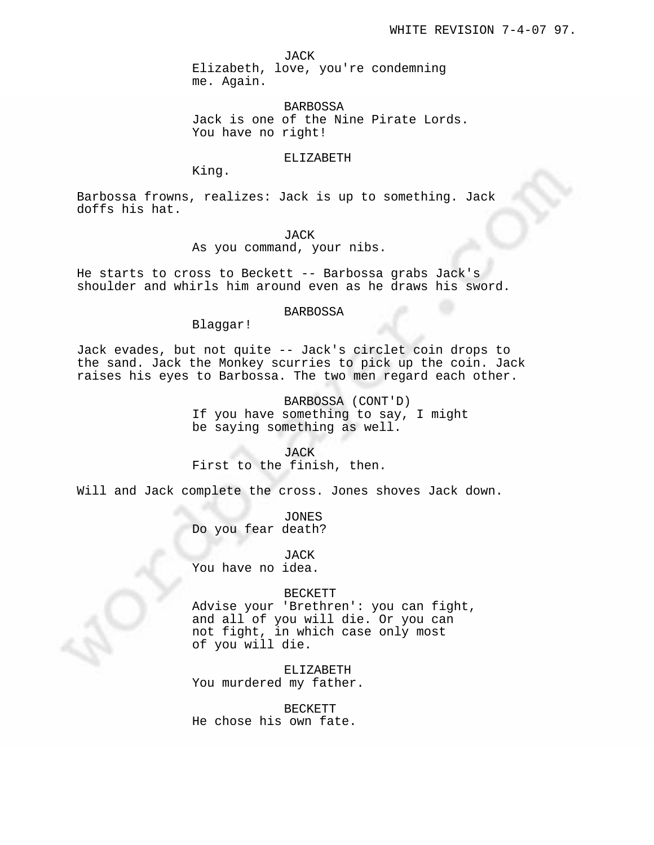JACK

Elizabeth, love, you're condemning me. Again.

BARBOSSA Jack is one of the Nine Pirate Lords. You have no right!

# ELIZABETH

King.

Barbossa frowns, realizes: Jack is up to something. Jack doffs his hat.

JACK

As you command, your nibs.

He starts to cross to Beckett -- Barbossa grabs Jack's shoulder and whirls him around even as he draws his sword.

### BARBOSSA

Blaggar!

Jack evades, but not quite -- Jack's circlet coin drops to the sand. Jack the Monkey scurries to pick up the coin. Jack raises his eyes to Barbossa. The two men regard each other.

> BARBOSSA (CONT'D) If you have something to say, I might be saying something as well.

JACK First to the finish, then.

Will and Jack complete the cross. Jones shoves Jack down.

JONES Do you fear death?

JACK You have no idea.

#### BECKETT

Advise your 'Brethren': you can fight, and all of you will die. Or you can not fight, in which case only most of you will die.

ELIZABETH You murdered my father.

BECKETT He chose his own fate.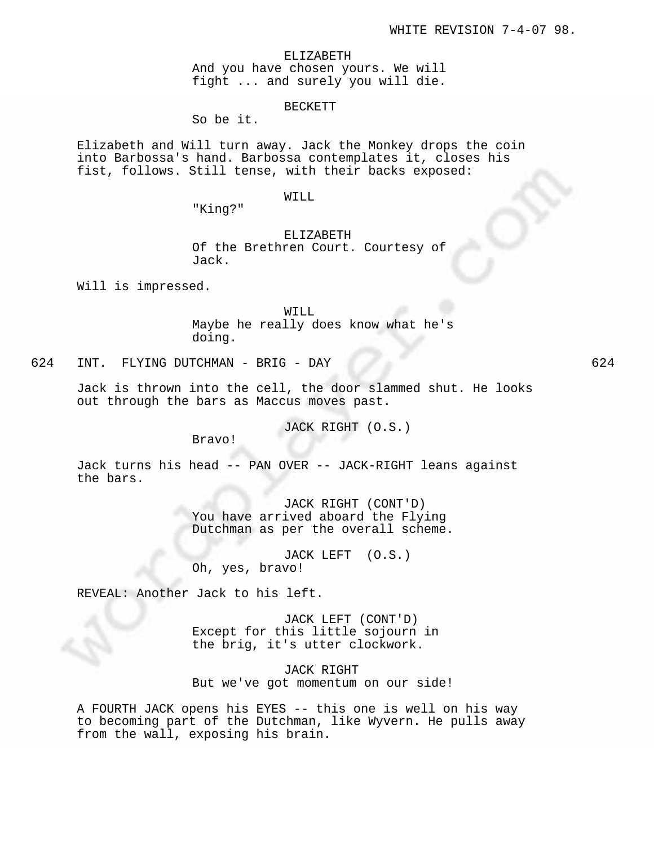ELIZABETH And you have chosen yours. We will fight ... and surely you will die.

### BECKETT

So be it.

Elizabeth and Will turn away. Jack the Monkey drops the coin into Barbossa's hand. Barbossa contemplates it, closes his fist, follows. Still tense, with their backs exposed:

### WILL

"King?"

# ELIZABETH

Of the Brethren Court. Courtesy of Jack.

Will is impressed.

WILL Maybe he really does know what he's doing.

624 INT. FLYING DUTCHMAN - BRIG - DAY 624

Jack is thrown into the cell, the door slammed shut. He looks out through the bars as Maccus moves past.

JACK RIGHT (O.S.)

Bravo!

Jack turns his head -- PAN OVER -- JACK-RIGHT leans against the bars.

> JACK RIGHT (CONT'D) You have arrived aboard the Flying Dutchman as per the overall scheme.

JACK LEFT (O.S.) Oh, yes, bravo!

REVEAL: Another Jack to his left.

JACK LEFT (CONT'D) Except for this little sojourn in the brig, it's utter clockwork.

JACK RIGHT But we've got momentum on our side!

A FOURTH JACK opens his EYES -- this one is well on his way to becoming part of the Dutchman, like Wyvern. He pulls away from the wall, exposing his brain.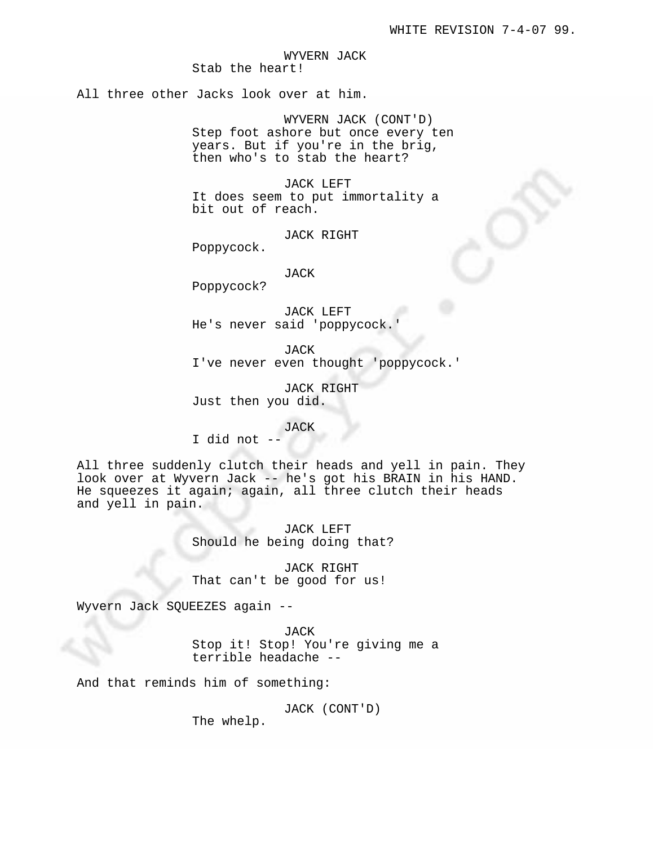WYVERN JACK Stab the heart!

All three other Jacks look over at him.

WYVERN JACK (CONT'D) Step foot ashore but once every ten years. But if you're in the brig, then who's to stab the heart?

JACK LEFT It does seem to put immortality a bit out of reach.

JACK RIGHT

Poppycock.

JACK

Poppycock?

JACK LEFT He's never said 'poppycock.

JACK I've never even thought 'poppycock.'

JACK RIGHT Just then you did.

JACK

I did not --

All three suddenly clutch their heads and yell in pain. They look over at Wyvern Jack -- he's got his BRAIN in his HAND. He squeezes it again; again, all three clutch their heads and yell in pain.

> JACK LEFT Should he being doing that?

JACK RIGHT That can't be good for us!

Wyvern Jack SQUEEZES again --

JACK Stop it! Stop! You're giving me a terrible headache --

And that reminds him of something:

JACK (CONT'D)

The whelp.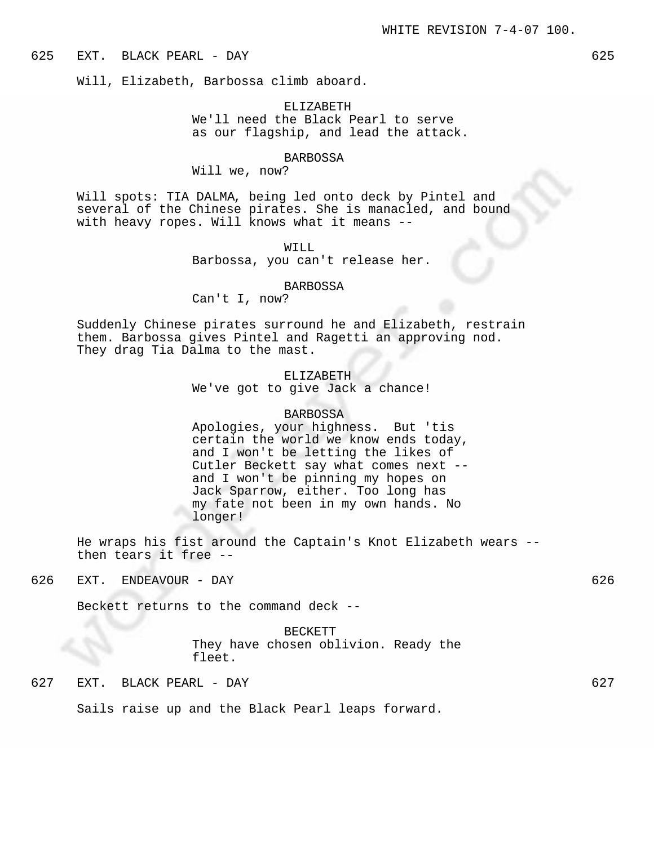### 625 EXT. BLACK PEARL - DAY 625

Will, Elizabeth, Barbossa climb aboard.

# ELIZABETH We'll need the Black Pearl to serve as our flagship, and lead the attack.

# BARBOSSA

Will we, now?

Will spots: TIA DALMA, being led onto deck by Pintel and several of the Chinese pirates. She is manacled, and bound with heavy ropes. Will knows what it means --

WILL

Barbossa, you can't release her.

#### BARBOSSA

Can't I, now?

Suddenly Chinese pirates surround he and Elizabeth, restrain them. Barbossa gives Pintel and Ragetti an approving nod. They drag Tia Dalma to the mast.

> ELIZABETH We've got to give Jack a chance!

#### BARBOSSA

Apologies, your highness. But 'tis certain the world we know ends today, and I won't be letting the likes of Cutler Beckett say what comes next - and I won't be pinning my hopes on Jack Sparrow, either. Too long has my fate not been in my own hands. No longer!

He wraps his fist around the Captain's Knot Elizabeth wears - then tears it free --

# 626 EXT. ENDEAVOUR - DAY 626

Beckett returns to the command deck --

BECKETT They have chosen oblivion. Ready the fleet.

# 627 EXT. BLACK PEARL - DAY 627

Sails raise up and the Black Pearl leaps forward.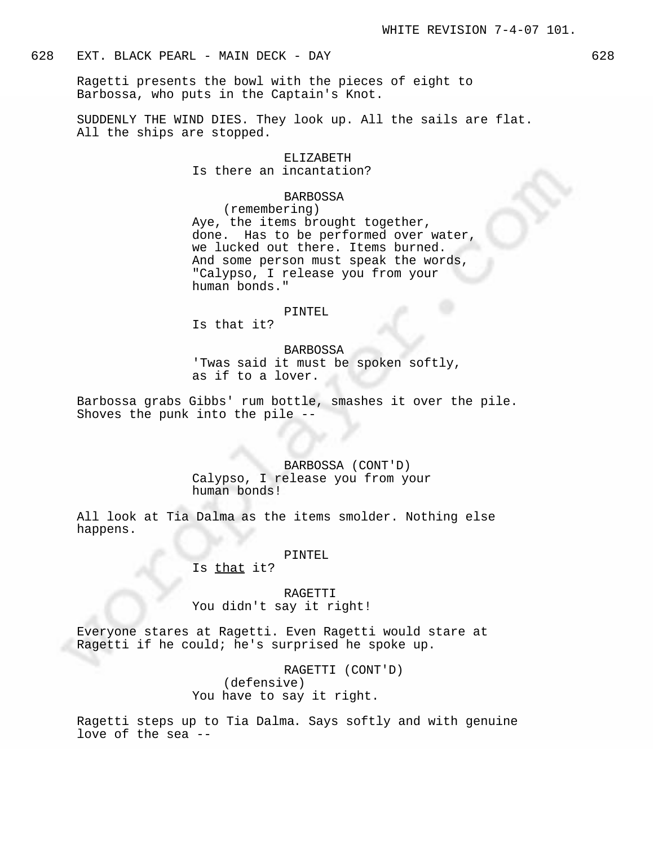# 628 EXT. BLACK PEARL - MAIN DECK - DAY 628

Ragetti presents the bowl with the pieces of eight to Barbossa, who puts in the Captain's Knot.

SUDDENLY THE WIND DIES. They look up. All the sails are flat. All the ships are stopped.

# ELIZABETH

Is there an incantation?

## BARBOSSA

(remembering) Aye, the items brought together, done. Has to be performed over water, we lucked out there. Items burned. And some person must speak the words, "Calypso, I release you from your human bonds."

#### PINTEL

Is that it?

### BARBOSSA

'Twas said it must be spoken softly, as if to a lover.

Barbossa grabs Gibbs' rum bottle, smashes it over the pile. Shoves the punk into the pile --

# BARBOSSA (CONT'D) Calypso, I release you from your human bonds!

All look at Tia Dalma as the items smolder. Nothing else happens.

### PINTEL

# Is that it?

RAGETTI You didn't say it right!

Everyone stares at Ragetti. Even Ragetti would stare at Ragetti if he could; he's surprised he spoke up.

> RAGETTI (CONT'D) (defensive) You have to say it right.

Ragetti steps up to Tia Dalma. Says softly and with genuine love of the sea --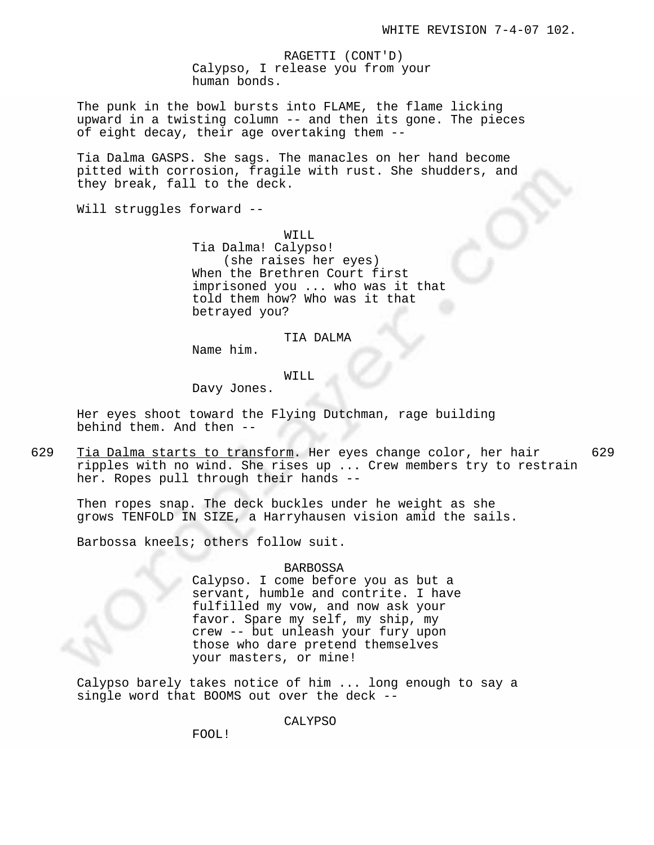RAGETTI (CONT'D) Calypso, I release you from your human bonds.

The punk in the bowl bursts into FLAME, the flame licking upward in a twisting column -- and then its gone. The pieces of eight decay, their age overtaking them --

Tia Dalma GASPS. She sags. The manacles on her hand become pitted with corrosion, fragile with rust. She shudders, and they break, fall to the deck.

Will struggles forward --

WILL Tia Dalma! Calypso! (she raises her eyes) When the Brethren Court first imprisoned you ... who was it that told them how? Who was it that betrayed you?

### TIA DALMA

Name him.

# WILL

Davy Jones.

Her eyes shoot toward the Flying Dutchman, rage building behind them. And then --

629 Tia Dalma starts to transform. Her eyes change color, her hair 629 ripples with no wind. She rises up ... Crew members try to restrain her. Ropes pull through their hands --

Then ropes snap. The deck buckles under he weight as she grows TENFOLD IN SIZE, a Harryhausen vision amid the sails.

Barbossa kneels; others follow suit.

# BARBOSSA

Calypso. I come before you as but a servant, humble and contrite. I have fulfilled my vow, and now ask your favor. Spare my self, my ship, my crew -- but unleash your fury upon those who dare pretend themselves your masters, or mine!

Calypso barely takes notice of him ... long enough to say a single word that BOOMS out over the deck --

CALYPSO

FOOL!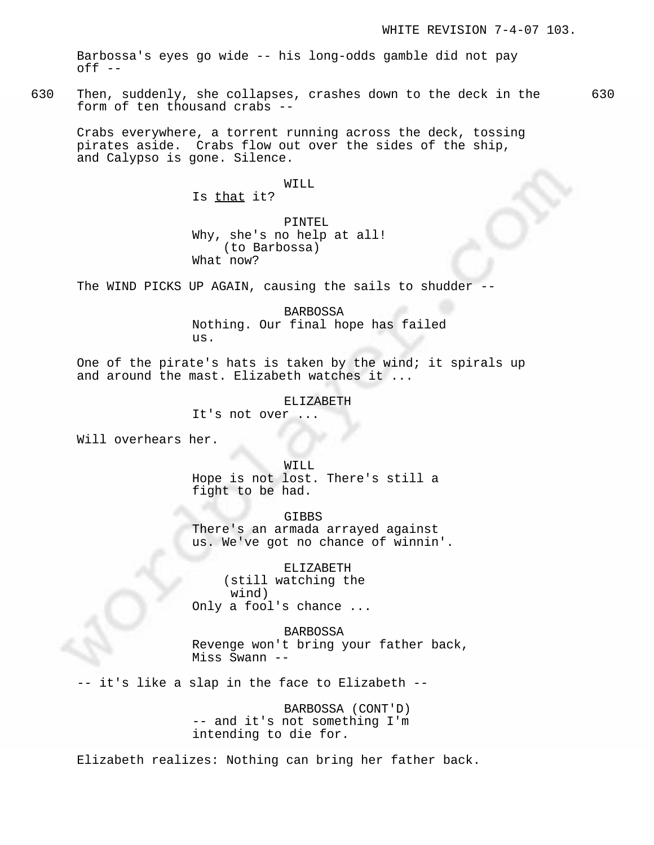Barbossa's eyes go wide -- his long-odds gamble did not pay off --

630 Then, suddenly, she collapses, crashes down to the deck in the 630 form of ten thousand crabs --

Crabs everywhere, a torrent running across the deck, tossing pirates aside. Crabs flow out over the sides of the ship, and Calypso is gone. Silence.

# WILL

Is that it?

# PINTEL Why, she's no help at all! (to Barbossa) What now?

The WIND PICKS UP AGAIN, causing the sails to shudder

BARBOSSA Nothing. Our final hope has failed us.

One of the pirate's hats is taken by the wind; it spirals up and around the mast. Elizabeth watches it ...

### ELIZABETH

It's not over

Will overhears her.

WILL Hope is not lost. There's still a fight to be had.

GIBBS There's an armada arrayed against us. We've got no chance of winnin'.

ELIZABETH (still watching the wind) Only a fool's chance ...

BARBOSSA Revenge won't bring your father back, Miss Swann --

-- it's like a slap in the face to Elizabeth --

BARBOSSA (CONT'D) -- and it's not something I'm intending to die for.

Elizabeth realizes: Nothing can bring her father back.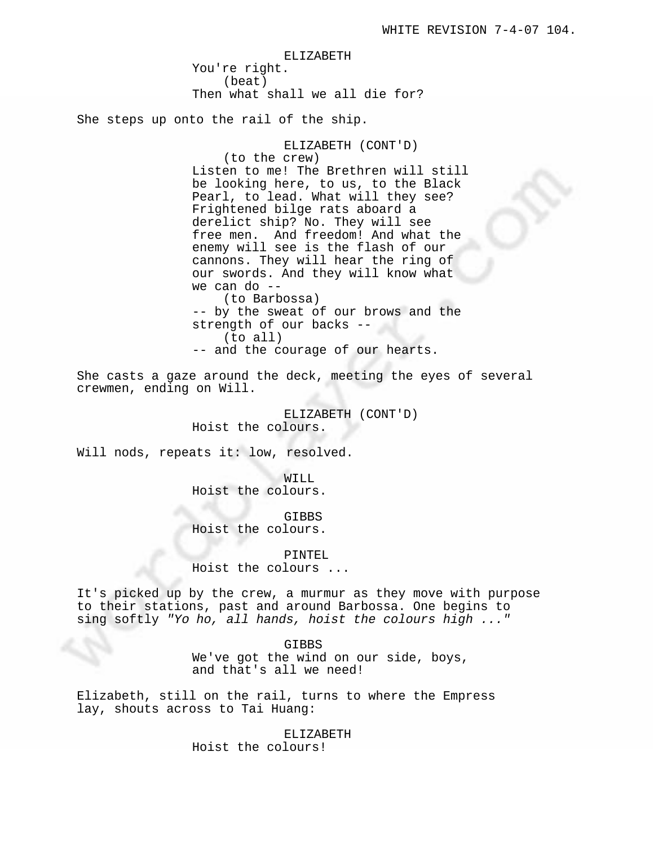ELIZABETH You're right. (beat) Then what shall we all die for? She steps up onto the rail of the ship.

> ELIZABETH (CONT'D) (to the crew) Listen to me! The Brethren will still be looking here, to us, to the Black Pearl, to lead. What will they see? Frightened bilge rats aboard a derelict ship? No. They will see free men. And freedom! And what the enemy will see is the flash of our cannons. They will hear the ring of our swords. And they will know what we can do -- (to Barbossa) -- by the sweat of our brows and the strength of our backs -- (to all) -- and the courage of our hearts.

She casts a gaze around the deck, meeting the eyes of several crewmen, ending on Will.

> ELIZABETH (CONT'D) Hoist the colours.

Will nods, repeats it: low, resolved.

WILL Hoist the colours.

GIBBS Hoist the colours.

PINTEL Hoist the colours ...

It's picked up by the crew, a murmur as they move with purpose to their stations, past and around Barbossa. One begins to sing softly "Yo ho, all hands, hoist the colours high ..."

> GIBBS We've got the wind on our side, boys, and that's all we need!

Elizabeth, still on the rail, turns to where the Empress lay, shouts across to Tai Huang:

ELIZABETH

Hoist the colours!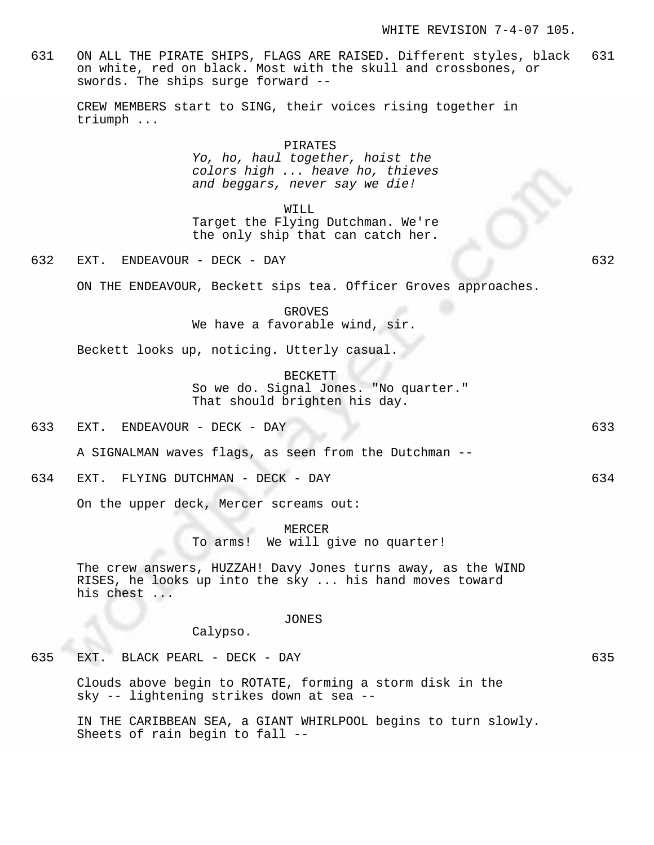631 ON ALL THE PIRATE SHIPS, FLAGS ARE RAISED. Different styles, black 631 on white, red on black. Most with the skull and crossbones, or swords. The ships surge forward --

CREW MEMBERS start to SING, their voices rising together in triumph ...

## PIRATES

Yo, ho, haul together, hoist the colors high ... heave ho, thieves and beggars, never say we die!

WILL

Target the Flying Dutchman. We're the only ship that can catch her.

632 EXT. ENDEAVOUR - DECK - DAY 632

ON THE ENDEAVOUR, Beckett sips tea. Officer Groves approaches.

GROVES We have a favorable wind, sir.

Beckett looks up, noticing. Utterly casual.

BECKETT So we do. Signal Jones. "No quarter." That should brighten his day.

633 EXT. ENDEAVOUR - DECK - DAY 633

A SIGNALMAN waves flags, as seen from the Dutchman --

634 EXT. FLYING DUTCHMAN - DECK - DAY 634

On the upper deck, Mercer screams out:

MERCER To arms! We will give no quarter!

The crew answers, HUZZAH! Davy Jones turns away, as the WIND RISES, he looks up into the sky ... his hand moves toward his chest ...

JONES

Calypso.

635 EXT. BLACK PEARL - DECK - DAY 635

Clouds above begin to ROTATE, forming a storm disk in the sky -- lightening strikes down at sea --

IN THE CARIBBEAN SEA, a GIANT WHIRLPOOL begins to turn slowly. Sheets of rain begin to fall --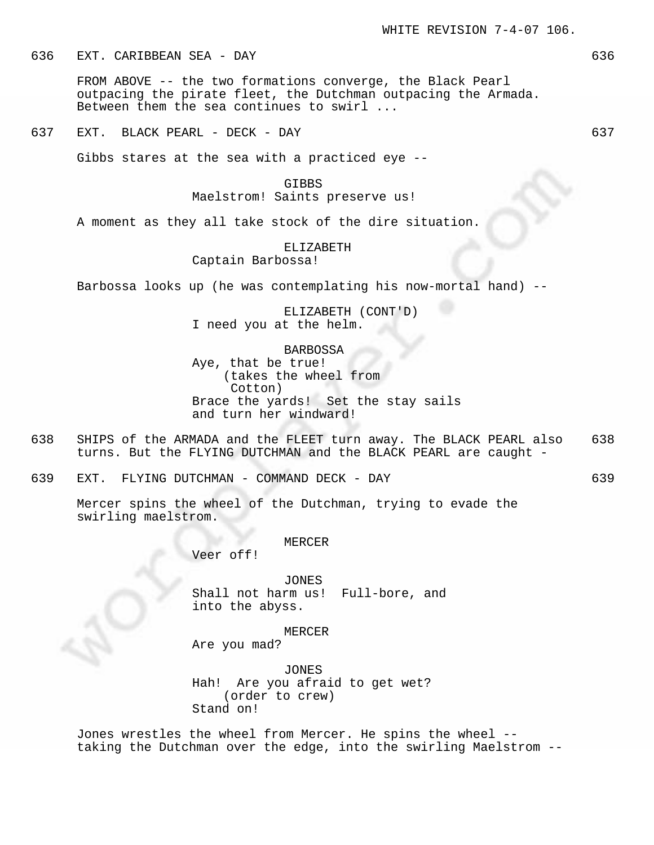# 636 EXT. CARIBBEAN SEA - DAY 636

FROM ABOVE -- the two formations converge, the Black Pearl outpacing the pirate fleet, the Dutchman outpacing the Armada. Between them the sea continues to swirl ...

637 EXT. BLACK PEARL - DECK - DAY 637

Gibbs stares at the sea with a practiced eye --

# GIBBS

# Maelstrom! Saints preserve us!

A moment as they all take stock of the dire situation.

# ELIZABETH

Captain Barbossa!

Barbossa looks up (he was contemplating his now-mortal hand) --

ELIZABETH (CONT'D) I need you at the helm.

BARBOSSA

Aye, that be true! (takes the wheel from Cotton) Brace the yards! Set the stay sails and turn her windward!

638 SHIPS of the ARMADA and the FLEET turn away. The BLACK PEARL also 638 turns. But the FLYING DUTCHMAN and the BLACK PEARL are caught -

639 EXT. FLYING DUTCHMAN - COMMAND DECK - DAY 639

Mercer spins the wheel of the Dutchman, trying to evade the swirling maelstrom.

#### MERCER

Veer off!

JONES Shall not harm us! Full-bore, and into the abyss.

MERCER

Are you mad?

JONES Hah! Are you afraid to get wet? (order to crew) Stand on!

Jones wrestles the wheel from Mercer. He spins the wheel - taking the Dutchman over the edge, into the swirling Maelstrom --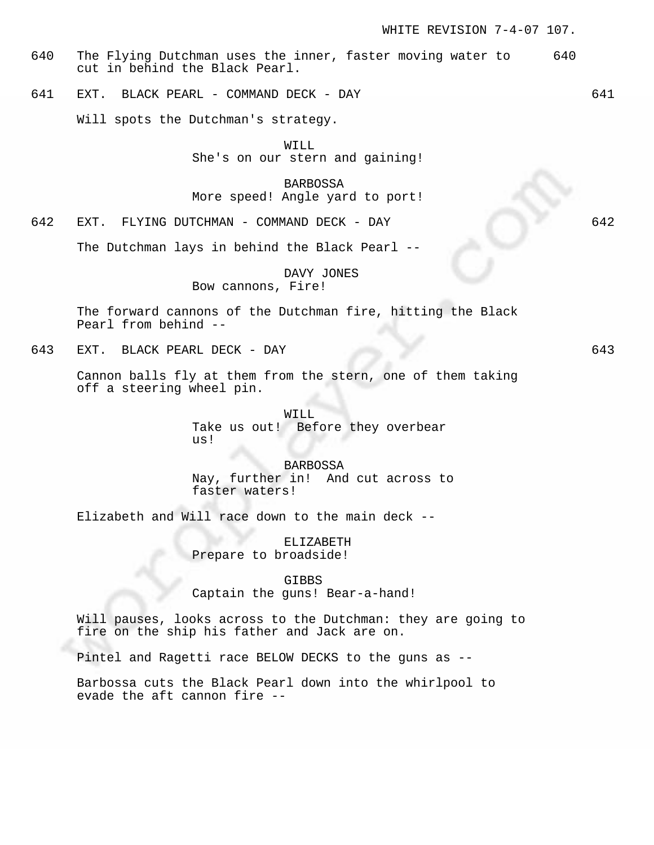- 640 The Flying Dutchman uses the inner, faster moving water to 640 cut in behind the Black Pearl.
- 641 EXT. BLACK PEARL COMMAND DECK DAY 641

Will spots the Dutchman's strategy.

WILL She's on our stern and gaining!

BARBOSSA More speed! Angle yard to port!

642 EXT. FLYING DUTCHMAN - COMMAND DECK - DAY 642

The Dutchman lays in behind the Black Pearl --

DAVY JONES Bow cannons, Fire!

The forward cannons of the Dutchman fire, hitting the Black Pearl from behind --

643 EXT. BLACK PEARL DECK - DAY 643

Cannon balls fly at them from the stern, one of them taking off a steering wheel pin.

> WILL Take us out! Before they overbear us!

BARBOSSA Nay, further in! And cut across to faster waters!

Elizabeth and Will race down to the main deck --

ELIZABETH Prepare to broadside!

GIBBS Captain the guns! Bear-a-hand!

Will pauses, looks across to the Dutchman: they are going to fire on the ship his father and Jack are on.

Pintel and Ragetti race BELOW DECKS to the guns as --

Barbossa cuts the Black Pearl down into the whirlpool to evade the aft cannon fire --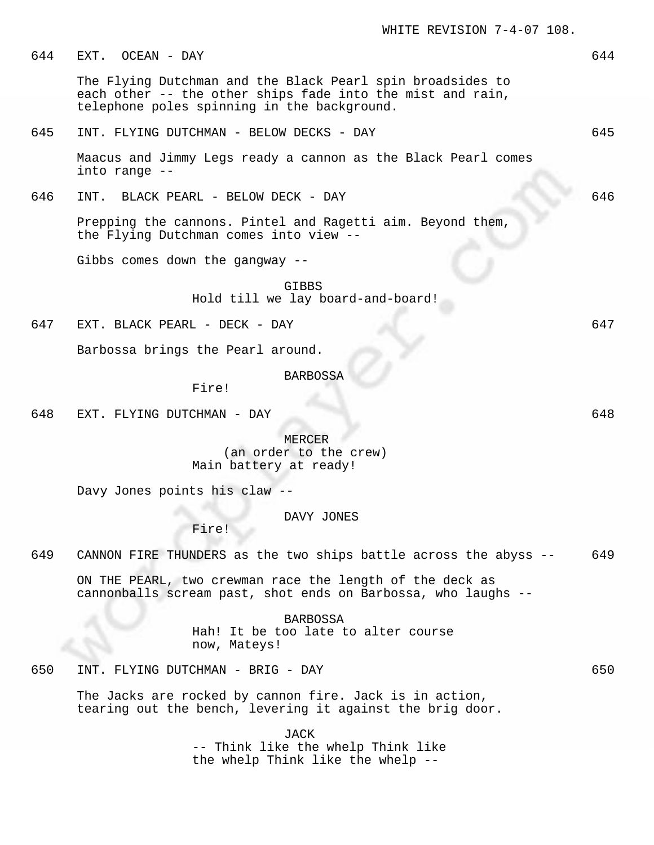644 EXT. OCEAN - DAY 644

The Flying Dutchman and the Black Pearl spin broadsides to each other -- the other ships fade into the mist and rain, telephone poles spinning in the background.

### 645 INT. FLYING DUTCHMAN - BELOW DECKS - DAY 645

Maacus and Jimmy Legs ready a cannon as the Black Pearl comes into range --

646 INT. BLACK PEARL - BELOW DECK - DAY 646

Prepping the cannons. Pintel and Ragetti aim. Beyond them, the Flying Dutchman comes into view --

Gibbs comes down the gangway --

GIBBS Hold till we lay board-and-board!

647 EXT. BLACK PEARL - DECK - DAY 647

Barbossa brings the Pearl around.

### BARBOSSA

Fire!

648 EXT. FLYING DUTCHMAN - DAY 648

MERCER (an order to the crew) Main battery at ready!

Davy Jones points his claw --

DAVY JONES

Fire!

649 CANNON FIRE THUNDERS as the two ships battle across the abyss -- 649

ON THE PEARL, two crewman race the length of the deck as cannonballs scream past, shot ends on Barbossa, who laughs --

> BARBOSSA Hah! It be too late to alter course now, Mateys!

650 INT. FLYING DUTCHMAN - BRIG - DAY 650

The Jacks are rocked by cannon fire. Jack is in action, tearing out the bench, levering it against the brig door.

> JACK -- Think like the whelp Think like the whelp Think like the whelp --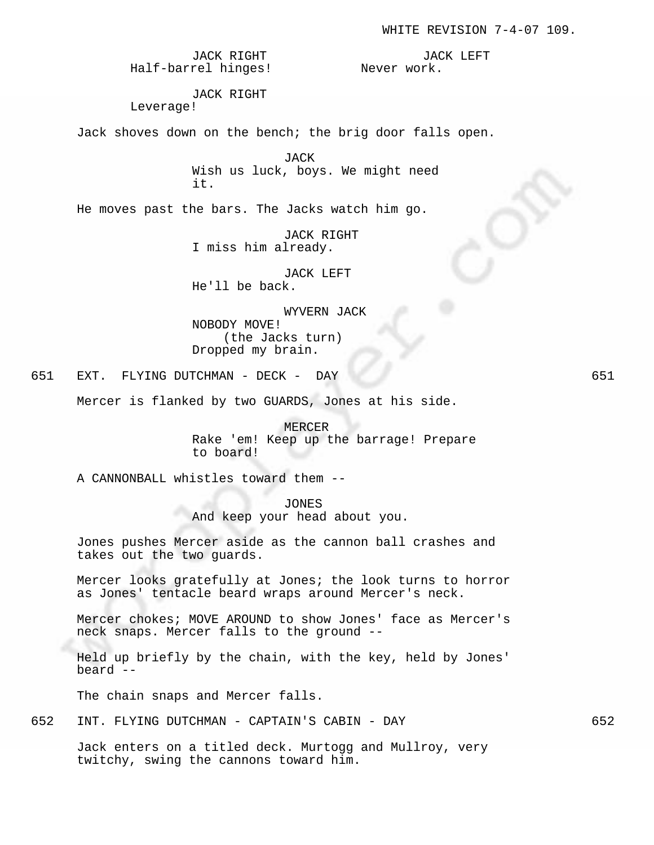JACK RIGHT Half-barrel hinges!

JACK LEFT Never work.

JACK RIGHT Leverage!

Jack shoves down on the bench; the brig door falls open.

JACK Wish us luck, boys. We might need it.

He moves past the bars. The Jacks watch him go.

JACK RIGHT I miss him already.

JACK LEFT He'll be back.

WYVERN JACK

NOBODY MOVE! (the Jacks turn) Dropped my brain.

651 EXT. FLYING DUTCHMAN - DECK - DAY 651

Mercer is flanked by two GUARDS, Jones at his side.

MERCER Rake 'em! Keep up the barrage! Prepare to board!

A CANNONBALL whistles toward them --

JONES

And keep your head about you.

Jones pushes Mercer aside as the cannon ball crashes and takes out the two guards.

Mercer looks gratefully at Jones; the look turns to horror as Jones' tentacle beard wraps around Mercer's neck.

Mercer chokes; MOVE AROUND to show Jones' face as Mercer's neck snaps. Mercer falls to the ground --

Held up briefly by the chain, with the key, held by Jones' beard --

The chain snaps and Mercer falls.

652 INT. FLYING DUTCHMAN - CAPTAIN'S CABIN - DAY 652

Jack enters on a titled deck. Murtogg and Mullroy, very twitchy, swing the cannons toward him.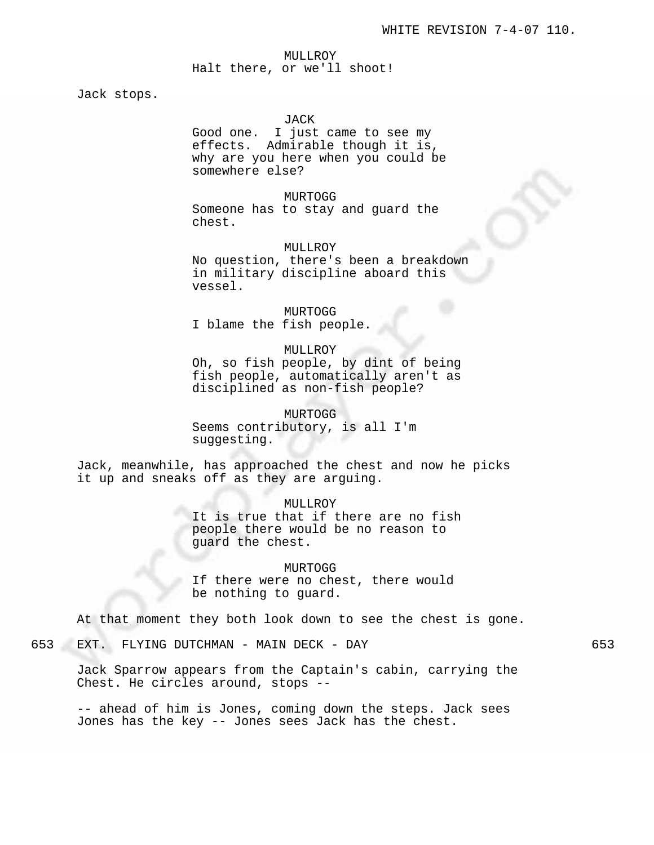# MULLROY Halt there, or we'll shoot!

Jack stops.

#### JACK

Good one. I just came to see my effects. Admirable though it is, why are you here when you could be somewhere else?

#### MURTOGG

Someone has to stay and guard the chest.

# MULLROY

No question, there's been a breakdown in military discipline aboard this vessel.

# MURTOGG I blame the fish people.

#### MULLROY

Oh, so fish people, by dint of being fish people, automatically aren't as disciplined as non-fish people?

# MURTOGG

Seems contributory, is all I'm suggesting.

Jack, meanwhile, has approached the chest and now he picks it up and sneaks off as they are arguing.

# MULLROY It is true that if there are no fish people there would be no reason to guard the chest.

MURTOGG If there were no chest, there would be nothing to guard.

At that moment they both look down to see the chest is gone.

# 653 EXT. FLYING DUTCHMAN - MAIN DECK - DAY 653

Jack Sparrow appears from the Captain's cabin, carrying the Chest. He circles around, stops --

-- ahead of him is Jones, coming down the steps. Jack sees Jones has the key -- Jones sees Jack has the chest.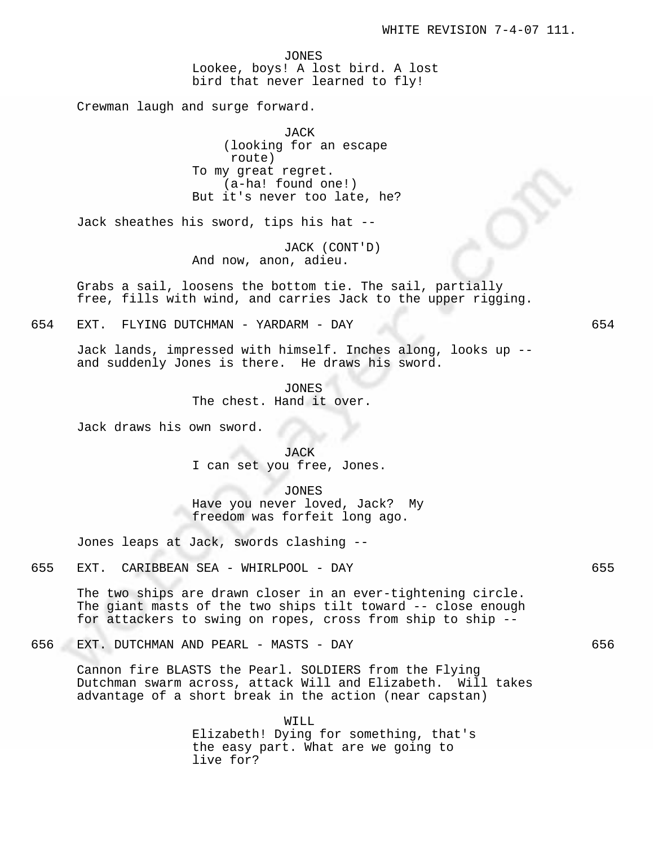JONES Lookee, boys! A lost bird. A lost bird that never learned to fly!

Crewman laugh and surge forward.

JACK (looking for an escape route) To my great regret. (a-ha! found one!) But it's never too late, he?

Jack sheathes his sword, tips his hat --

JACK (CONT'D) And now, anon, adieu.

Grabs a sail, loosens the bottom tie. The sail, partially free, fills with wind, and carries Jack to the upper rigging.

654 EXT. FLYING DUTCHMAN - YARDARM - DAY 654

Jack lands, impressed with himself. Inches along, looks up - and suddenly Jones is there. He draws his sword.

> JONES The chest. Hand it over.

Jack draws his own sword.

JACK I can set you free, Jones.

JONES Have you never loved, Jack? My freedom was forfeit long ago.

Jones leaps at Jack, swords clashing --

655 EXT. CARIBBEAN SEA - WHIRLPOOL - DAY 655

The two ships are drawn closer in an ever-tightening circle. The giant masts of the two ships tilt toward -- close enough for attackers to swing on ropes, cross from ship to ship --

656 EXT. DUTCHMAN AND PEARL - MASTS - DAY 656

Cannon fire BLASTS the Pearl. SOLDIERS from the Flying Dutchman swarm across, attack Will and Elizabeth. Will takes advantage of a short break in the action (near capstan)

> WILL Elizabeth! Dying for something, that's the easy part. What are we going to live for?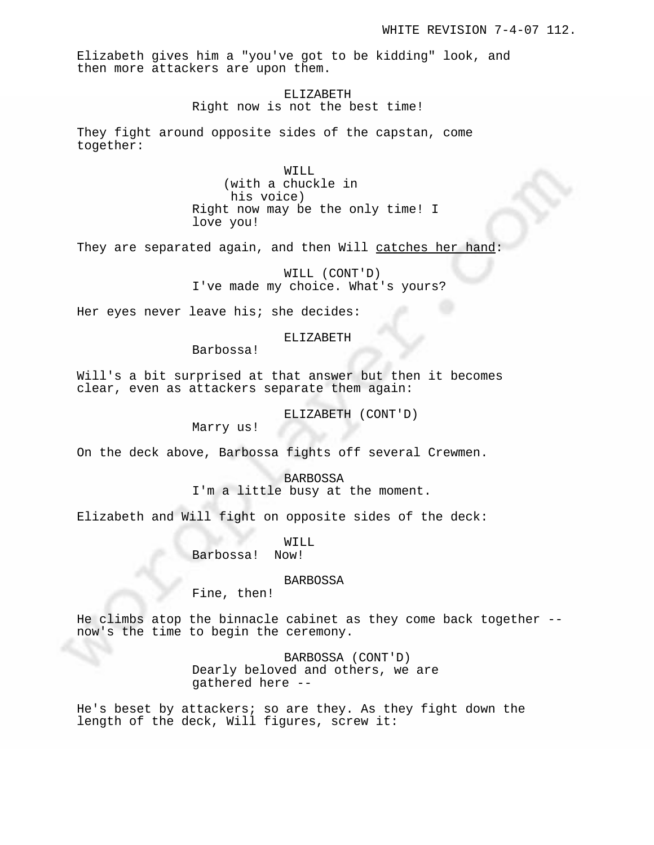Elizabeth gives him a "you've got to be kidding" look, and then more attackers are upon them.

> ELIZABETH Right now is not the best time!

They fight around opposite sides of the capstan, come together:

> WILL (with a chuckle in his voice) Right now may be the only time! I love you!

They are separated again, and then Will catches her hand:

WILL (CONT'D) I've made my choice. What's yours?

Her eyes never leave his; she decides:

### ELIZABETH

Barbossa!

Will's a bit surprised at that answer but then it becomes clear, even as attackers separate them again:

ELIZABETH (CONT'D)

Marry us!

On the deck above, Barbossa fights off several Crewmen.

BARBOSSA I'm a little busy at the moment.

Elizabeth and Will fight on opposite sides of the deck:

WILL Barbossa! Now!

# BARBOSSA

Fine, then!

He climbs atop the binnacle cabinet as they come back together - now's the time to begin the ceremony.

> BARBOSSA (CONT'D) Dearly beloved and others, we are gathered here --

He's beset by attackers; so are they. As they fight down the length of the deck, Will figures, screw it: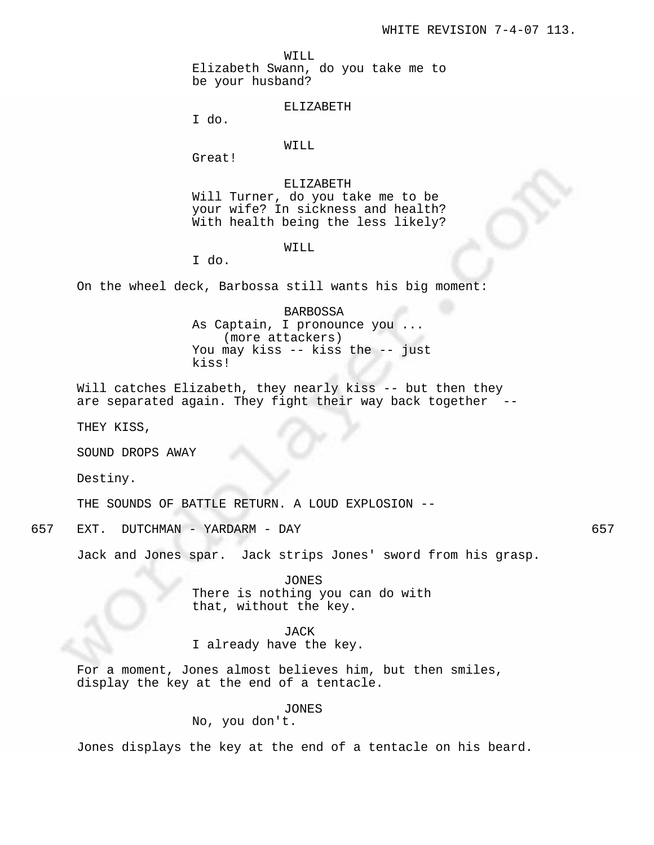WILL

Elizabeth Swann, do you take me to be your husband?

ELIZABETH

I do.

### WILL

Great!

ELIZABETH Will Turner, do you take me to be your wife? In sickness and health? With health being the less likely?

## WILL

I do.

On the wheel deck, Barbossa still wants his big moment:

BARBOSSA As Captain, I pronounce you ... (more attackers) You may kiss -- kiss the -- just kiss!

Will catches Elizabeth, they nearly kiss -- but then they are separated again. They fight their way back together

THEY KISS,

SOUND DROPS AWAY

Destiny.

THE SOUNDS OF BATTLE RETURN. A LOUD EXPLOSION --

657 EXT. DUTCHMAN - YARDARM - DAY 657

Jack and Jones spar. Jack strips Jones' sword from his grasp.

JONES There is nothing you can do with that, without the key.

JACK

I already have the key.

For a moment, Jones almost believes him, but then smiles, display the key at the end of a tentacle.

## JONES

No, you don't.

Jones displays the key at the end of a tentacle on his beard.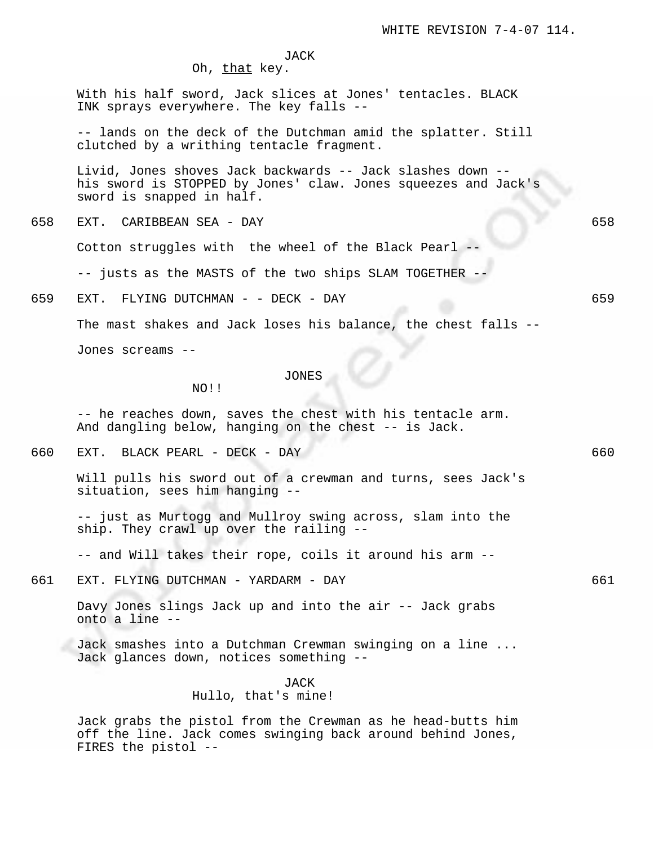JACK

Oh, that key.

With his half sword, Jack slices at Jones' tentacles. BLACK INK sprays everywhere. The key falls --

-- lands on the deck of the Dutchman amid the splatter. Still clutched by a writhing tentacle fragment.

Livid, Jones shoves Jack backwards -- Jack slashes down - his sword is STOPPED by Jones' claw. Jones squeezes and Jack's sword is snapped in half.

658 EXT. CARIBBEAN SEA - DAY 658

Cotton struggles with the wheel of the Black Pearl --

-- justs as the MASTS of the two ships SLAM TOGETHER --

659 EXT. FLYING DUTCHMAN - - DECK - DAY 659

The mast shakes and Jack loses his balance, the chest falls --

Jones screams --

#### JONES

NO!!

-- he reaches down, saves the chest with his tentacle arm. And dangling below, hanging on the chest -- is Jack.

660 EXT. BLACK PEARL - DECK - DAY 660

Will pulls his sword out of a crewman and turns, sees Jack's situation, sees him hanging --

-- just as Murtogg and Mullroy swing across, slam into the ship. They crawl up over the railing --

-- and Will takes their rope, coils it around his arm --

661 EXT. FLYING DUTCHMAN - YARDARM - DAY 661

Davy Jones slings Jack up and into the air -- Jack grabs onto a line --

Jack smashes into a Dutchman Crewman swinging on a line ... Jack glances down, notices something --

#### JACK

# Hullo, that's mine!

Jack grabs the pistol from the Crewman as he head-butts him off the line. Jack comes swinging back around behind Jones, FIRES the pistol --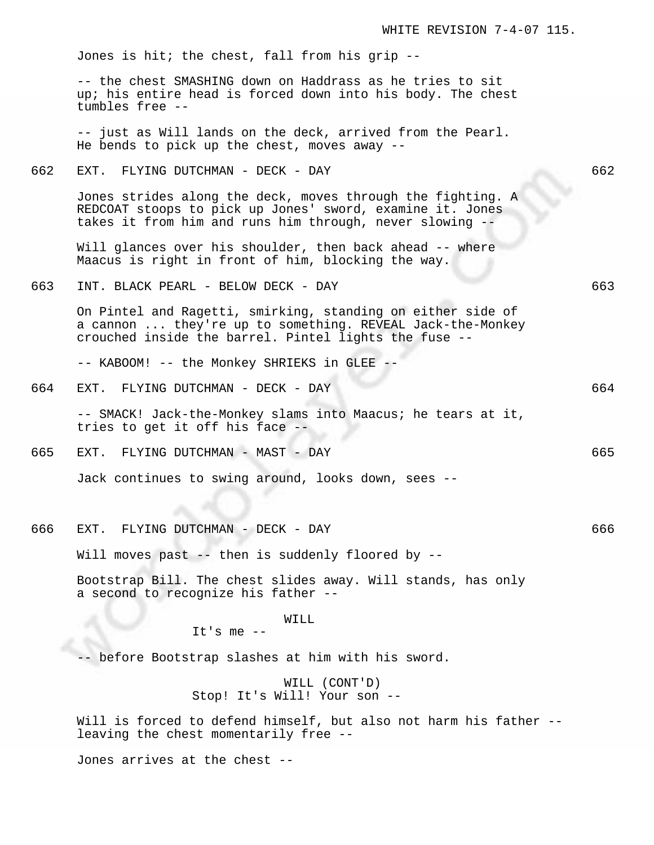|     | Jones is hit; the chest, fall from his grip --                                                                                                                                       |     |
|-----|--------------------------------------------------------------------------------------------------------------------------------------------------------------------------------------|-----|
|     | -- the chest SMASHING down on Haddrass as he tries to sit<br>up; his entire head is forced down into his body. The chest<br>tumbles free --                                          |     |
|     | -- just as Will lands on the deck, arrived from the Pearl.<br>He bends to pick up the chest, moves away --                                                                           |     |
| 662 | EXT. FLYING DUTCHMAN - DECK - DAY                                                                                                                                                    | 662 |
|     | Jones strides along the deck, moves through the fighting. A<br>REDCOAT stoops to pick up Jones' sword, examine it. Jones<br>takes it from him and runs him through, never slowing -- |     |
|     | Will glances over his shoulder, then back ahead -- where<br>Maacus is right in front of him, blocking the way.                                                                       |     |
| 663 | INT. BLACK PEARL - BELOW DECK - DAY                                                                                                                                                  | 663 |
|     | On Pintel and Ragetti, smirking, standing on either side of<br>a cannon  they're up to something. REVEAL Jack-the-Monkey<br>crouched inside the barrel. Pintel lights the fuse --    |     |
|     | -- KABOOM! -- the Monkey SHRIEKS in GLEE --                                                                                                                                          |     |
| 664 | EXT. FLYING DUTCHMAN - DECK - DAY                                                                                                                                                    | 664 |
|     | -- SMACK! Jack-the-Monkey slams into Maacus; he tears at it,<br>tries to get it off his face --                                                                                      |     |
| 665 | EXT. FLYING DUTCHMAN - MAST - DAY                                                                                                                                                    | 665 |
|     | Jack continues to swing around, looks down, sees --                                                                                                                                  |     |
| 666 | EXT. FLYING DUTCHMAN - DECK - DAY                                                                                                                                                    | 666 |
|     | Will moves past -- then is suddenly floored by --                                                                                                                                    |     |
|     | Bootstrap Bill. The chest slides away. Will stands, has only<br>a second to recognize his father --                                                                                  |     |
|     | WILL                                                                                                                                                                                 |     |
|     | It's me $--$                                                                                                                                                                         |     |
|     | -- before Bootstrap slashes at him with his sword.                                                                                                                                   |     |
|     | WILL (CONT'D)<br>Stop! It's Will! Your son --                                                                                                                                        |     |
|     | Will is forced to defend himself, but also not harm his father --<br>leaving the chest momentarily free --                                                                           |     |

WHITE REVISION 7-4-07 115.

Jones arrives at the chest --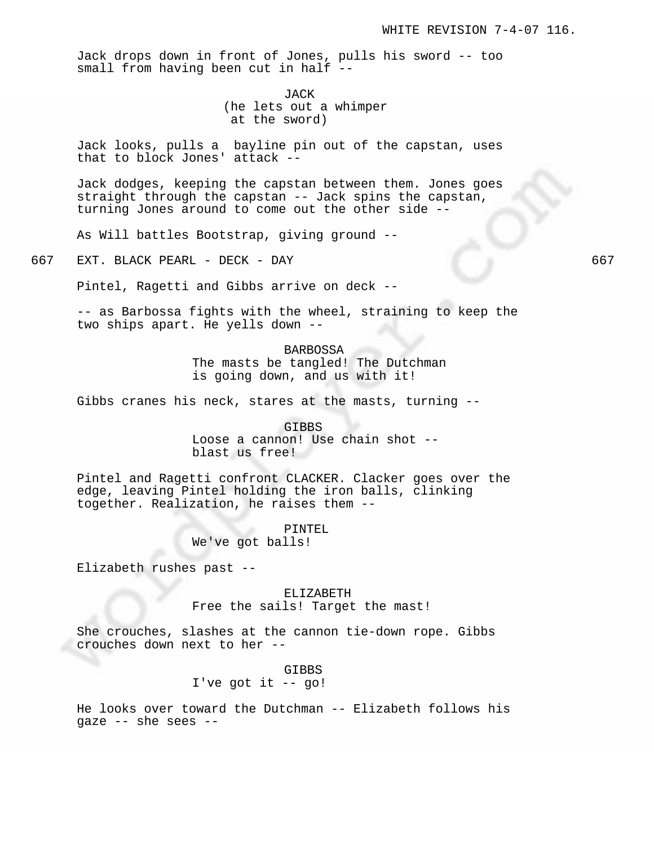Jack drops down in front of Jones, pulls his sword -- too small from having been cut in half --

> JACK (he lets out a whimper at the sword)

Jack looks, pulls a bayline pin out of the capstan, uses that to block Jones' attack --

Jack dodges, keeping the capstan between them. Jones goes straight through the capstan -- Jack spins the capstan, turning Jones around to come out the other side --

As Will battles Bootstrap, giving ground --

667 EXT. BLACK PEARL - DECK - DAY 667

Pintel, Ragetti and Gibbs arrive on deck --

-- as Barbossa fights with the wheel, straining to keep the two ships apart. He yells down --

> BARBOSSA The masts be tangled! The Dutchman is going down, and us with it!

Gibbs cranes his neck, stares at the masts, turning --

GIBBS Loose a cannon! Use chain shot - blast us free!

Pintel and Ragetti confront CLACKER. Clacker goes over the edge, leaving Pintel holding the iron balls, clinking together. Realization, he raises them --

> PINTEL We've got balls!

Elizabeth rushes past --

ELIZABETH Free the sails! Target the mast!

She crouches, slashes at the cannon tie-down rope. Gibbs crouches down next to her --

> GIBBS I've got it  $-$  go!

He looks over toward the Dutchman -- Elizabeth follows his gaze -- she sees --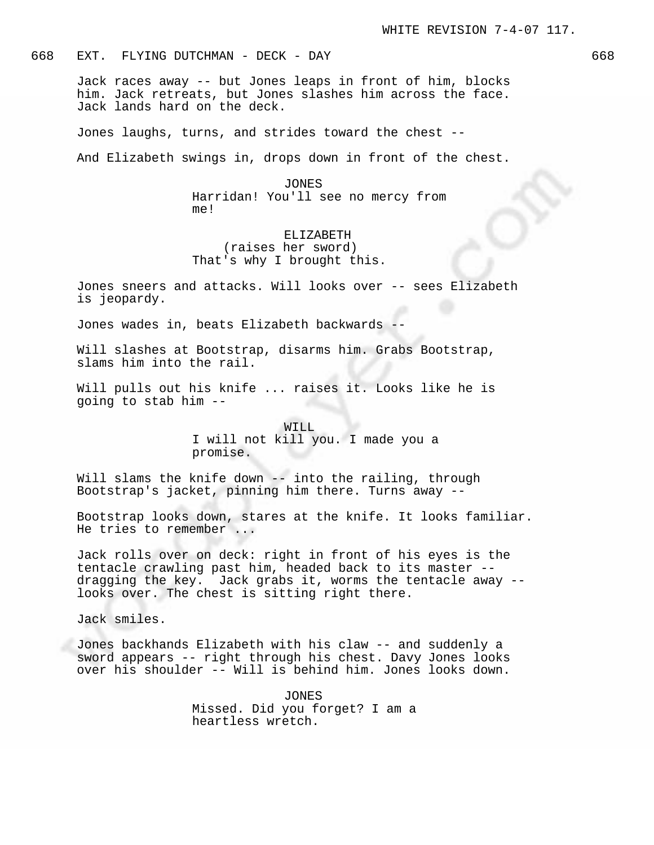# 668 EXT. FLYING DUTCHMAN - DECK - DAY 668

Jack races away -- but Jones leaps in front of him, blocks him. Jack retreats, but Jones slashes him across the face. Jack lands hard on the deck.

Jones laughs, turns, and strides toward the chest --

And Elizabeth swings in, drops down in front of the chest.

#### JONES

Harridan! You'll see no mercy from me!

# ELIZABETH (raises her sword) That's why I brought this.

Jones sneers and attacks. Will looks over -- sees Elizabeth is jeopardy.

Jones wades in, beats Elizabeth backwards -

Will slashes at Bootstrap, disarms him. Grabs Bootstrap, slams him into the rail.

Will pulls out his knife ... raises it. Looks like he is going to stab him --

> WILL I will not kill you. I made you a promise.

Will slams the knife down -- into the railing, through Bootstrap's jacket, pinning him there. Turns away --

Bootstrap looks down, stares at the knife. It looks familiar. He tries to remember ...

Jack rolls over on deck: right in front of his eyes is the tentacle crawling past him, headed back to its master - dragging the key. Jack grabs it, worms the tentacle away - looks over. The chest is sitting right there.

Jack smiles.

Jones backhands Elizabeth with his claw -- and suddenly a sword appears -- right through his chest. Davy Jones looks over his shoulder -- Will is behind him. Jones looks down.

> JONES Missed. Did you forget? I am a heartless wretch.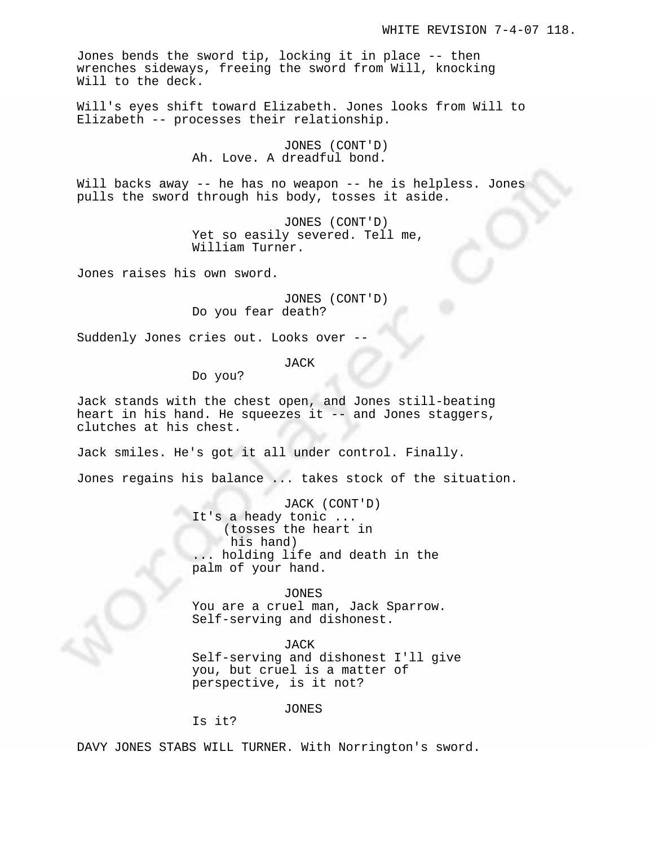Jones bends the sword tip, locking it in place -- then wrenches sideways, freeing the sword from Will, knocking Will to the deck.

Will's eyes shift toward Elizabeth. Jones looks from Will to Elizabeth -- processes their relationship.

> JONES (CONT'D) Ah. Love. A dreadful bond.

Will backs away -- he has no weapon -- he is helpless. Jones pulls the sword through his body, tosses it aside.

> JONES (CONT'D) Yet so easily severed. Tell me, William Turner.

Jones raises his own sword.

JONES (CONT'D) Do you fear death?

Suddenly Jones cries out. Looks over --

JACK

Do you?

Jack stands with the chest open, and Jones still-beating heart in his hand. He squeezes it -- and Jones staggers, clutches at his chest.

Jack smiles. He's got it all under control. Finally.

Jones regains his balance ... takes stock of the situation.

JACK (CONT'D) It's a heady tonic ... (tosses the heart in his hand) ... holding life and death in the palm of your hand.

JONES

You are a cruel man, Jack Sparrow. Self-serving and dishonest.

JACK Self-serving and dishonest I'll give you, but cruel is a matter of perspective, is it not?

JONES

Is it?

DAVY JONES STABS WILL TURNER. With Norrington's sword.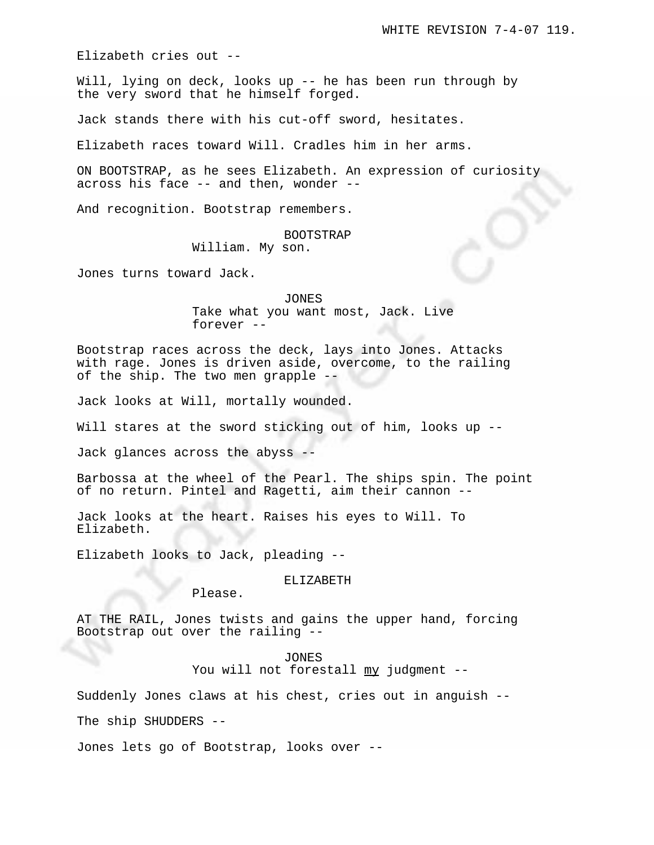Elizabeth cries out --

Will, lying on deck, looks up -- he has been run through by the very sword that he himself forged.

Jack stands there with his cut-off sword, hesitates.

Elizabeth races toward Will. Cradles him in her arms.

ON BOOTSTRAP, as he sees Elizabeth. An expression of curiosity across his face -- and then, wonder --

And recognition. Bootstrap remembers.

BOOTSTRAP

William. My son.

Jones turns toward Jack.

JONES Take what you want most, Jack. Live forever --

Bootstrap races across the deck, lays into Jones. Attacks with rage. Jones is driven aside, overcome, to the railing of the ship. The two men grapple --

Jack looks at Will, mortally wounded.

Will stares at the sword sticking out of him, looks up --

Jack glances across the abyss --

Barbossa at the wheel of the Pearl. The ships spin. The point of no return. Pintel and Ragetti, aim their cannon --

Jack looks at the heart. Raises his eyes to Will. To Elizabeth.

Elizabeth looks to Jack, pleading --

# ELIZABETH

Please.

AT THE RAIL, Jones twists and gains the upper hand, forcing Bootstrap out over the railing --

> JONES You will not forestall my judgment --

Suddenly Jones claws at his chest, cries out in anguish --

The ship SHUDDERS --

Jones lets go of Bootstrap, looks over --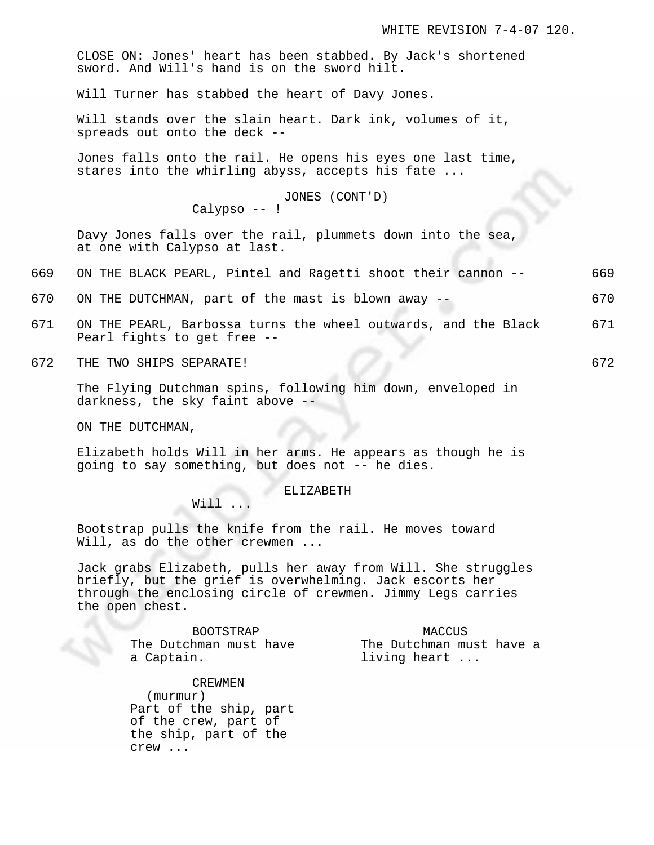CLOSE ON: Jones' heart has been stabbed. By Jack's shortened sword. And Will's hand is on the sword hilt.

Will Turner has stabbed the heart of Davy Jones.

Will stands over the slain heart. Dark ink, volumes of it, spreads out onto the deck --

Jones falls onto the rail. He opens his eyes one last time, stares into the whirling abyss, accepts his fate ...

JONES (CONT'D)

Calypso -- !

Davy Jones falls over the rail, plummets down into the sea, at one with Calypso at last.

- 669 ON THE BLACK PEARL, Pintel and Ragetti shoot their cannon -- 669
- 670 ON THE DUTCHMAN, part of the mast is blown away -- 670
- 671 ON THE PEARL, Barbossa turns the wheel outwards, and the Black 671 Pearl fights to get free --
- 672 THE TWO SHIPS SEPARATE! 672

The Flying Dutchman spins, following him down, enveloped in darkness, the sky faint above --

ON THE DUTCHMAN,

Elizabeth holds Will in her arms. He appears as though he is going to say something, but does not -- he dies.

ELIZABETH

Will ...

Bootstrap pulls the knife from the rail. He moves toward Will, as do the other crewmen ...

Jack grabs Elizabeth, pulls her away from Will. She struggles briefly, but the grief is overwhelming. Jack escorts her through the enclosing circle of crewmen. Jimmy Legs carries the open chest.

> BOOTSTRAP The Dutchman must have a Captain.

MACCUS The Dutchman must have a living heart ...

#### CREWMEN

(murmur) Part of the ship, part of the crew, part of the ship, part of the crew ...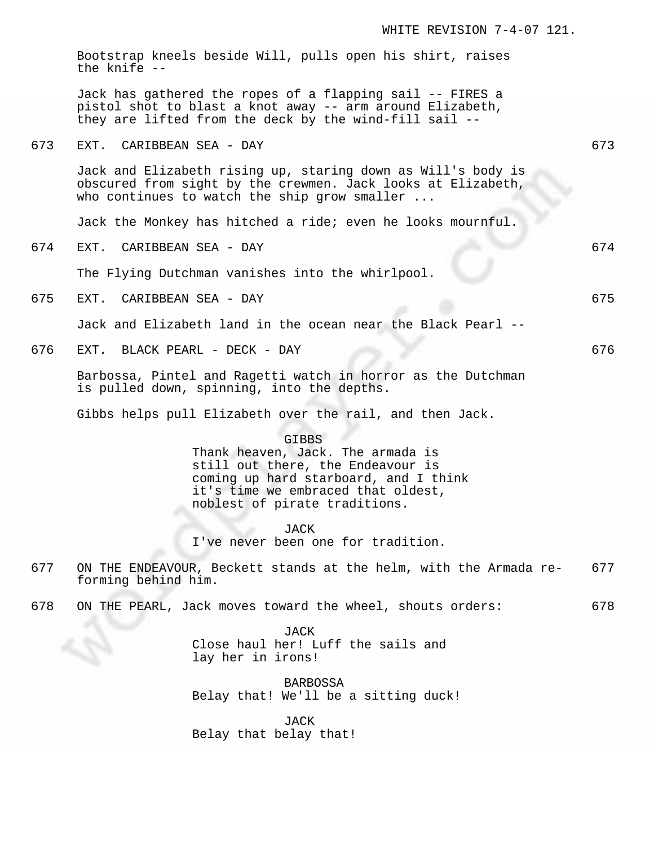|     | WHITE REVISION 7-4-07 121.                                                                                                                                                                             |     |
|-----|--------------------------------------------------------------------------------------------------------------------------------------------------------------------------------------------------------|-----|
|     | Bootstrap kneels beside Will, pulls open his shirt, raises<br>the knife --                                                                                                                             |     |
|     | Jack has gathered the ropes of a flapping sail -- FIRES a<br>pistol shot to blast a knot away -- arm around Elizabeth,<br>they are lifted from the deck by the wind-fill sail --                       |     |
| 673 | EXT.<br>CARIBBEAN SEA - DAY                                                                                                                                                                            | 673 |
|     | Jack and Elizabeth rising up, staring down as Will's body is<br>obscured from sight by the crewmen. Jack looks at Elizabeth,<br>who continues to watch the ship grow smaller $\ldots$                  |     |
|     | Jack the Monkey has hitched a ride; even he looks mournful.                                                                                                                                            |     |
| 674 | CARIBBEAN SEA - DAY<br>EXT.                                                                                                                                                                            | 674 |
|     | The Flying Dutchman vanishes into the whirlpool.                                                                                                                                                       |     |
| 675 | EXT.<br>CARIBBEAN SEA - DAY                                                                                                                                                                            | 675 |
|     | Jack and Elizabeth land in the ocean near the Black Pearl --                                                                                                                                           |     |
| 676 | BLACK PEARL - DECK - DAY<br>EXT.                                                                                                                                                                       | 676 |
|     | Barbossa, Pintel and Ragetti watch in horror as the Dutchman<br>is pulled down, spinning, into the depths.                                                                                             |     |
|     | Gibbs helps pull Elizabeth over the rail, and then Jack.                                                                                                                                               |     |
|     | <b>GIBBS</b><br>Thank heaven, Jack. The armada is<br>still out there, the Endeavour is<br>coming up hard starboard, and I think<br>it's time we embraced that oldest,<br>noblest of pirate traditions. |     |
|     | <b>JACK</b><br>I've never been one for tradition.                                                                                                                                                      |     |
| 677 | ON THE ENDEAVOUR, Beckett stands at the helm, with the Armada re-<br>forming behind him.                                                                                                               | 677 |
| 678 | ON THE PEARL, Jack moves toward the wheel, shouts orders:                                                                                                                                              | 678 |
|     | <b>JACK</b><br>Close haul her! Luff the sails and<br>lay her in irons!<br>BARBOSSA                                                                                                                     |     |
|     | Belay that! We'll be a sitting duck!                                                                                                                                                                   |     |
|     | <b>JACK</b><br>Belay that belay that!                                                                                                                                                                  |     |
|     |                                                                                                                                                                                                        |     |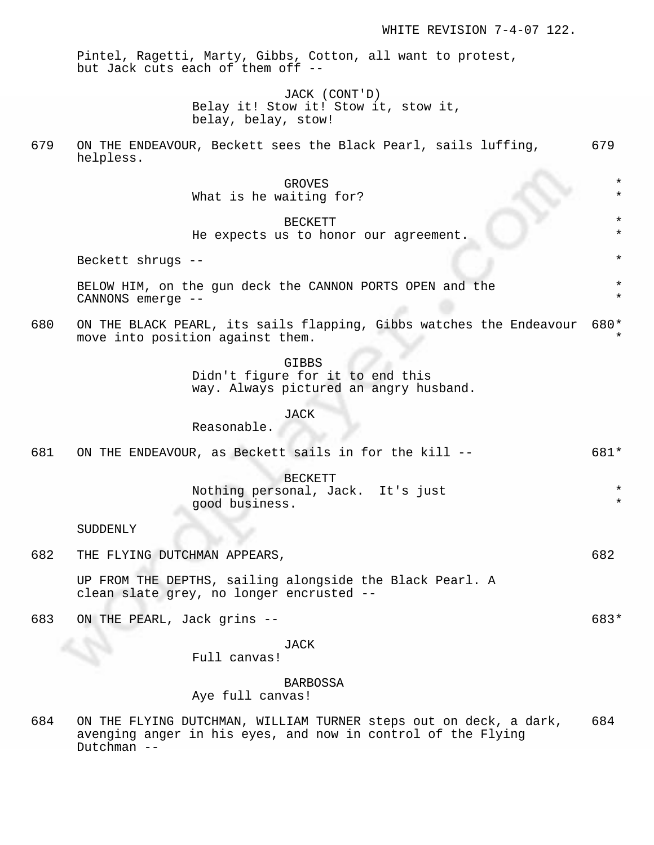\* \*

\* \*

Pintel, Ragetti, Marty, Gibbs, Cotton, all want to protest, but Jack cuts each of them off --

> JACK (CONT'D) Belay it! Stow it! Stow it, stow it, belay, belay, stow!

679 ON THE ENDEAVOUR, Beckett sees the Black Pearl, sails luffing, 679 helpless.

> GROVES \* What is he waiting for?

> > **BECKETT**

He expects us to honor our agreement.

Beckett shrugs  $-$ -

BELOW HIM, on the gun deck the CANNON PORTS OPEN and the CANNONS emerge --

680 ON THE BLACK PEARL, its sails flapping, Gibbs watches the Endeavour 680 \* move into position against them. \*

GIBBS

Didn't figure for it to end this way. Always pictured an angry husband.

JACK

Reasonable.

681 ON THE ENDEAVOUR, as Beckett sails in for the kill -- 681\*

BECKETT Nothing personal, Jack. It's just good business.

#### SUDDENLY

682 THE FLYING DUTCHMAN APPEARS,  $682$ 

UP FROM THE DEPTHS, sailing alongside the Black Pearl. A clean slate grey, no longer encrusted --

683 ON THE PEARL, Jack grins -- 683\*

### JACK

Full canvas!

#### BARBOSSA

Aye full canvas!

684 ON THE FLYING DUTCHMAN, WILLIAM TURNER steps out on deck, a dark, 684 avenging anger in his eyes, and now in control of the Flying Dutchman --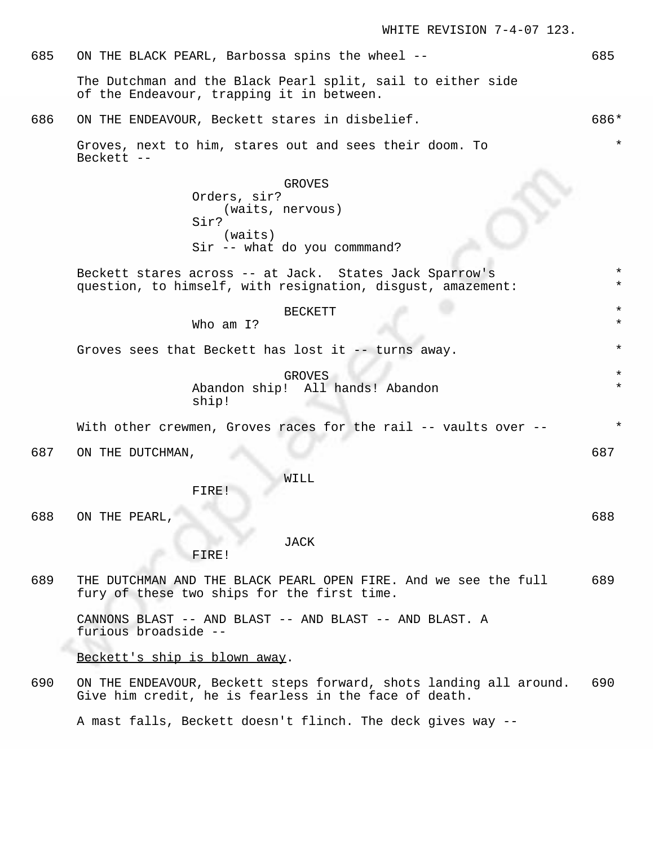685 ON THE BLACK PEARL, Barbossa spins the wheel -- 685 The Dutchman and the Black Pearl split, sail to either side of the Endeavour, trapping it in between. 686 ON THE ENDEAVOUR, Beckett stares in disbelief. 686\* Groves, next to him, stares out and sees their doom. To Beckett -- \* GROVES Orders, sir? (waits, nervous) Sir? (waits) Sir -- what do you commmand? Beckett stares across -- at Jack. States Jack Sparrow's question, to himself, with resignation, disgust, amazement: \* \* **BECKETT** Who am I? Groves sees that Beckett has lost it  $-$ - turns away. **GROVES** Abandon ship! All hands! Abandon ship! \* With other crewmen, Groves races for the rail -- vaults over --687 ON THE DUTCHMAN, 687 687 WILL FIRE!

688 ON THE PEARL, 688

JACK

FIRE!

689 THE DUTCHMAN AND THE BLACK PEARL OPEN FIRE. And we see the full 689 fury of these two ships for the first time.

CANNONS BLAST -- AND BLAST -- AND BLAST -- AND BLAST. A furious broadside --

Beckett's ship is blown away.

690 ON THE ENDEAVOUR, Beckett steps forward, shots landing all around. 690 Give him credit, he is fearless in the face of death.

A mast falls, Beckett doesn't flinch. The deck gives way --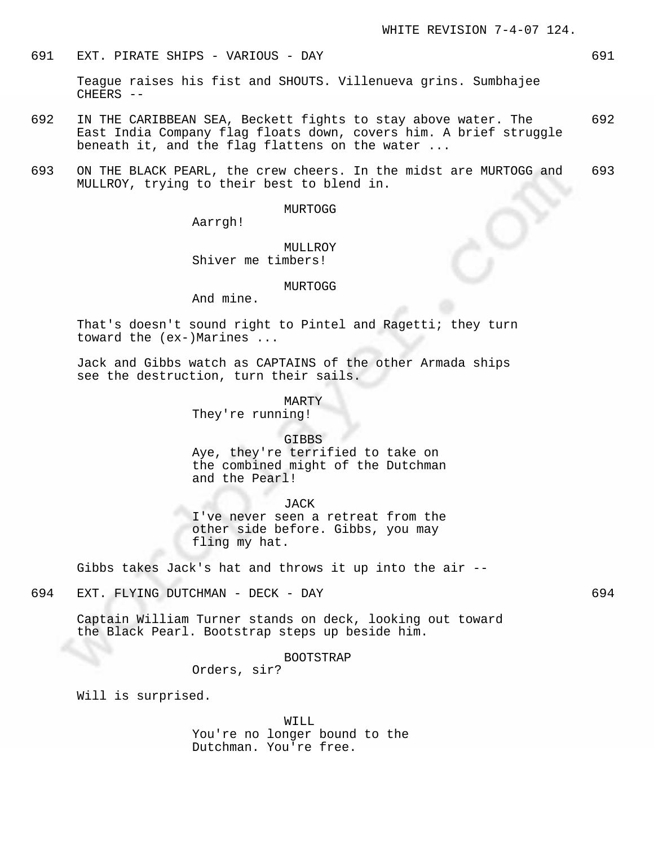## 691 EXT. PIRATE SHIPS - VARIOUS - DAY 691

Teague raises his fist and SHOUTS. Villenueva grins. Sumbhajee CHEERS --

- 692 IN THE CARIBBEAN SEA, Beckett fights to stay above water. The 692 East India Company flag floats down, covers him. A brief struggle beneath it, and the flag flattens on the water ...
- 693 ON THE BLACK PEARL, the crew cheers. In the midst are MURTOGG and 693 MULLROY, trying to their best to blend in.

MURTOGG

Aarrgh!

MULLROY Shiver me timbers!

#### MURTOGG

And mine.

That's doesn't sound right to Pintel and Ragetti; they turn toward the (ex-)Marines ...

Jack and Gibbs watch as CAPTAINS of the other Armada ships see the destruction, turn their sails.

MARTY

They're running!

GIBBS

Aye, they're terrified to take on the combined might of the Dutchman and the Pearl!

JACK

I've never seen a retreat from the other side before. Gibbs, you may fling my hat.

Gibbs takes Jack's hat and throws it up into the air --

# 694 EXT. FLYING DUTCHMAN - DECK - DAY 694

Captain William Turner stands on deck, looking out toward the Black Pearl. Bootstrap steps up beside him.

BOOTSTRAP

Orders, sir?

Will is surprised.

WILL You're no longer bound to the Dutchman. You're free.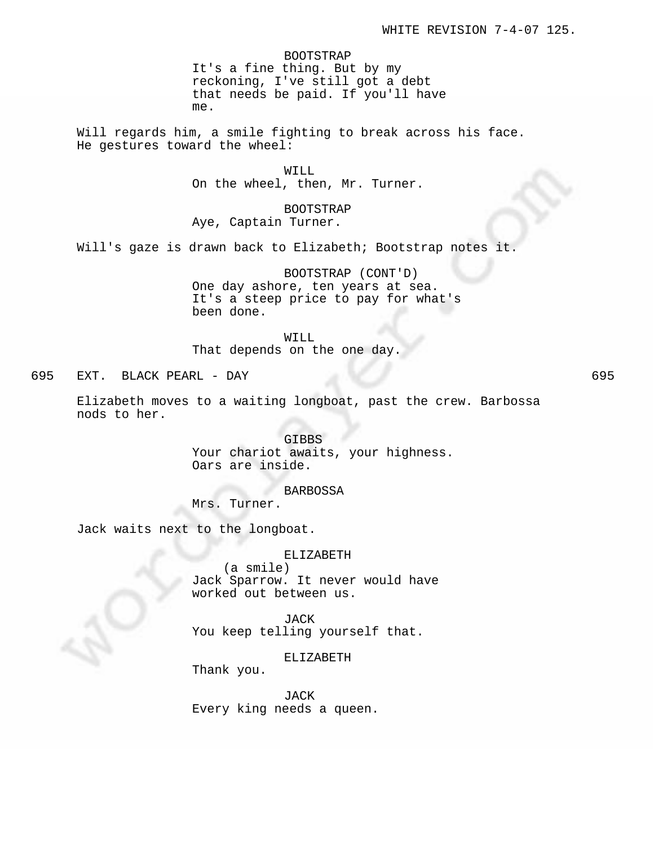BOOTSTRAP It's a fine thing. But by my reckoning, I've still got a debt that needs be paid. If you'll have me.

Will regards him, a smile fighting to break across his face. He gestures toward the wheel:

> WILL On the wheel, then, Mr. Turner.

BOOTSTRAP Aye, Captain Turner.

Will's gaze is drawn back to Elizabeth; Bootstrap notes it.

BOOTSTRAP (CONT'D) One day ashore, ten years at sea. It's a steep price to pay for what's been done.

WILL

That depends on the one day.

695 EXT. BLACK PEARL - DAY 695

Elizabeth moves to a waiting longboat, past the crew. Barbossa nods to her.

> GIBBS Your chariot awaits, your highness. Oars are inside.

BARBOSSA Mrs. Turner.

Jack waits next to the longboat.

ELIZABETH (a smile) Jack Sparrow. It never would have worked out between us.

JACK You keep telling yourself that.

ELIZABETH

Thank you.

JACK Every king needs a queen.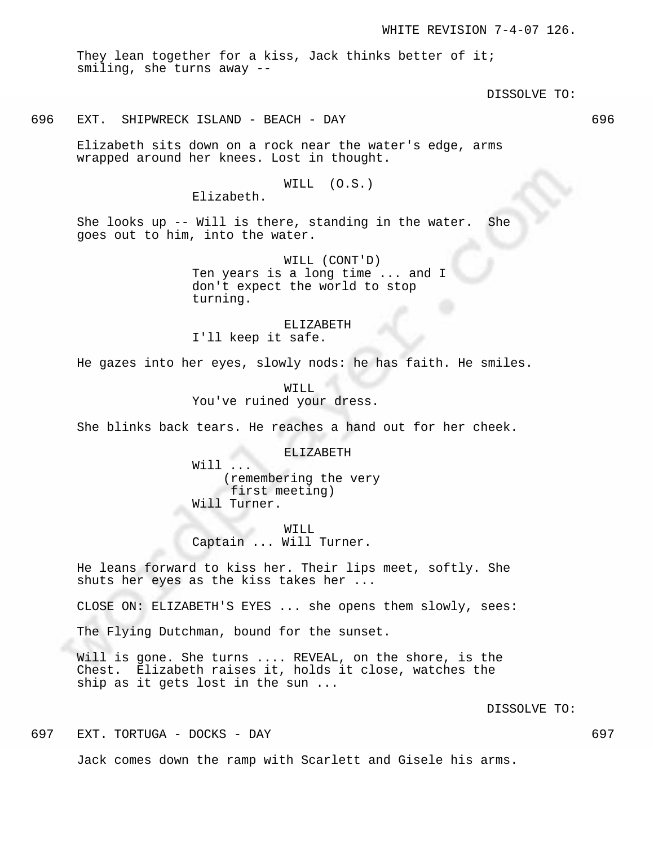They lean together for a kiss, Jack thinks better of it; smiling, she turns away --

DISSOLVE TO:

# 696 EXT. SHIPWRECK ISLAND - BEACH - DAY 696

Elizabeth sits down on a rock near the water's edge, arms wrapped around her knees. Lost in thought.

### WILL (O.S.)

Elizabeth.

She looks up -- Will is there, standing in the water. She goes out to him, into the water.

> WILL (CONT'D) Ten years is a long time ... and I don't expect the world to stop turning.

#### ELIZABETH

I'll keep it safe.

He gazes into her eyes, slowly nods: he has faith. He smiles.

WILL You've ruined your dress.

She blinks back tears. He reaches a hand out for her cheek.

ELIZABETH Will ... (remembering the very first meeting) Will Turner.

WILL Captain ... Will Turner.

He leans forward to kiss her. Their lips meet, softly. She shuts her eyes as the kiss takes her ...

CLOSE ON: ELIZABETH'S EYES ... she opens them slowly, sees:

The Flying Dutchman, bound for the sunset.

Will is gone. She turns .... REVEAL, on the shore, is the Chest. Elizabeth raises it, holds it close, watches the ship as it gets lost in the sun ...

DISSOLVE TO:

697 EXT. TORTUGA - DOCKS - DAY 697

Jack comes down the ramp with Scarlett and Gisele his arms.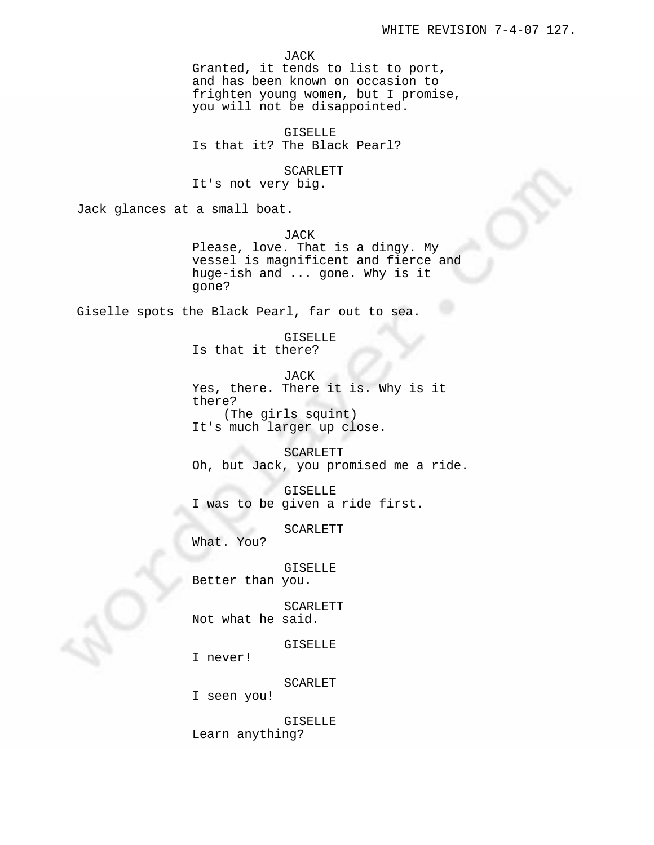JACK Granted, it tends to list to port, and has been known on occasion to frighten young women, but I promise, you will not be disappointed.

GISELLE Is that it? The Black Pearl?

SCARLETT It's not very big.

Jack glances at a small boat.

JACK Please, love. That is a dingy. My vessel is magnificent and fierce and huge-ish and ... gone. Why is it gone?

Giselle spots the Black Pearl, far out to sea.

GISELLE Is that it there?

JACK Yes, there. There it is. Why is it there? (The girls squint) It's much larger up close.

SCARLETT Oh, but Jack, you promised me a ride.

GISELLE I was to be given a ride first.

SCARLETT

What. You?

GISELLE Better than you.

SCARLETT Not what he said.

GISELLE

I never!

SCARLET

I seen you!

GISELLE Learn anything?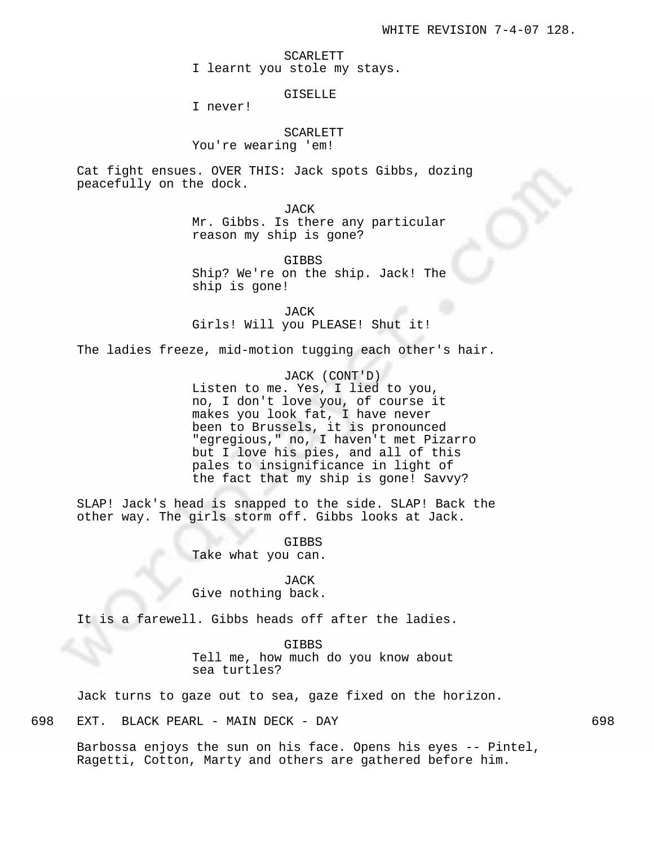SCARLETT I learnt you stole my stays.

### GISELLE

I never!

# SCARLETT You're wearing 'em!

Cat fight ensues. OVER THIS: Jack spots Gibbs, dozing peacefully on the dock.

JACK

Mr. Gibbs. Is there any particular reason my ship is gone?

GIBBS Ship? We're on the ship. Jack! The ship is gone!

JACK Girls! Will you PLEASE! Shut it!

The ladies freeze, mid-motion tugging each other's hair.

JACK (CONT'D) Listen to me. Yes, I lied to you, no, I don't love you, of course it makes you look fat, I have never been to Brussels, it is pronounced "egregious," no, I haven't met Pizarro but I love his pies, and all of this pales to insignificance in light of the fact that my ship is gone! Savvy?

SLAP! Jack's head is snapped to the side. SLAP! Back the other way. The girls storm off. Gibbs looks at Jack.

> GIBBS Take what you can.

> JACK Give nothing back.

It is a farewell. Gibbs heads off after the ladies.

GIBBS Tell me, how much do you know about sea turtles?

Jack turns to gaze out to sea, gaze fixed on the horizon.

698 EXT. BLACK PEARL - MAIN DECK - DAY 698

Barbossa enjoys the sun on his face. Opens his eyes -- Pintel, Ragetti, Cotton, Marty and others are gathered before him.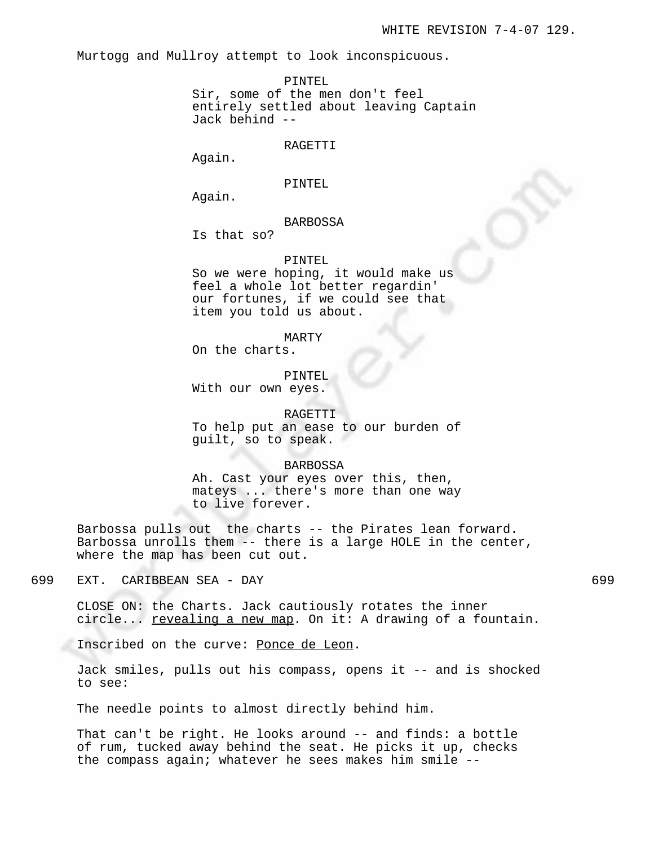Murtogg and Mullroy attempt to look inconspicuous.

PINTEL

Sir, some of the men don't feel entirely settled about leaving Captain Jack behind --

RAGETTI

Again.

PINTEL

Again.

# BARBOSSA

Is that so?

#### PINTEL

So we were hoping, it would make us feel a whole lot better regardin' our fortunes, if we could see that item you told us about.

MARTY

On the charts.

#### PINTEL

With our own eyes.

RAGETTI To help put an ease to our burden of guilt, so to speak.

### BARBOSSA

Ah. Cast your eyes over this, then, mateys ... there's more than one way to live forever.

Barbossa pulls out the charts -- the Pirates lean forward. Barbossa unrolls them -- there is a large HOLE in the center, where the map has been cut out.

699 EXT. CARIBBEAN SEA - DAY 699

Inscribed on the curve: Ponce de Leon.

Jack smiles, pulls out his compass, opens it -- and is shocked to see:

The needle points to almost directly behind him.

That can't be right. He looks around -- and finds: a bottle of rum, tucked away behind the seat. He picks it up, checks the compass again; whatever he sees makes him smile --